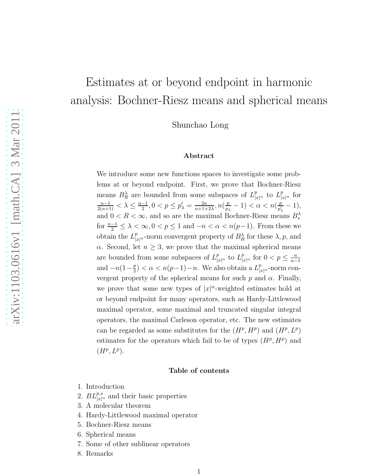# Estimates at or beyond endpoint in harmonic analysis: Bochner-Riesz means and spherical means

Shunchao Long

#### Abstract

We introduce some new functions spaces to investigate some problems at or beyond endpoint. First, we prove that Bochner-Riesz means  $B_R^{\lambda}$  are bounded from some subspaces of  $L_{|x|^{\alpha}}^p$  to  $L_{|x|^{\alpha}}^p$  for  $\frac{n-1}{2(n+1)} < \lambda \leq \frac{n-1}{2}$  $\frac{-1}{2}, 0 < p \le p'_{\lambda} = \frac{2n}{n+1+1}$  $\frac{2n}{n+1+2\lambda}, n(\frac{p}{p)}$  $\frac{p}{p_{\lambda}}-1$ ) <  $\alpha$  <  $n(\frac{p}{p'_{\lambda}})$  $\frac{p}{p'_\lambda}-1),$ and  $0 < R < \infty$ , and so are the maximal Bochner-Riesz means  $B_*^{\lambda}$ for  $\frac{n-1}{2} \leq \lambda < \infty$ ,  $0 < p \leq 1$  and  $-n < \alpha < n(p-1)$ . From these we obtain the  $L_{|x|^{\alpha}}^p$ -norm convergent property of  $B_R^{\lambda}$  for these  $\lambda, p$ , and  $\alpha$ . Second, let  $n \geq 3$ , we prove that the maximal spherical means are bounded from some subspaces of  $L_{|x|^{\alpha}}^p$  to  $L_{|x|^{\alpha}}^p$  for  $0 < p \leq \frac{n}{n-1}$  $n-1$ and  $-n(1-\frac{p}{2})$  $\frac{p}{2}$  <  $\alpha$  <  $n(p-1)-n$ . We also obtain a  $L_{|x|^{\alpha}}^p$ -norm convergent property of the spherical means for such p and  $\alpha$ . Finally, we prove that some new types of  $|x|^{\alpha}$ -weighted estimates hold at or beyond endpoint for many operators, such as Hardy-Littlewood maximal operator, some maximal and truncated singular integral operators, the maximal Carleson operator, etc. The new estimates can be regarded as some substitutes for the  $(H^p, H^p)$  and  $(H^p, L^p)$ estimates for the operators which fail to be of types  $(H^p, H^p)$  and  $(H^p, L^p).$ 

#### Table of contents

- 1. Introduction
- 2.  $BL_{|x|^{\alpha}}^{p,s}$  and their basic properties
- 3. A molecular theorem
- 4. Hardy-Littlewood maximal operator
- 5. Bochner-Riesz means
- 6. Spherical means
- 7. Some of other sublinear operators
- 8. Remarks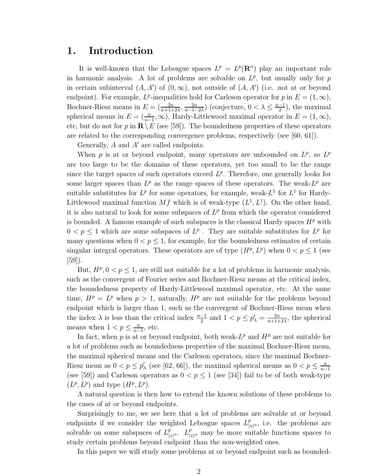## 1. Introduction

It is well-known that the Lebesgue spaces  $L^p = L^p(\mathbf{R}^n)$  play an important role in harmonic analysis. A lot of problems are solvable on  $L^p$ , but usually only for p in certain subinterval  $(A, A')$  of  $(0, \infty)$ , not outside of  $(A, A')$  (i.e. not at or beyond endpoint). For example,  $L^p$ -inequalities hold for Carleson operator for p in  $E = (1, \infty)$ , Bochner-Riesz means in  $E = \left(\frac{2n}{n+1+2\lambda}, \frac{2n}{n-1-1}\right)$  $\frac{2n}{n-1-2\lambda}$ ) (conjecture,  $0 < \lambda \leq \frac{n-1}{2}$  $\frac{-1}{2}$ , the maximal spherical means in  $E = (\frac{n}{n-1}, \infty)$ , Hardy-Littlewood maximal operator in  $E = (1, \infty)$ , etc, but do not for p in  $\mathbb{R}\setminus E$  (see [59]). The boundedness properties of these operators are related to the corresponding convergence problems, respectively (see [60, 61]).

Generally, A and A′ are called endpoints.

When p is at or beyond endpoint, many operators are unbounded on  $L^p$ , so  $L^p$ are too large to be the domains of these operators, yet too small to be the range since the target spaces of such operators exceed  $L^p$ . Therefore, one generally looks for some larger spaces than  $L^p$  as the range spaces of these operators. The weak- $L^p$  are suitable substitutes for  $L^p$  for some operators, for example, weak- $L^1$  for  $L^1$  for Hardy-Littlewood maximal function Mf which is of weak-type  $(L^1, L^1)$ . On the other hand, it is also natural to look for some subspaces of  $L^p$  from which the operator considered is bounded. A famous example of such subspaces is the classical Hardy spaces  $H^p$  with  $0 < p \leq 1$  which are some subspaces of  $L^p$ . They are suitable substitutes for  $L^p$  for many questions when  $0 < p \leq 1$ , for example, for the boundedness estimates of certain singular integral operators. These operators are of type  $(H^p, L^p)$  when  $0 < p \le 1$  (see  $|59|$ ).

But,  $H^p$ ,  $0 < p \leq 1$ , are still not suitable for a lot of problems in harmonic analysis, such as the convergent of Fourier series and Bochner-Riesz means at the critical index, the boundedness property of Hardy-Littlewood maximal operator, etc. At the same time,  $H^p = L^p$  when  $p > 1$ , naturally,  $H^p$  are not suitable for the problems beyond endpoint which is larger than 1, such as the convergent of Bochner-Riesz mean when the index  $\lambda$  is less than the critical index  $\frac{n-1}{2}$  and  $1 < p \le p'_\lambda = \frac{2n}{n+1+1}$  $\frac{2n}{n+1+2\lambda}$ , the spherical means when  $1 < p \leq \frac{n}{n-1}$  $\frac{n}{n-1}$ , etc.

In fact, when p is at or beyond endpoint, both weak- $L^p$  and  $H^p$  are not suitable for a lot of problems such as boundedness properties of the maximal Bochner-Riesz mean, the maximal spherical means and the Carleson operators, since the maximal Bochner-Riesz mean as  $0 < p \le p'_{\lambda}$  (see [62, 66]), the maximal spherical means as  $0 < p \le \frac{n}{n-1}$  $n-1$ (see [59]) and Carleson operators as  $0 < p \le 1$  (see [34]) fail to be of both weak-type  $(L^p, L^p)$  and type  $(H^p, L^p)$ .

A natural question is then how to extend the known solutions of these problems to the cases of at or beyond endpoints.

Surprisingly to me, we see here that a lot of problems are solvable at or beyond endpoints if we consider the weighted Lebesgue spaces  $L_{|x|^{\alpha}}^p$ , i.e. the problems are solvable on some subspaces of  $L_{|x|^{\alpha}}^p$ .  $L_{|x|^{\alpha}}^p$  may be more suitable functions spaces to study certain problems beyond endpoint than the non-weighted ones.

In this paper we will study some problems at or beyond endpoint such as bounded-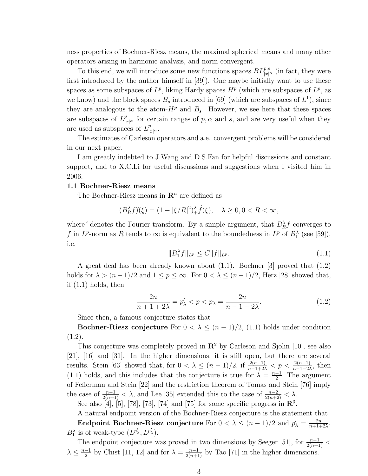ness properties of Bochner-Riesz means, the maximal spherical means and many other operators arising in harmonic analysis, and norm convergent.

To this end, we will introduce some new functions spaces  $BL^{p,s}_{|x|^{\alpha}}$  (in fact, they were first introduced by the author himself in [39]). One maybe initially want to use these spaces as some subspaces of  $L^p$ , liking Hardy spaces  $H^p$  (which are subspaces of  $L^p$ , as we know) and the block spaces  $B_s$  introduced in [69] (which are subspaces of  $L^1$ ), since they are analogous to the atom- $H^p$  and  $B_s$ . However, we see here that these spaces are subspaces of  $L_{|x|^{\alpha}}^p$  for certain ranges of p,  $\alpha$  and s, and are very useful when they are used as subspaces of  $L_{|x|^{\alpha}}^p$ .

The estimates of Carleson operators and a.e. convergent problems will be considered in our next paper.

I am greatly indebted to J.Wang and D.S.Fan for helpful discussions and constant support, and to X.C.Li for useful discussions and suggestions when I visited him in 2006.

#### 1.1 Bochner-Riesz means

The Bochner-Riesz means in  $\mathbb{R}^n$  are defined as

$$
(B_R^{\lambda}f)(\xi) = (1 - |\xi/R|^2)^{\lambda}_{+} \hat{f}(\xi), \quad \lambda \ge 0, 0 < R < \infty,
$$

where  $\hat{}$  denotes the Fourier transform. By a simple argument, that  $B_R^{\lambda} f$  converges to f in  $L^p$ -norm as R tends to  $\infty$  is equivalent to the boundedness in  $L^p$  of  $B_1^{\lambda}$  (see [59]), i.e.

$$
||B_1^{\lambda}f||_{L^p} \le C||f||_{L^p}.
$$
\n(1.1)

A great deal has been already known about (1.1). Bochner [3] proved that (1.2) holds for  $\lambda > (n-1)/2$  and  $1 \le p \le \infty$ . For  $0 < \lambda \le (n-1)/2$ , Herz [28] showed that, if  $(1.1)$  holds, then

$$
\frac{2n}{n+1+2\lambda} = p'_{\lambda} < p < p_{\lambda} = \frac{2n}{n-1-2\lambda}.\tag{1.2}
$$

Since then, a famous conjecture states that

Bochner-Riesz conjecture For  $0 < \lambda \leq (n-1)/2$ , (1.1) holds under condition  $(1.2).$ 

This conjecture was completely proved in  $\mathbb{R}^2$  by Carleson and Sjölin [10], see also [21], [16] and [31]. In the higher dimensions, it is still open, but there are several results. Stein [63] showed that, for  $0 < \lambda \leq (n-1)/2$ , if  $\frac{2(n-1)}{n-1+2\lambda} < p < \frac{2(n-1)}{n-1-2\lambda}$ , then (1.1) holds, and this includes that the conjecture is true for  $\lambda = \frac{n-1}{2}$  $\frac{-1}{2}$ . The argument of Fefferman and Stein [22] and the restriction theorem of Tomas and Stein [76] imply the case of  $\frac{n-1}{2(n+1)} < \lambda$ , and Lee [35] extended this to the case of  $\frac{n-2}{2(n+2)} < \lambda$ .

See also [4], [5], [78], [73], [74] and [75] for some specific progress in  $\mathbb{R}^3$ .

A natural endpoint version of the Bochner-Riesz conjecture is the statement that Endpoint Bochner-Riesz conjecture For  $0 < \lambda \leq (n-1)/2$  and  $p'_{\lambda} = \frac{2n}{n+1+1}$  $\frac{2n}{n+1+2\lambda}$  $B_1^{\lambda}$  is of weak-type  $(L^{p'_{\lambda}}, L^{p'_{\lambda}})$ .

The endpoint conjecture was proved in two dimensions by Seeger [51], for  $\frac{n-1}{2(n+1)}$  <  $\lambda \leq \frac{n-1}{2}$  $\frac{-1}{2}$  by Chist [11, 12] and for  $\lambda = \frac{n-1}{2(n+1)}$  by Tao [71] in the higher dimensions.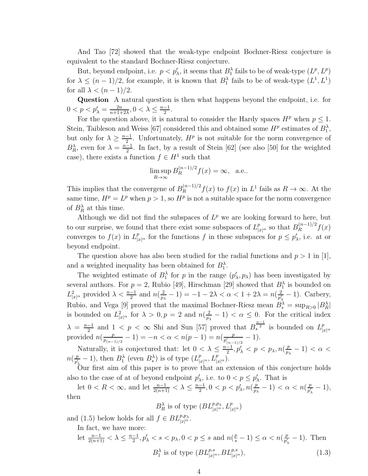And Tao [72] showed that the weak-type endpoint Bochner-Riesz conjecture is equivalent to the standard Bochner-Riesz conjecture.

But, beyond endpoint, i.e.  $p < p'_{\lambda}$ , it seems that  $B_1^{\lambda}$  fails to be of weak-type  $(L^p, L^p)$ for  $\lambda \leq (n-1)/2$ , for example, it is known that  $B_1^{\lambda}$  fails to be of weak-type  $(L^1, L^1)$ for all  $\lambda < (n-1)/2$ .

Question A natural question is then what happens beyond the endpoint, i.e. for  $0 < p < p'_{\lambda} = \frac{2n}{n+1+1}$  $\frac{2n}{n+1+2\lambda}, 0 < \lambda \leq \frac{n-1}{2}$  $\frac{-1}{2}$ .

For the question above, it is natural to consider the Hardy spaces  $H^p$  when  $p \leq 1$ . Stein, Taibleson and Weiss [67] considered this and obtained some  $H^p$  estimates of  $B_1^{\lambda}$ , but only for  $\lambda \geq \frac{n-1}{2}$  $\frac{-1}{2}$ . Unfortunately,  $H^p$  is not suitable for the norm convergence of  $B_R^{\lambda}$ , even for  $\lambda = \frac{n-1}{2}$  $\frac{-1}{2}$ . In fact, by a result of Stein [62] (see also [50] for the weighted case), there exists a function  $f \in H^1$  such that

$$
\limsup_{R \to \infty} B_R^{(n-1)/2} f(x) = \infty, \quad \text{a.e.}.
$$

This implies that the convergene of  $B_R^{(n-1)/2} f(x)$  to  $f(x)$  in  $L^1$  fails as  $R \to \infty$ . At the same time,  $H^p = L^p$  when  $p > 1$ , so  $H^p$  is not a suitable space for the norm convergence of  $B_R^{\lambda}$  at this time.

Although we did not find the subspaces of  $L^p$  we are looking forward to here, but to our surprise, we found that there exist some subspaces of  $L_{|x|^{\alpha}}^p$  so that  $B_R^{(n-1)/2} f(x)$ converges to  $f(x)$  in  $L_{|x|^{\alpha}}^p$  for the functions f in these subspaces for  $p \leq p'_\lambda$ , i.e. at or beyond endpoint.

The question above has also been studied for the radial functions and  $p > 1$  in [1], and a weighted inequality has been obtained for  $B_1^{\lambda}$ .

The weighted estimate of  $B_1^{\lambda}$  for p in the range  $(p'_{\lambda}, p_{\lambda})$  has been investigated by several authors. For  $p = 2$ , Rubio [49], Hirschman [29] showed that  $B_1^{\lambda}$  is bounded on  $L_{|x|^{\alpha}}^2$  provided  $\lambda < \frac{n-1}{2}$  and  $n(\frac{2}{p})$  $\frac{2}{p_{\lambda}}-1) = -1-2\lambda < \alpha < 1+2\lambda = n(\frac{2}{p_{\lambda}^{\prime}})$  $\frac{2}{p'_{\lambda}}-1$ ). Carbery, Rubio, and Vega [9] proved that the maximal Bochner-Riesz mean  $B_*^{\lambda} = \sup_{R>0} |B_R^{\lambda}|$ is bounded on  $L^2_{|x|^{\alpha}}$  for  $\lambda > 0, p = 2$  and  $n(\frac{2}{p}$  $\frac{2}{p_{\lambda}}-1$  <  $\alpha \leq 0$ . For the critical index  $\lambda = \frac{n-1}{2}$  $\frac{-1}{2}$  and  $1 < p < \infty$  Shi and Sun [57] proved that  $B_*^{\frac{n-1}{2}}$  is bounded on  $L^p_{|z|}$  $|x|^\alpha$ provided  $n\left(\frac{p}{n}\right)$  $\frac{p}{p_{(n-1)/2}} - 1 = -n < \alpha < n(p-1) = n(\frac{p}{p'_{(n-1)}})$  $\frac{p}{p_{(n-1)/2}'} - 1$ ).

Naturally, it is conjectured that: let  $0 < \lambda \leq \frac{n-1}{2}$  $\frac{-1}{2},p'_\lambda$  $\frac{p}{p_{\lambda}}-1) < \alpha <$  $n(\frac{p}{n'})$  $\frac{p}{p'_1} - 1$ , then  $B_1^{\lambda}$  (even  $B_*^{\lambda}$ ) is of type  $(L_{|x|^{\alpha}}^p, L_{|x|^{\alpha}}^p)$ .

Our first aim of this paper is to prove that an extension of this conjecture holds also to the case of at of beyond endpoint  $p'_{\lambda}$ , i.e. to  $0 < p \leq p'_{\lambda}$ . That is

let  $0 < R < \infty$ , and let  $\frac{n-1}{2(n+1)} < \lambda \leq \frac{n-1}{2}$  $\frac{-1}{2}, 0 < p < p'_\lambda, n(\frac{p}{p)}$  $\frac{p}{p_{\lambda}}-1$ ) <  $\alpha$  <  $n(\frac{p}{p'_{\lambda}})$  $\frac{p}{p'_\lambda}-1),$ then

 $B_R^{\lambda}$  is of type  $(BL_{|x|^{\alpha}}^{p,p_{\lambda}}, L_{|x|^{\alpha}}^p)$ 

and (1.5) below holds for all  $f \in BL_{|x|^{\alpha}}^{p,p_{\lambda}}$ .

In fact, we have more:

$$
\begin{aligned}\n\text{let } \frac{n-1}{2(n+1)} &< \lambda \le \frac{n-1}{2}, p_{\lambda}' < s < p_{\lambda}, 0 < p \le s \text{ and } n\left(\frac{p}{s} - 1\right) \le \alpha < n\left(\frac{p}{p_{\lambda}'} - 1\right). \text{ Then} \\
&\quad B_1^{\lambda} \text{ is of type } (BL_{|x|^{\alpha}}^{p,s}, BL_{|x|^{\alpha}}^{p,s}),\n\end{aligned} \tag{1.3}
$$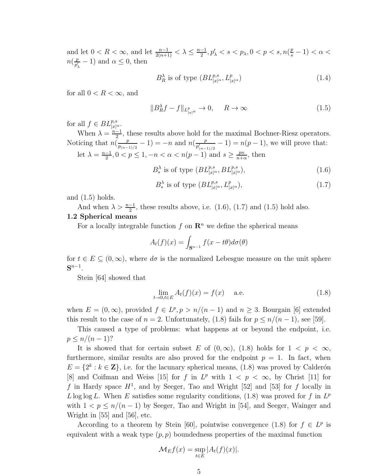and let  $0 < R < \infty$ , and let  $\frac{n-1}{2(n+1)} < \lambda \leq \frac{n-1}{2}$  $\frac{-1}{2}, p'_{\lambda} < s < p_{\lambda}, 0 < p < s, n(\frac{p}{s} - 1) < \alpha <$  $n(\frac{p}{n'})$  $\frac{p}{p'_\lambda} - 1$  and  $\alpha \leq 0$ , then

$$
B_R^{\lambda} \text{ is of type } (BL_{|x|^{\alpha}}^{p,s}, L_{|x|^{\alpha}}^p)
$$
 (1.4)

for all  $0 < R < \infty$ , and

$$
||B_R^{\lambda}f - f||_{L_{|x|^{\alpha}}^p} \to 0, \quad R \to \infty
$$
\n(1.5)

for all  $f \in BL_{|x|^{\alpha}}^{p,s}$ .

When  $\lambda = \frac{n-1}{2}$  $\frac{-1}{2}$ , these results above hold for the maximal Bochner-Riesz operators. Noticing that  $n(\frac{p}{n})$  $\frac{p}{p_{(n-1)/2}} - 1$ ) =  $-n$  and  $n(\frac{p}{p'_{(n-1)/2}})$  $\frac{p}{p'_{(n-1)/2}} - 1$  =  $n(p-1)$ , we will prove that: let  $\lambda = \frac{n-1}{2}$  $\frac{-1}{2}, 0 < p \leq 1, -n < \alpha < n(p-1)$  and  $s \geq \frac{pn}{n+\alpha}$  $\frac{pn}{n+\alpha}$ , then

$$
B_*^{\lambda} \text{ is of type } (BL_{|x|^{\alpha}}^{p,s}, BL_{|x|^{\alpha}}^{p,s}), \qquad (1.6)
$$

$$
B_*^{\lambda} \text{ is of type } (BL_{|x|^{\alpha}}^{p,s}, L_{|x|^{\alpha}}^p), \tag{1.7}
$$

and  $(1.5)$  holds.

And when  $\lambda > \frac{n-1}{2}$ , these results above, i.e. (1.6), (1.7) and (1.5) hold also.

#### 1.2 Spherical means

For a locally integrable function  $f$  on  $\mathbb{R}^n$  we define the spherical means

$$
A_t(f)(x) = \int_{\mathbf{S}^{n-1}} f(x - t\theta) d\sigma(\theta)
$$

for  $t \in E \subseteq (0,\infty)$ , where  $d\sigma$  is the normalized Lebesgue measure on the unit sphere  $\mathbf{S}^{n-1}.$ 

Stein [64] showed that

$$
\lim_{t \to 0, t \in E} A_t(f)(x) = f(x) \quad \text{a.e.} \tag{1.8}
$$

when  $E = (0, \infty)$ , provided  $f \in L^p, p > n/(n-1)$  and  $n \geq 3$ . Bourgain [6] extended this result to the case of  $n = 2$ . Unfortunately, (1.8) fails for  $p \leq n/(n-1)$ , see [59].

This caused a type of problems: what happens at or beyond the endpoint, i.e.  $p \leq n/(n-1)$ ?

It is showed that for certain subset E of  $(0, \infty)$ ,  $(1.8)$  holds for  $1 \lt p \lt \infty$ , furthermore, similar results are also proved for the endpoint  $p = 1$ . In fact, when  $E = \{2^k : k \in \mathbb{Z}\},\$ i.e. for the lacunary spherical means,  $(1.8)$  was proved by Calderón [8] and Coifman and Weiss [15] for f in  $L^p$  with  $1 \leq p \leq \infty$ , by Christ [11] for f in Hardy space  $H<sup>1</sup>$ , and by Seeger, Tao and Wright [52] and [53] for f locally in L log log L. When E satisfies some regularity conditions,  $(1.8)$  was proved for f in  $L^p$ with  $1 < p \le n/(n-1)$  by Seeger, Tao and Wright in [54], and Seeger, Wainger and Wright in [55] and [56], etc.

According to a theorem by Stein [60], pointwise convergence (1.8) for  $f \in L^p$  is equivalent with a weak type  $(p, p)$  boundedness properties of the maximal function

$$
\mathcal{M}_E f(x) = \sup_{t \in E} |A_t(f)(x)|.
$$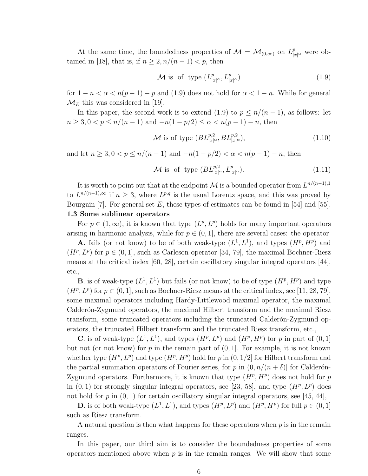At the same time, the boundedness properties of  $\mathcal{M} = \mathcal{M}_{(0,\infty)}$  on  $L^p_{|x|^{\alpha}}$  were obtained in [18], that is, if  $n \geq 2, n/(n-1) < p$ , then

$$
\mathcal{M} \text{ is of type } (L^p_{|x|^\alpha}, L^p_{|x|^\alpha}) \tag{1.9}
$$

for  $1 - n < \alpha < n(p - 1) - p$  and (1.9) does not hold for  $\alpha < 1 - n$ . While for general  $\mathcal{M}_E$  this was considered in [19].

In this paper, the second work is to extend (1.9) to  $p \leq n/(n-1)$ , as follows: let  $n \geq 3, 0 < p \leq n/(n-1)$  and  $-n(1-p/2) \leq \alpha < n(p-1) - n$ , then

$$
\mathcal{M} \text{ is of type } (BL_{|x|^{\alpha}}^{p,2}, BL_{|x|^{\alpha}}^{p,2}),\tag{1.10}
$$

and let  $n \geq 3, 0 < p \leq n/(n-1)$  and  $-n(1-p/2) < \alpha < n(p-1) - n$ , then

$$
\mathcal{M} \text{ is of type } (BL_{|x|^{\alpha}}^{p,2}, L_{|x|^{\alpha}}^p). \tag{1.11}
$$

It is worth to point out that at the endpoint M is a bounded operator from  $L^{n/(n-1),1}$ to  $L^{n/(n-1),\infty}$  if  $n \geq 3$ , where  $L^{p,q}$  is the usual Lorentz space, and this was proved by Bourgain [7]. For general set E, these types of estimates can be found in [54] and [55]. 1.3 Some sublinear operators

For  $p \in (1,\infty)$ , it is known that type  $(L^p, L^p)$  holds for many important operators arising in harmonic analysis, while for  $p \in (0, 1]$ , there are several cases: the operator

**A**. fails (or not know) to be of both weak-type  $(L^1, L^1)$ , and types  $(H^p, H^p)$  and  $(H^p, L^p)$  for  $p \in (0, 1]$ , such as Carleson operator [34, 79], the maximal Bochner-Riesz means at the critical index [60, 28], certain oscillatory singular integral operators [44], etc.,

**B**. is of weak-type  $(L^1, L^1)$  but fails (or not know) to be of type  $(H^p, H^p)$  and type  $(H^p, L^p)$  for  $p \in (0, 1]$ , such as Bochner-Riesz means at the critical index, see [11, 28, 79], some maximal operators including Hardy-Littlewood maximal operator, the maximal Calderón-Zygmund operators, the maximal Hilbert transform and the maximal Riesz transform, some truncated operators including the truncated Calderon-Zygmund operators, the truncated Hilbert transform and the truncated Riesz transform, etc.,

**C**. is of weak-type  $(L^1, L^1)$ , and types  $(H^p, L^p)$  and  $(H^p, H^p)$  for p in part of  $(0, 1]$ but not (or not know) for p in the remain part of  $(0, 1]$ . For example, it is not known whether type  $(H^p, L^p)$  and type  $(H^p, H^p)$  hold for p in  $(0, 1/2]$  for Hilbert transform and the partial summation operators of Fourier series, for p in  $(0, n/(n + \delta))$  for Calderon-Zygmund operators. Furthermore, it is known that type  $(H^p, H^p)$  does not hold for p in  $(0, 1)$  for strongly singular integral operators, see [23, 58], and type  $(H^p, L^p)$  does not hold for  $p$  in  $(0, 1)$  for certain oscillatory singular integral operators, see [45, 44],

**D**. is of both weak-type  $(L^1, L^1)$ , and types  $(H^p, L^p)$  and  $(H^p, H^p)$  for full  $p \in (0, 1]$ such as Riesz transform.

A natural question is then what happens for these operators when  $p$  is in the remain ranges.

In this paper, our third aim is to consider the boundedness properties of some operators mentioned above when  $p$  is in the remain ranges. We will show that some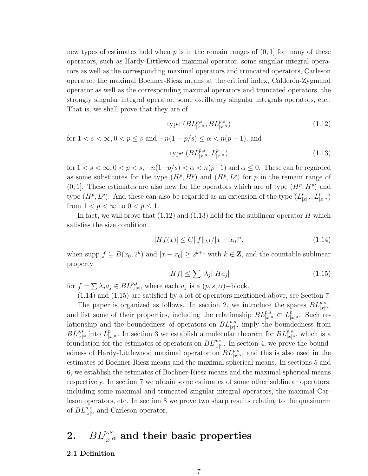new types of estimates hold when  $p$  is in the remain ranges of  $(0, 1]$  for many of these operators, such as Hardy-Littlewood maximal operator, some singular integral operators as well as the corresponding maximal operators and truncated operators, Carleson operator, the maximal Bochner-Riesz means at the critical index, Calderon-Zygmund operator as well as the corresponding maximal operators and truncated operators, the strongly singular integral operator, some oscillatory singular integrals operators, etc.. That is, we shall prove that they are of

$$
type (BL_{|x|^\alpha}^{p,s}, BL_{|x|^\alpha}^{p,s})
$$
\n
$$
(1.12)
$$

for 
$$
1 < s < \infty, 0 < p \le s
$$
 and  $-n(1 - p/s) \le \alpha < n(p - 1)$ , and type  $(BL^{p,s}_{|x|^{\alpha}}, L^p_{|x|^{\alpha}})$   $(1.13)$ 

for  $1 < s < \infty$ ,  $0 < p < s$ ,  $-n(1-p/s) < \alpha < n(p-1)$  and  $\alpha \leq 0$ . These can be regarded as some substitutes for the type  $(H^p, H^p)$  and  $(H^p, L^p)$  for p in the remain range of  $(0, 1]$ . These estimates are also new for the operators which are of type  $(H^p, H^p)$  and type  $(H^p, L^p)$ . And these can also be regarded as an extension of the type  $(L_{|x|^\alpha}^p, L_{|x|^\alpha}^p)$ from  $1 < p < \infty$  to  $0 < p \leq 1$ .

In fact, we will prove that  $(1.12)$  and  $(1.13)$  hold for the sublinear operator H which satisfies the size condition

$$
|Hf(x)| \le C||f||_{L^{1}}/|x - x_{0}|^{n}, \qquad (1.14)
$$

when supp  $f \subseteq B(x_0, 2^k)$  and  $|x - x_0| \geq 2^{k+1}$  with  $k \in \mathbb{Z}$ , and the countable sublinear property

$$
|Hf| \le \sum |\lambda_j| |Ha_j| \tag{1.15}
$$

for  $f = \sum \lambda_j a_j \in \dot{B}L^{p,s}_{|x|^{\alpha}},$  where each  $a_j$  is a  $(p, s, \alpha)$ -block.

(1.14) and (1.15) are satisfied by a lot of operators mentioned above, see Section 7.

The paper is organized as follows. In section 2, we introduce the spaces  $BL^{p,s}_{|x|^\alpha}$ , and list some of their properties, including the relationship  $BL^{p,s}_{|x|^{\alpha}} \subset L^p_{|x|^{\alpha}}$ . Such relationship and the boundedness of operators on  $BL^{p,s}_{|x|^{\alpha}}$  imply the boundedness from  $BL^{p,s}_{|x|^{\alpha}}$  into  $L^p_{|x|^{\alpha}}$ . In section 3 we establish a molecular theorem for  $BL^{p,s}_{|x|^{\alpha}}$ , which is a foundation for the estimates of operators on  $BL^{p,s}_{|x|^{\alpha}}$ . In section 4, we prove the boundedness of Hardy-Littlewood maximal operator on  $BL^{p,s}_{|x|^{\alpha}}$ , and this is also used in the estimates of Bochner-Riesz means and the maximal spherical means. In sections 5 and 6, we establish the estimates of Bochner-Riesz means and the maximal spherical means respectively. In section 7 we obtain some estimates of some other sublinear operators, including some maximal and truncated singular integral operators, the maximal Carleson operators, etc. In section 8 we prove two sharp results relating to the quasinorm of  $BL_{|x|^{\alpha}}^{p,s}$  and Carleson operator.

# 2.  $BL^{p,s}_{|x|^{\alpha}}$  and their basic properties

#### 2.1 Definition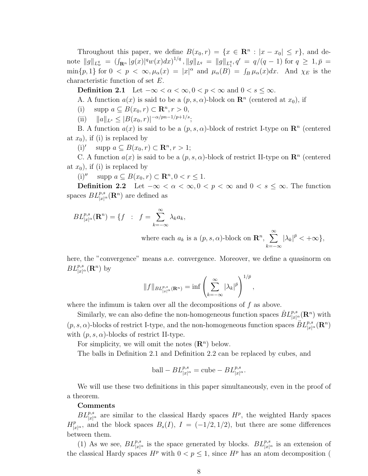Throughout this paper, we define  $B(x_0, r) = \{x \in \mathbb{R}^n : |x - x_0| \leq r\}$ , and denote  $||g||_{L^q_w} = (\int_{\mathbf{R}^n} |g(x)|^q w(x) dx)^{1/q}, ||g||_{L^q} = ||g||_{L^q_1}, q' = q/(q-1)$  for  $q \geq 1, \bar{p} =$  $\min\{p,1\}$  for  $0 < p < \infty, \mu_\alpha(x) = |x|^\alpha$  and  $\mu_\alpha(B) = \int_B \mu_\alpha(x) dx$ . And  $\chi_E$  is the characteristic function of set E.

Definition 2.1 Let  $-\infty < \alpha < \infty, 0 < p < \infty$  and  $0 < s \leq \infty$ .

A. A function  $a(x)$  is said to be a  $(p, s, \alpha)$ -block on  $\mathbb{R}^n$  (centered at  $x_0$ ), if

(i) supp  $a \subseteq B(x_0, r) \subset \mathbb{R}^n, r > 0$ ,

(ii)  $||a||_{L^s} \leq |B(x_0, r)|^{-\alpha/pn-1/p+1/s};$ 

B. A function  $a(x)$  is said to be a  $(p, s, \alpha)$ -block of restrict I-type on  $\mathbb{R}^n$  (centered at  $x_0$ ), if (i) is replaced by

(i)' supp  $a \subseteq B(x_0, r) \subset \mathbb{R}^n, r > 1;$ 

C. A function  $a(x)$  is said to be a  $(p, s, \alpha)$ -block of restrict II-type on  $\mathbb{R}^n$  (centered at  $x_0$ ), if (i) is replaced by

(i)'' supp  $a \subseteq B(x_0, r) \subset \mathbb{R}^n, 0 < r \le 1$ .

Definition 2.2 Let  $-\infty < \alpha < \infty, 0 < p < \infty$  and  $0 < s \leq \infty$ . The function spaces  $BL^{p,s}_{|x|^{\alpha}}(\mathbf{R}^n)$  are defined as

$$
BL_{|x|^{\alpha}}^{p,s}(\mathbf{R}^n) = \{f : f = \sum_{k=-\infty}^{\infty} \lambda_k a_k,
$$
  
where each  $a_k$  is a  $(p, s, \alpha)$ -block on  $\mathbf{R}^n$ ,  $\sum_{k=-\infty}^{\infty} |\lambda_k|^{p} < +\infty\},$ 

here, the "convergence" means a.e. convergence. Moreover, we define a quasinorm on  $BL_{|x|^{\alpha}}^{p,s}(\mathbf{R}^n)$  by

$$
||f||_{BL_{|x|^{\alpha}}^{p,s}(\mathbf{R}^n)} = \inf \left( \sum_{k=-\infty}^{\infty} |\lambda_k|^{\bar{p}} \right)^{1/\bar{p}},
$$

where the infimum is taken over all the decompositions of  $f$  as above.

Similarly, we can also define the non-homogeneous function spaces  $\dot{B}L^{p,s}_{|x|^\alpha}(\mathbf{R}^n)$  with  $(p, s, \alpha)$ -blocks of restrict I-type, and the non-homogeneous function spaces  $BL^{p,s}_{|x|^{\alpha}}(\mathbf{R}^n)$ with  $(p, s, \alpha)$ -blocks of restrict II-type.

For simplicity, we will omit the notes  $(\mathbb{R}^n)$  below.

The balls in Definition 2.1 and Definition 2.2 can be replaced by cubes, and

ball 
$$
- BL_{|x|^{\alpha}}^{p,s}
$$
 = cube  $- BL_{|x|^{\alpha}}^{p,s}$ .

We will use these two definitions in this paper simultaneously, even in the proof of a theorem.

#### Comments

 $BL^{p,s}_{|x|^{\alpha}}$  are similar to the classical Hardy spaces  $H^p$ , the weighted Hardy spaces  $H_{|x|^{\alpha}}^p$ , and the block spaces  $B_s(I)$ ,  $I = (-1/2, 1/2)$ , but there are some differences between them.

(1) As we see,  $BL^{p,s}_{|x|^{\alpha}}$  is the space generated by blocks.  $BL^{p,s}_{|x|^{\alpha}}$  is an extension of the classical Hardy spaces  $H^p$  with  $0 < p \leq 1$ , since  $H^p$  has an atom decomposition (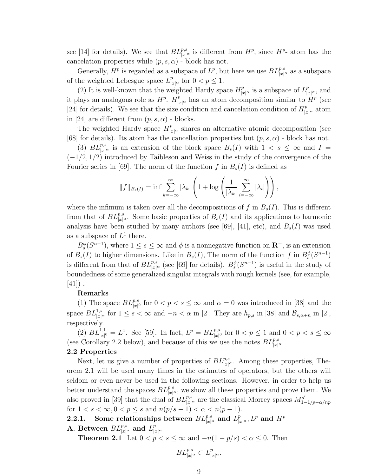see [14] for details). We see that  $BL^{p,s}_{|x|^{\alpha}}$  is different from  $H^p$ , since  $H^{p_-}$  atom has the cancelation properties while  $(p, s, \alpha)$  - block has not.

Generally,  $H^p$  is regarded as a subspace of  $L^p$ , but here we use  $BL^{p,s}_{|x|^{\alpha}}$  as a subspace of the weighted Lebesgue space  $L_{|x|^{\alpha}}^p$  for  $0 < p \leq 1$ .

(2) It is well-known that the weighted Hardy space  $H_{|x|^{\alpha}}^p$  is a subspace of  $L_{|x|^{\alpha}}^p$ , and it plays an analogous role as  $H^p$ .  $H^p_{|x|^{\alpha}}$  has an atom decomposition similar to  $H^p$  (see [24] for details). We see that the size condition and cancelation condition of  $H_{|x|^{\alpha}}^p$  atom in [24] are different from  $(p, s, \alpha)$  - blocks.

The weighted Hardy space  $H_{|x|^{\alpha}}^p$  shares an alternative atomic decomposition (see [68] for details). Its atom has the cancellation properties but  $(p, s, \alpha)$  - block has not.

(3)  $BL_{|x|^{\alpha}}^{p,s}$  is an extension of the block space  $B_s(I)$  with  $1 < s \leq \infty$  and  $I =$  $(-1/2, 1/2)$  introduced by Taibleson and Weiss in the study of the convergence of the Fourier series in [69]. The norm of the function f in  $B_s(I)$  is defined as

$$
||f||_{B_s(I)} = \inf \sum_{k=-\infty}^{\infty} |\lambda_k| \left( 1 + \log \left( \frac{1}{|\lambda_k|} \sum_{i=-\infty}^{\infty} |\lambda_i| \right) \right),
$$

where the infimum is taken over all the decompositions of f in  $B_s(I)$ . This is different from that of  $BL^{p,s}_{|x|^{\alpha}}$ . Some basic properties of  $B_s(I)$  and its applications to harmonic analysis have been studied by many authors (see [69], [41], etc), and  $B_s(I)$  was used as a subspace of  $L^1$  there.

 $B_s^{\phi}(S^{n-1})$ , where  $1 \leq s \leq \infty$  and  $\phi$  is a nonnegative function on  $\mathbb{R}^+$ , is an extension of  $B_s(I)$  to higher dimensions. Like in  $B_s(I)$ , The norm of the function f in  $B_s^{\phi}(S^{n-1})$ is different from that of  $BL^{p,s}_{|x|^{\alpha}}$  (see [69] for details).  $B^{\phi}_s(S^{n-1})$  is useful in the study of boundedness of some generalized singular integrals with rough kernels (see, for example,  $[41]$ ).

#### Remarks

(1) The space  $BL^{p,s}_{|x|^0}$  for  $0 < p < s \leq \infty$  and  $\alpha = 0$  was introduced in [38] and the space  $BL^{1,s}_{|x|^{\alpha}}$  for  $1 \leq s < \infty$  and  $-n < \alpha$  in [2]. They are  $h_{p,s}$  in [38] and  $\mathcal{B}_{s,\alpha+n}$  in [2], respectively.

(2)  $BL^{1,1}_{|x|^0} = L^1$ . See [59]. In fact,  $L^p = BL^{p,s}_{|x|^0}$  for  $0 < p \le 1$  and  $0 < p < s \le \infty$ (see Corollary 2.2 below), and because of this we use the notes  $BL^{p,s}_{|x|^{\alpha}}$ .

#### 2.2 Properties

Next, let us give a number of properties of  $BL^{p,s}_{|x|^{\alpha}}$ . Among these properties, Theorem 2.1 will be used many times in the estimates of operators, but the others will seldom or even never be used in the following sections. However, in order to help us better understand the spaces  $BL^{p,s}_{|x|^{\alpha}}$ , we show all these properties and prove them. We also proved in [39] that the dual of  $BL^{p,s}_{|x|^{\alpha}}$  are the classical Morrey spaces  $M^{s'}_{1}$ .  $1-1/p-\alpha/np$ for  $1 < s < \infty, 0 < p \leq s$  and  $n(p/s - 1) < \alpha < n(p - 1).$ 

# 2.2.1. Some relationships between  $BL^{p,s}_{|x|^\alpha}$  and  $L^p_{|x|^\alpha}, L^p$  and  $H^p$

**A.** Between  $BL^{p,s}_{|x|^{\alpha}}$  and  $L^{p}_{|z|}$  $|x|^\alpha$ 

**Theorem 2.1** Let  $0 < p < s \leq \infty$  and  $-n(1-p/s) < \alpha \leq 0$ . Then

$$
BL^{p,s}_{|x|^\alpha}\subset L^p_{|x|^\alpha}.
$$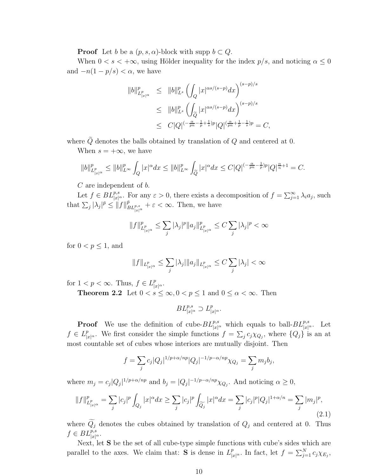**Proof** Let b be a  $(p, s, \alpha)$ -block with supp  $b \subset Q$ .

When  $0 < s < +\infty$ , using Hölder inequality for the index  $p/s$ , and noticing  $\alpha \leq 0$ and  $-n(1-p/s) < \alpha$ , we have

$$
||b||_{L_{|x|^{\alpha}}}^p \le ||b||_{L^s}^p \left( \int_Q |x|^{\alpha s/(s-p)} dx \right)^{(s-p)/s}
$$
  
\n
$$
\le ||b||_{L^s}^p \left( \int_{\widetilde{Q}} |x|^{\alpha s/(s-p)} dx \right)^{(s-p)/s}
$$
  
\n
$$
\le C|Q|^{(-\frac{\alpha}{pn}-\frac{1}{p}+\frac{1}{s})p} |Q|^{(\frac{\alpha}{pn}+\frac{1}{p}-\frac{1}{s})p} = C,
$$

where  $\tilde{Q}$  denotes the balls obtained by translation of  $Q$  and centered at 0.

When  $s = +\infty$ , we have

$$
||b||^p_{L^p_{|x|^\alpha}}\leq ||b||^p_{L^\infty}\int_Q |x|^\alpha dx\leq ||b||^p_{L^\infty}\int_{\widetilde{Q}} |x|^\alpha dx\leq C|Q|^{(-\frac{\alpha}{pn}-\frac{1}{p})p}|Q|^{\frac{\alpha}{n}+1}=C.
$$

C are independent of b.

Let  $f \in BL_{|x|^{\alpha}}^{p,s}$ . For any  $\varepsilon > 0$ , there exists a decomposition of  $f = \sum_{j=1}^{\infty} \lambda_i a_j$ , such that  $\sum_j |\lambda_j|^{\bar{p}} \leq ||f||_{BL^{p,s}_{|x|^{\alpha}}}^{\bar{p}} + \varepsilon < \infty$ . Then, we have

$$
\|f\|^p_{L^p_{|x|^\alpha}}\leq \sum_j|\lambda_j|^p\|a_j\|^p_{L^p_{|x|^\alpha}}\leq C\sum_j|\lambda_j|^p<\infty
$$

for  $0 < p \leq 1$ , and

$$
||f||_{L_{|x|^{\alpha}}^p} \leq \sum_{j} |\lambda_j| ||a_j||_{L_{|x|^{\alpha}}^p} \leq C \sum_{j} |\lambda_j| < \infty
$$

for  $1 < p < \infty$ . Thus,  $f \in L_{|x|^{\alpha}}^p$ .

**Theorem 2.2** Let  $0 < s \le \infty, 0 < p \le 1$  and  $0 \le \alpha < \infty$ . Then

$$
BL^{p,s}_{|x|^\alpha} \supset L^p_{|x|^\alpha}.
$$

**Proof** We use the definition of cube- $BL^{p,s}_{|x|^{\alpha}}$  which equals to ball- $BL^{p,s}_{|x|^{\alpha}}$ . Let  $f \in L^p_{|x|^{\alpha}}$ . We first consider the simple functions  $f = \sum_j c_j \chi_{Q_j}$ , where  $\{Q_j\}$  is an at most countable set of cubes whose interiors are mutually disjoint. Then

$$
f = \sum_{j} c_j |Q_j|^{1/p + \alpha/np} |Q_j|^{-1/p - \alpha/np} \chi_{Q_j} = \sum_{j} m_j b_j,
$$

where  $m_j = c_j |Q_j|^{1/p + \alpha/np}$  and  $b_j = |Q_j|^{-1/p - \alpha/np} \chi_{Q_j}$ . And noticing  $\alpha \geq 0$ ,

$$
||f||_{L_{|x|^{\alpha}}^p}^p = \sum_j |c_j|^p \int_{Q_j} |x|^\alpha dx \ge \sum_j |c_j|^p \int_{\widetilde{Q_j}} |x|^\alpha dx = \sum_j |c_j|^p |Q_j|^{1+\alpha/n} = \sum_j |m_j|^p,
$$
\n(2.1)

where  $\widetilde{Q}_j$  denotes the cubes obtained by translation of  $Q_j$  and centered at 0. Thus  $f \in BL_{|x|^{\alpha}}^{p,s}.$ 

Next, let S be the set of all cube-type simple functions with cube's sides which are parallel to the axes. We claim that: **S** is dense in  $L_{|x|^{\alpha}}^p$ . In fact, let  $f = \sum_{j=1}^N c_j \chi_{E_j}$ ,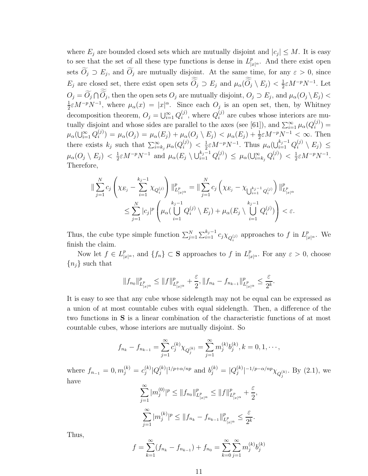where  $E_j$  are bounded closed sets which are mutually disjoint and  $|c_j| \leq M$ . It is easy to see that the set of all these type functions is dense in  $L_{|x|^{\alpha}}^p$ . And there exist open sets  $O_j \supset E_j$ , and  $O_j$  are mutually disjoint. At the same time, for any  $\varepsilon > 0$ , since  $E_j$  are closed set, there exist open sets  $\widetilde{O}_j \supset E_j$  and  $\mu_\alpha(\widetilde{O}_j \setminus E_j) < \frac{1}{2}$  $\frac{1}{2} \varepsilon M^{-p} N^{-1}$ . Let  $O_j = O_j \cap O_j$ , then the open sets  $O_j$  are mutually disjoint,  $O_j \supset E_j$ , and  $\mu_\alpha(O_j \setminus E_j)$ 1  $\frac{1}{2} \varepsilon M^{-p} N^{-1}$ , where  $\mu_\alpha(x) = |x|^\alpha$ . Since each  $O_j$  is an open set, then, by Whitney decomposition theorem,  $O_j = \bigcup_{i=1}^{\infty} Q_i^{(j)}$  $i^{(j)}$ , where  $Q_i^{(j)}$  are cubes whose interiors are mutually disjoint and whose sides are parallel to the axes (see [61]), and  $\sum_{i=1}^{\infty} \mu_{\alpha}(Q_i^{(j)})$  $j^{(j)}_i$  =  $\mu_{\alpha}(\bigcup_{i=1}^{\infty} Q_{i}^{(j)}$  $\mu_{\alpha}(i) = \mu_{\alpha}(O_j) = \mu_{\alpha}(E_j) + \mu_{\alpha}(O_j \setminus E_j) < \mu_{\alpha}(E_j) + \frac{1}{2} \varepsilon M^{-p} N^{-1} < \infty$ . Then there exists  $k_j$  such that  $\sum_{i=k_j}^{\infty} \mu_{\alpha}(Q_i^{(j)})$  $\binom{(j)}{i} < \frac{1}{2}$  $\frac{1}{2} \varepsilon M^{-p} N^{-1}$ . Thus  $\mu_\alpha(\bigcup_{i=1}^{k_j-1} Q_i^{(j)} \setminus E_j) \leq$  $\mu_\alpha(O_j\setminus E_j)\,<\,\frac{1}{2}$  $\frac{1}{2} \varepsilon M^{-p} N^{-1}$  and  $\mu_{\alpha}(E_j \setminus \bigcup_{i=1}^{k_j-1} Q_i^{(j)})$  $\mu_{i}^{(j)} \leq \mu_{\alpha}(\bigcup_{i=k_{j}}^{\infty} Q_{i}^{(j)})$  $\binom{(J)}{i} < \frac{1}{2}$  $\frac{1}{2} \varepsilon M^{-p} N^{-1}.$ Therefore,

$$
\|\sum_{j=1}^{N}c_{j}\left(\chi_{E_{j}}-\sum_{i=1}^{k_{j}-1}\chi_{Q_{i}^{(j)}}\right)\|_{L_{|x|^{\alpha}}^{p}}^{p}=\|\sum_{j=1}^{N}c_{j}\left(\chi_{E_{j}}-\chi_{\bigcup_{i=1}^{k_{j}-1}Q_{i}^{(j)}}\right)\|_{L_{|x|^{\alpha}}^{p}}^{p}
$$

$$
\leq \sum_{j=1}^{N}|c_{j}|^{p}\left(\mu_{\alpha}(\bigcup_{i=1}^{k_{j}-1}Q_{i}^{(j)}\setminus E_{j})+\mu_{\alpha}(E_{j}\setminus\bigcup_{i=1}^{k_{j}-1}Q_{i}^{(j)})\right)<\varepsilon.
$$

Thus, the cube type simple function  $\sum_{j=1}^{N} \sum_{i=1}^{k_j-1} c_j \chi_{Q_i^{(j)}}$  approaches to f in  $L_{|x|^{\alpha}}^p$ . We finish the claim.

Now let  $f \in L^p_{|x|^{\alpha}}$ , and  $\{f_n\} \subset \mathbf{S}$  approaches to f in  $L^p_{|x|^{\alpha}}$ . For any  $\varepsilon > 0$ , choose  ${n<sub>j</sub>}$  such that

$$
\|f_{n_0}\|_{L^p_{|x|^\alpha}}^p\leq \|f\|_{L^p_{|x|^\alpha}}^p+\frac{\varepsilon}{2}, \|f_{n_k}-f_{n_{k-1}}\|_{L^p_{|x|^\alpha}}^p\leq \frac{\varepsilon}{2^k}.
$$

It is easy to see that any cube whose sidelength may not be equal can be expressed as a union of at most countable cubes with equal sidelength. Then, a difference of the two functions in S is a linear combination of the characteristic functions of at most countable cubes, whose interiors are mutually disjoint. So

$$
f_{n_k} - f_{n_{k-1}} = \sum_{j=1}^{\infty} c_j^{(k)} \chi_{Q_j^{(k)}} = \sum_{j=1}^{\infty} m_j^{(k)} b_j^{(k)}, k = 0, 1, \cdots,
$$

where  $f_{n_{-1}} = 0, m_j^{(k)} = c_j^{(k)}$  $\stackrel{(k)}{j}\vert Q_{j}^{(k)}$  $|j^{(k)}|^{1/p+\alpha/np}$  and  $b_j^{(k)} = |Q_j^{(k)}|$  $\int_j^{(k)} \nvert^{-1/p-\alpha/np} \chi_{Q_j^{(k)}}$ . By  $(2.1)$ , we have  $\infty$ 

$$
\sum_{j=1}^{\infty} |m_j^{(0)}|^p \le ||f_{n_0}||_{L_{|x|^{\alpha}}^p}^p \le ||f||_{L_{|x|^{\alpha}}^p}^p + \frac{\varepsilon}{2},
$$
  

$$
\sum_{j=1}^{\infty} |m_j^{(k)}|^p \le ||f_{n_k} - f_{n_{k-1}}||_{L_{|x|^{\alpha}}^p}^p \le \frac{\varepsilon}{2^k}.
$$

Thus,

$$
f = \sum_{k=1}^{\infty} (f_{n_k} - f_{n_{k-1}}) + f_{n_0} = \sum_{k=0}^{\infty} \sum_{j=1}^{\infty} m_j^{(k)} b_j^{(k)}
$$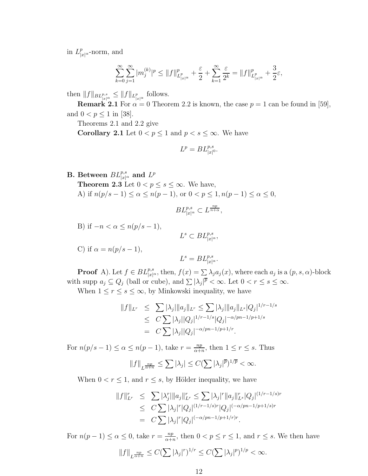in  $L_{|x|^{\alpha}}^p$ -norm, and

$$
\sum_{k=0}^{\infty} \sum_{j=1}^{\infty} |m_j^{(k)}|^p \le ||f||^p_{L^p_{|x|^{\alpha}}} + \frac{\varepsilon}{2} + \sum_{k=1}^{\infty} \frac{\varepsilon}{2^k} = ||f||^p_{L^p_{|x|^{\alpha}}} + \frac{3}{2}\varepsilon,
$$

then  $||f||_{BL^{p,s}_{|x|^{\alpha}}}\leq ||f||_{L^{p}_{|x|^{\alpha}}}$  follows.

**Remark 2.1** For  $\alpha = 0$  Theorem 2.2 is known, the case  $p = 1$  can be found in [59], and  $0 < p \le 1$  in [38].

Theorems 2.1 and 2.2 give

**Corollary 2.1** Let  $0 < p \le 1$  and  $p < s \le \infty$ . We have

$$
L^p = BL_{|x|^0}^{p,s}.
$$

B. Between  $BL^{p,s}_{|x|^{\alpha}}$  and  $L^p$ **Theorem 2.3** Let  $0 < p \leq s \leq \infty$ . We have, A) if  $n(p/s - 1) \le \alpha \le n(p - 1)$ , or  $0 < p \le 1$ ,  $n(p - 1) \le \alpha \le 0$ ,

$$
BL^{p,s}_{|x|^{\alpha}} \subset L^{\frac{np}{n+\alpha}},
$$

B) if  $-n < \alpha \leq n(p/s-1)$ ,

 $L^s \subset BL_{|x|^{\alpha}}^{p,s},$ 

C) if  $\alpha = n(p/s - 1)$ ,

$$
L^s = BL_{|x|^{\alpha}}^{p,s}.
$$

**Proof** A). Let  $f \in BL_{|x|^{\alpha}}^{p,s}$ , then,  $f(x) = \sum_{i} \lambda_i a_i(x)$ , where each  $a_j$  is a  $(p, s, \alpha)$ -block with supp  $a_j \subseteq Q_j$  (ball or cube), and  $\sum |\lambda_j|^{\overline{p}} < \infty$ . Let  $0 < r \le s \le \infty$ .

When  $1 \leq r \leq s \leq \infty$ , by Minkowski inequality, we have

$$
||f||_{L^r} \leq \sum |\lambda_j| ||a_j||_{L^r} \leq \sum |\lambda_j| ||a_j||_{L^s} |Q_j|^{1/r - 1/s}
$$
  
\n
$$
\leq C \sum |\lambda_j| |Q_j|^{1/r - 1/s} |Q_j|^{-\alpha/pn - 1/p + 1/s}
$$
  
\n
$$
= C \sum |\lambda_j| |Q_j|^{-\alpha/pn - 1/p + 1/r}.
$$

For  $n(p/s-1) \leq \alpha \leq n(p-1)$ , take  $r = \frac{np}{\alpha + 1}$  $\frac{np}{\alpha+n}$ , then  $1 \leq r \leq s$ . Thus

$$
||f||_{L^{\frac{np}{\alpha+n}}} \leq \sum |\lambda_j| \leq C(\sum |\lambda_j|^{\overline{p}})^{1/\overline{p}} < \infty.
$$

When  $0 < r \leq 1$ , and  $r \leq s$ , by Hölder inequality, we have

$$
||f||_{L^r}^r \leq \sum |\lambda_j^r| ||a_j||_{L^r}^r \leq \sum |\lambda_j|^r ||a_j||_{L^s}^r |Q_j|^{(1/r - 1/s)r}
$$
  
\n
$$
\leq C \sum |\lambda_j|^r |Q_j|^{(1/r - 1/s)r} |Q_j|^{(-\alpha/pn - 1/p + 1/s)r}
$$
  
\n
$$
= C \sum |\lambda_j|^r |Q_j|^{(-\alpha/pn - 1/p + 1/r)r}.
$$

For  $n(p-1) \leq \alpha \leq 0$ , take  $r = \frac{np}{\alpha+p}$  $\frac{np}{\alpha+n}$ , then  $0 < p \leq r \leq 1$ , and  $r \leq s$ . We then have

$$
||f||_{L^{\frac{np}{\alpha+n}}} \leq C(\sum |\lambda_j|^r)^{1/r} \leq C(\sum |\lambda_j|^p)^{1/p} < \infty.
$$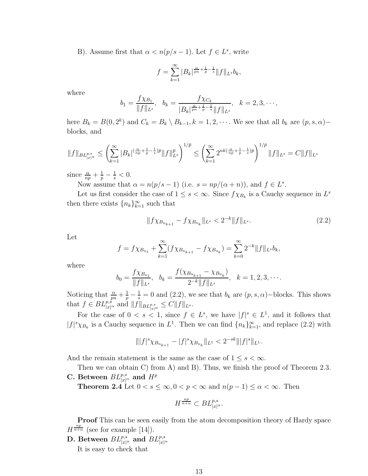B). Assume first that  $\alpha < n(p/s - 1)$ . Let  $f \in L^s$ , write

$$
f = \sum_{k=1}^{\infty} |B_k|^{\frac{\alpha}{pn} + \frac{1}{p} - \frac{1}{s}} \|f\|_{L^s} b_k,
$$

where

$$
b_1 = \frac{f \chi_{B_1}}{\|f\|_{L^s}}, \quad b_k = \frac{f \chi_{C_k}}{|B_k|^{\frac{\alpha}{pn} + \frac{1}{p} - \frac{1}{s}} \|f\|_{L^s}}, \quad k = 2, 3, \cdots,
$$

here  $B_k = B(0, 2^k)$  and  $C_k = B_k \setminus B_{k-1}, k = 1, 2, \cdots$ . We see that all  $b_k$  are  $(p, s, \alpha)$ blocks, and

$$
||f||_{BL_{|x|^{\alpha}}^{p,s}} \leq \left(\sum_{k=1}^{\infty} |B_k|^{\left(\frac{\alpha}{np} + \frac{1}{p} - \frac{1}{s}\right)\bar{p}}||f||_{L^s}^{\bar{p}}\right)^{1/\bar{p}} \leq \left(\sum_{k=1}^{\infty} 2^{nk\left(\frac{\alpha}{np} + \frac{1}{p} - \frac{1}{s}\right)\bar{p}}\right)^{1/\bar{p}}||f||_{L^s} = C||f||_{L^s}
$$

since  $\frac{\alpha}{np} + \frac{1}{p} - \frac{1}{s} < 0$ .

Now assume that  $\alpha = n(p/s - 1)$  (i.e.  $s = np/(\alpha + n)$ ), and  $f \in L^s$ .

Let us first consider the case of  $1 \leq s < \infty$ . Since  $f \chi_{B_k}$  is a Cauchy sequence in  $L^s$ then there exists  ${n_k}_{k=1}^{\infty}$  such that

$$
||f\chi_{B_{n_{k+1}}} - f\chi_{B_{n_k}}||_{L^s} < 2^{-k}||f||_{L^s}.
$$
\n(2.2)

Let

$$
f = f \chi_{B_{n_1}} + \sum_{k=1}^{\infty} (f \chi_{B_{n_{k+1}}} - f \chi_{B_{n_k}}) = \sum_{k=0}^{\infty} 2^{-k} ||f||_{L^s} b_k,
$$

where

$$
b_0 = \frac{f \chi_{B_{n_1}}}{\|f\|_{L^s}}, \quad b_k = \frac{f(\chi_{B_{n_{k+1}}} - \chi_{B_{n_k}})}{2^{-k} \|f\|_{L^s}}, \quad k = 1, 2, 3, \cdots.
$$

Noticing that  $\frac{\alpha}{pn} + \frac{1}{p} - \frac{1}{s} = 0$  and (2.2), we see that  $b_k$  are  $(p, s, \alpha)$ -blocks. This shows that  $f \in BL_{|x|^{\alpha}}^{p,\hat{s}}$  and  $||f||_{BL_{|x|^{\alpha}}^{p,s}} \leq C||f||_{L^{s}}$ .

For the case of  $0 < s < 1$ , since  $f \in L^s$ , we have  $|f|^s \in L^1$ , and it follows that  $|f|^s \chi_{B_k}$  is a Cauchy sequence in  $L^1$ . Then we can find  $\{n_k\}_{k=1}^{\infty}$ , and replace (2.2) with

$$
\||f|^s \chi_{B_{n_{k+1}}} - |f|^s \chi_{B_{n_k}}\|_{L^1} < 2^{-sk} \||f|^s \|_{L^1}.
$$

And the remain statement is the same as the case of  $1 \leq s < \infty$ .

Then we can obtain C) from A) and B). Thus, we finish the proof of Theorem 2.3. C. Between  $BL^{p,s}_{|x|^{\alpha}}$  and  $H^p$ 

**Theorem 2.4** Let  $0 < s \le \infty, 0 < p < \infty$  and  $n(p-1) \le \alpha < \infty$ . Then

$$
H^{\frac{np}{n+\alpha}} \subset BL_{|x|^{\alpha}}^{p,s}.
$$

Proof This can be seen easily from the atom decomposition theory of Hardy space  $H^{\frac{np}{n+\alpha}}$  (see for example [14]).

D. Between  $BL^{p,s}_{|x|^\alpha}$  and  $BL^{p,s}_{|x|^\alpha}$ It is easy to check that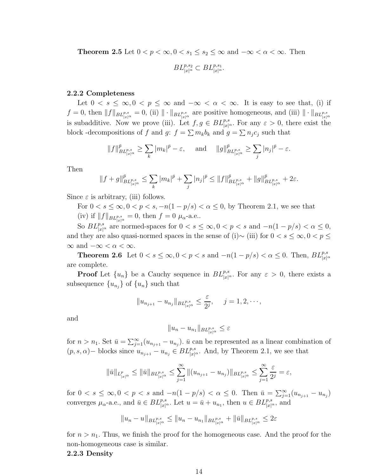**Theorem 2.5** Let  $0 < p < \infty, 0 < s_1 \leq s_2 \leq \infty$  and  $-\infty < \alpha < \infty$ . Then

$$
BL^{p,s_2}_{|x|^\alpha} \subset BL^{p,s_1}_{|x|^\alpha}.
$$

#### 2.2.2 Completeness

Let  $0 < s \leq \infty, 0 < p \leq \infty$  and  $-\infty < \alpha < \infty$ . It is easy to see that, (i) if  $f = 0$ , then  $||f||_{BL^{p,s}_{|x|^{\alpha}}}=0$ , (ii)  $||\cdot||_{BL^{p,s}_{|x|^{\alpha}}}$  are positive homogeneous, and (iii)  $||\cdot||_{BL^{p,s}_{|x|^{\alpha}}}$ is subadditive. Now we prove (iii). Let  $f, g \in BL^{p,s}_{|x|^{\alpha}}$ . For any  $\varepsilon > 0$ , there exist the block -decompositions of f and g:  $f = \sum m_k b_k$  and  $g = \sum n_j c_j$  such that

$$
||f||_{BL^{p,s}_{|x|^{\alpha}}}^{\bar{p}} \geq \sum_{k} |m_k|^{\bar{p}} - \varepsilon, \quad \text{ and } \quad ||g||_{BL^{p,s}_{|x|^{\alpha}}}^{\bar{p}} \geq \sum_{j} |n_j|^{\bar{p}} - \varepsilon.
$$

Then

$$
||f+g||^{\bar{p}}_{BL^{p,s}_{|x|^{\alpha}}} \leq \sum_{k} |m_k|^{\bar{p}} + \sum_{j} |n_j|^{\bar{p}} \leq ||f||^{\bar{p}}_{BL^{p,s}_{|x|^{\alpha}}} + ||g||^{\bar{p}}_{BL^{p,s}_{|x|^{\alpha}}} + 2\varepsilon.
$$

Since  $\varepsilon$  is arbitrary, (iii) follows.

For  $0 < s \leq \infty$ ,  $0 < p < s$ ,  $-n(1-p/s) < \alpha \leq 0$ , by Theorem 2.1, we see that (iv) if  $||f||_{BL^{p,s}_{|x|^{\alpha}}}=0$ , then  $f=0$   $\mu_{\alpha}$ -a.e..

So  $BL^{p,s}_{|x|^{\alpha}}$  are normed-spaces for  $0 < s \leq \infty, 0 < p < s$  and  $-n(1-p/s) < \alpha \leq 0$ , and they are also quasi-normed spaces in the sense of (i)∼ (iii) for  $0 < s \leq \infty, 0 < p \leq$  $\infty$  and  $-\infty < \alpha < \infty$ .

**Theorem 2.6** Let  $0 < s \le \infty, 0 < p < s$  and  $-n(1-p/s) < \alpha \le 0$ . Then,  $BL_{|x|^{\alpha}}^{p,s}$ are complete.

**Proof** Let  $\{u_n\}$  be a Cauchy sequence in  $BL_{|x|^{\alpha}}^{p,s}$ . For any  $\varepsilon > 0$ , there exists a subsequence  ${u_{n_j}}$  of  ${u_n}$  such that

$$
||u_{n_{j+1}} - u_{n_j}||_{BL^{p,s}_{|x|^{\alpha}}} \leq \frac{\varepsilon}{2^j}, \quad j = 1, 2, \cdots,
$$

and

$$
||u_n - u_{n_1}||_{BL_{|x|^{\alpha}}^{p,s}} \leq \varepsilon
$$

for  $n > n_1$ . Set  $\bar{u} = \sum_{j=1}^{\infty} (u_{n_{j+1}} - u_{n_j})$ .  $\bar{u}$  can be represented as a linear combination of  $(p, s, \alpha)$  – blocks since  $u_{n_{j+1}} - u_{n_j} \in BL_{|x|^{\alpha}}^{p,s}$ . And, by Theorem 2.1, we see that

$$
\|\bar{u}\|_{L^p_{|x|^{\alpha}}}\leq \|\bar{u}\|_{BL^{p,s}_{|x|^{\alpha}}}\leq \sum_{j=1}^{\infty}\|(u_{n_{j+1}}-u_{n_j})\|_{BL^{p,s}_{|x|^{\alpha}}}\leq \sum_{j=1}^{\infty}\frac{\varepsilon}{2^j}=\varepsilon,
$$

for  $0 < s \le \infty, 0 < p < s$  and  $-n(1-p/s) < \alpha \le 0$ . Then  $\bar{u} = \sum_{j=1}^{\infty} (u_{n_{j+1}} - u_{n_j})$ converges  $\mu_{\alpha}$ -a.e., and  $\bar{u} \in BL_{|x|^{\alpha}}^{p,s}$ . Let  $u = \bar{u} + u_{n_1}$ , then  $u \in BL_{|x|^{\alpha}}^{p,s}$ , and

$$
||u_n - u||_{BL^{p,s}_{|x|^{\alpha}}} \le ||u_n - u_{n_1}||_{BL^{p,s}_{|x|^{\alpha}}} + ||\bar{u}||_{BL^{p,s}_{|x|^{\alpha}}} \le 2\varepsilon
$$

for  $n > n_1$ . Thus, we finish the proof for the homogeneous case. And the proof for the non-homogeneous case is similar.

#### 2.2.3 Density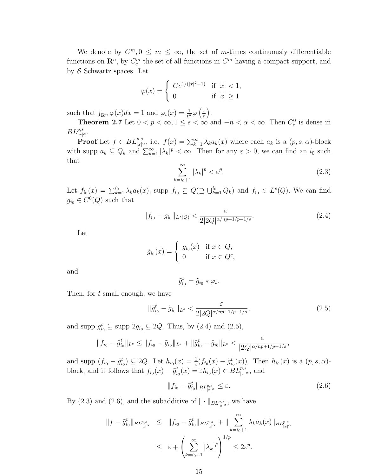We denote by  $C^m, 0 \leq m \leq \infty$ , the set of m-times continuously differentiable functions on  $\mathbb{R}^n$ , by  $C_c^m$  the set of all functions in  $C^m$  having a compact support, and by  $\mathcal S$  Schwartz spaces. Let

$$
\varphi(x) = \begin{cases} Ce^{1/(|x|^2 - 1)} & \text{if } |x| < 1, \\ 0 & \text{if } |x| \ge 1 \end{cases}
$$

such that  $\int_{\mathbf{R}^n} \varphi(x) dx = 1$  and  $\varphi_t(x) = \frac{1}{t^n} \varphi\left(\frac{x}{t}\right)$ t  $\big)$  .

**Theorem 2.7** Let  $0 < p < \infty, 1 \le s < \infty$  and  $-n < \alpha < \infty$ . Then  $C_c^0$  is dense in  $BL^{p,s}_{|x|^{\alpha}}$ .

**Proof** Let  $f \in BL_{|x|^{\alpha}}^{p,s}$ , i.e.  $f(x) = \sum_{k=1}^{\infty} \lambda_k a_k(x)$  where each  $a_k$  is a  $(p, s, \alpha)$ -block with supp  $a_k \subseteq Q_k$  and  $\sum_{k=1}^{\infty} |\lambda_k|^{\bar{p}} < \infty$ . Then for any  $\varepsilon > 0$ , we can find an  $i_0$  such that

$$
\sum_{k=i_0+1}^{\infty} |\lambda_k|^{\bar{p}} < \varepsilon^{\bar{p}}.\tag{2.3}
$$

Let  $f_{i_0}(x) = \sum_{k=1}^{i_0} \lambda_k a_k(x)$ , supp  $f_{i_0} \subseteq Q(\supseteq \bigcup_{k=1}^{i_0} Q_k)$  and  $f_{i_0} \in L^s(Q)$ . We can find  $g_{i_0} \in C^0(Q)$  such that

$$
||f_{i_0} - g_{i_0}||_{L^s(Q)} < \frac{\varepsilon}{2|2Q|^{\alpha/np + 1/p - 1/s}}.\tag{2.4}
$$

Let

$$
\tilde{g}_{i_0}(x) = \begin{cases} g_{i_0}(x) & \text{if } x \in Q, \\ 0 & \text{if } x \in Q^c, \end{cases}
$$

and

$$
\tilde{g}_{i_0}^t = \tilde{g}_{i_0} * \varphi_t.
$$

Then, for t small enough, we have

$$
\|\tilde{g}_{i_0}^t - \tilde{g}_{i_0}\|_{L^s} < \frac{\varepsilon}{2|2Q|^{\alpha/np + 1/p - 1/s}},\tag{2.5}
$$

and supp  $\tilde{g}_{i_0}^t \subseteq \text{supp } 2\tilde{g}_{i_0} \subseteq 2Q$ . Thus, by  $(2.4)$  and  $(2.5)$ ,

$$
||f_{i_0} - \tilde{g}_{i_0}^t||_{L^s} \le ||f_{i_0} - \tilde{g}_{i_0}||_{L^s} + ||\tilde{g}_{i_0}^t - \tilde{g}_{i_0}||_{L^s} < \frac{\varepsilon}{|2Q|^{\alpha/np + 1/p - 1/s}},
$$

and supp  $(f_{i_0} - \tilde{g}_{i_0}^t) \subseteq 2Q$ . Let  $h_{i_0}(x) = \frac{1}{\varepsilon}(f_{i_0}(x) - \tilde{g}_{i_0}^t(x))$ . Then  $h_{i_0}(x)$  is a  $(p, s, \alpha)$ block, and it follows that  $f_{i_0}(x) - \tilde{g}_{i_0}^t(x) = \varepsilon h_{i_0}(x) \in BL_{|x|^{\alpha}}^{p,s}$ , and

$$
||f_{i_0} - \tilde{g}_{i_0}^t||_{BL_{|x|^\alpha}^{p,s}} \le \varepsilon. \tag{2.6}
$$

By (2.3) and (2.6), and the subadditive of  $\|\cdot\|_{BL_{|x|^{\alpha}}^{p,s}}$ , we have

$$
||f - \tilde{g}_{i_0}^t||_{BL_{|x|^{\alpha}}^{p,s}} \le ||f_{i_0} - \tilde{g}_{i_0}^t||_{BL_{|x|^{\alpha}}^{p,s}} + ||\sum_{k=i_0+1}^{\infty} \lambda_k a_k(x)||_{BL_{|x|^{\alpha}}^{p,s}}
$$
  

$$
\le \varepsilon + \left(\sum_{k=i_0+1}^{\infty} |\lambda_k|^{\bar{p}}\right)^{1/\bar{p}} \le 2\varepsilon^p.
$$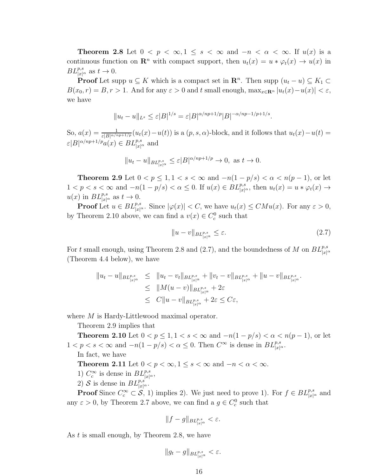**Theorem 2.8** Let  $0 < p < \infty, 1 \le s < \infty$  and  $-n < \alpha < \infty$ . If  $u(x)$  is a continuous function on  $\mathbb{R}^n$  with compact support, then  $u_t(x) = u * \varphi_t(x) \to u(x)$  in  $BL^{p,s}_{|x|^{\alpha}}$  as  $t \to 0$ .

**Proof** Let supp  $u \subseteq K$  which is a compact set in  $\mathbb{R}^n$ . Then supp  $(u_t - u) \subseteq K_1 \subset$  $B(x_0, r) = B, r > 1$ . And for any  $\varepsilon > 0$  and t small enough,  $\max_{x \in \mathbb{R}^n} |u_t(x) - u(x)| < \varepsilon$ , we have

$$
||u_t - u||_{L^s} \le \varepsilon |B|^{1/s} = \varepsilon |B|^{\alpha/np + 1/p} |B|^{-\alpha/np - 1/p + 1/s}.
$$

So,  $a(x) = \frac{1}{\varepsilon |B|^{\alpha/n} p + 1/p}} (u_t(x) - u(t))$  is a  $(p, s, \alpha)$ -block, and it follows that  $u_t(x) - u(t) =$  $\varepsilon |B|^{\alpha / np + 1/p} a(x) \in BL_{|x|^{\alpha}}^{p,s}$  and

$$
||u_t - u||_{BL^{p,s}_{|x|^\alpha}} \le \varepsilon |B|^{\alpha/np + 1/p} \to 0, \text{ as } t \to 0.
$$

**Theorem 2.9** Let  $0 < p \le 1, 1 < s < \infty$  and  $-n(1-p/s) < \alpha < n(p-1)$ , or let  $1 < p < s < \infty$  and  $-n(1-p/s) < \alpha \leq 0$ . If  $u(x) \in BL_{|x|^{\alpha}}^{p,s}$ , then  $u_t(x) = u * \varphi_t(x) \to$  $u(x)$  in  $BL^{p,s}_{|x|^{\alpha}}$  as  $t \to 0$ .

**Proof** Let  $u \in BL_{|x|^{\alpha}}^{p,s}$ . Since  $|\varphi(x)| < C$ , we have  $u_t(x) \leq CMu(x)$ . For any  $\varepsilon > 0$ , by Theorem 2.10 above, we can find a  $v(x) \in C_c^0$  such that

$$
||u - v||_{BL^{p,s}_{|x|^{\alpha}}} \le \varepsilon. \tag{2.7}
$$

For t small enough, using Theorem 2.8 and (2.7), and the boundedness of M on  $BL^{p,s}_{|x|^{\alpha}}$ (Theorem 4.4 below), we have

$$
||u_t - u||_{BL^{p,s}_{|x|^{\alpha}}} \le ||u_t - v_t||_{BL^{p,s}_{|x|^{\alpha}}} + ||v_t - v||_{BL^{p,s}_{|x|^{\alpha}}} + ||u - v||_{BL^{p,s}_{|x|^{\alpha}}}.
$$
  
\n
$$
\le ||M(u - v)||_{BL^{p,s}_{|x|^{\alpha}}} + 2\varepsilon
$$
  
\n
$$
\le C||u - v||_{BL^{p,s}_{|x|^{\alpha}}} + 2\varepsilon \le C\varepsilon,
$$

where M is Hardy-Littlewood maximal operator.

Theorem 2.9 implies that

**Theorem 2.10** Let  $0 < p \le 1, 1 < s < \infty$  and  $-n(1-p/s) < \alpha < n(p-1)$ , or let  $1 < p < s < \infty$  and  $-n(1-p/s) < \alpha \leq 0$ . Then  $C^{\infty}$  is dense in  $BL_{|x|^{\alpha}}^{p,s}$ .

In fact, we have

**Theorem 2.11** Let  $0 < p < \infty, 1 \le s < \infty$  and  $-n < \alpha < \infty$ .

- 1)  $C_c^{\infty}$  is dense in  $BL_{|x|^{\alpha}}^{p,s}$ ,
- 2) S is dense in  $BL^{p,s}_{|x|^{\alpha}}$ .

**Proof** Since  $C_c^{\infty} \subset S$ , 1) implies 2). We just need to prove 1). For  $f \in BL_{|x|^{\alpha}}^{p,s}$  and any  $\varepsilon > 0$ , by Theorem 2.7 above, we can find a  $g \in C_c^0$  such that

$$
||f-g||_{BL_{|x|^{\alpha}}^{p,s}} < \varepsilon.
$$

As t is small enough, by Theorem 2.8, we have

$$
||g_t - g||_{BL^{p,s}_{|x|^{\alpha}}}<\varepsilon.
$$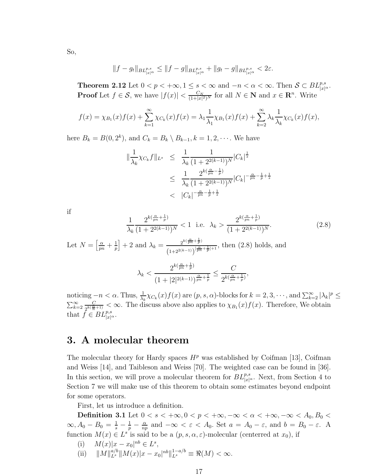$$
||f-g_t||_{BL^{p,s}_{|x|^{\alpha}}} \leq ||f-g||_{BL^{p,s}_{|x|^{\alpha}}} + ||g_t-g||_{BL^{p,s}_{|x|^{\alpha}}} < 2\varepsilon.
$$

**Theorem 2.12** Let  $0 < p < +\infty, 1 \le s < \infty$  and  $-n < \alpha < \infty$ . Then  $S \subset BL_{|x|^{\alpha}}^{p,s}$ . **Proof** Let  $f \in \mathcal{S}$ , we have  $|f(x)| < \frac{C_N}{(1+|x|)}$  $\frac{C_N}{(1+|x|^2)^N}$  for all  $N \in \mathbb{N}$  and  $x \in \mathbb{R}^n$ . Write

$$
f(x) = \chi_{B_1}(x) f(x) + \sum_{k=1}^{\infty} \chi_{C_k}(x) f(x) = \lambda_1 \frac{1}{\lambda_1} \chi_{B_1}(x) f(x) + \sum_{k=2}^{\infty} \lambda_k \frac{1}{\lambda_k} \chi_{C_k}(x) f(x),
$$

here  $B_k = B(0, 2^k)$ , and  $C_k = B_k \setminus B_{k-1}, k = 1, 2, \cdots$ . We have

$$
\|\frac{1}{\lambda_k} \chi_{C_k} f\|_{L^s} \leq \frac{1}{\lambda_k} \frac{1}{(1+2^{2(k-1)})^N} |C_k|^{\frac{1}{s}}
$$
  

$$
\leq \frac{1}{\lambda_k} \frac{2^{k(\frac{\alpha}{pn}-\frac{1}{p})}}{(1+2^{2(k-1)})^N} |C_k|^{-\frac{\alpha}{pn}-\frac{1}{p}+\frac{1}{s}}
$$
  

$$
< |C_k|^{-\frac{\alpha}{pn}-\frac{1}{p}+\frac{1}{s}}
$$

if

$$
\frac{1}{\lambda_k} \frac{2^{k(\frac{\alpha}{pn} + \frac{1}{p})}}{(1 + 2^{2(k-1)})^N} < 1 \text{ i.e. } \lambda_k > \frac{2^{k(\frac{\alpha}{pn} + \frac{1}{p})}}{(1 + 2^{2(k-1)})^N}.
$$
\nLet  $N = \left[\frac{\alpha}{pn} + \frac{1}{p}\right] + 2$  and  $\lambda_k = \frac{2^{k(\frac{\alpha}{pn} + \frac{1}{p})}}{(1 + 2^{2(k-1)})^{\frac{\alpha}{pn} + \frac{1}{p} + 1}}, \text{ then (2.8) holds, and}$ 

\n
$$
\lambda_k < \frac{2^{k(\frac{\alpha}{pn} + \frac{1}{p})}}{(1 + |2|^{2(k-1)})^{\frac{\alpha}{pn} + \frac{1}{p}}} \le \frac{C}{2^{k(\frac{\alpha}{pn} + \frac{1}{p})}},
$$
\n(2.8)

noticing  $-n < \alpha$ . Thus,  $\frac{1}{\lambda_k} \chi_{C_k}(x) f(x)$  are  $(p, s, \alpha)$ -blocks for  $k = 2, 3, \cdots$ , and  $\sum_{k=2}^{\infty} |\lambda_k|^p \le$  $\sum_{k=2}^{\infty} \frac{C}{2^{k(\frac{\alpha}{n})}}$  $\frac{C}{2^{k(\frac{\alpha}{n}+1)}} < \infty$ . The discuss above also applies to  $\chi_{B_1}(x) f(x)$ . Therefore, We obtain that  $\hat{f} \in B\mathcal{L}^{p,s}_{|x|^{\alpha}}$ .

# 3. A molecular theorem

The molecular theory for Hardy spaces  $H<sup>p</sup>$  was established by Coifman [13], Coifman and Weiss [14], and Taibleson and Weiss [70]. The weighted case can be found in [36]. In this section, we will prove a molecular theorem for  $BL^{p,s}_{|x|^{\alpha}}$ . Next, from Section 4 to Section 7 we will make use of this theorem to obtain some estimates beyond endpoint for some operators.

First, let us introduce a definition.

**Definition 3.1** Let  $0 < s < +\infty, 0 < p < +\infty, -\infty < \alpha < +\infty, -\infty < A_0, B_0 <$  $\infty, A_0 - B_0 = \frac{1}{s} - \frac{1}{p} - \frac{\alpha}{nq}$  $\frac{\alpha}{np}$  and  $-\infty < \varepsilon < A_0$ . Set  $a = A_0 - \varepsilon$ , and  $b = B_0 - \varepsilon$ . A function  $M(x) \in L^s$  is said to be a  $(p, s, \alpha, \varepsilon)$ -molecular (centerred at  $x_0$ ), if

(i) 
$$
M(x)|x - x_0|^{nb} \in L^s,
$$

(ii)  $||M||_{L^s}^{a/b}||M(x)|x - x_0|^{nb}||_{L^s}^{1-a/b} \equiv \Re(M) < \infty.$ 

So,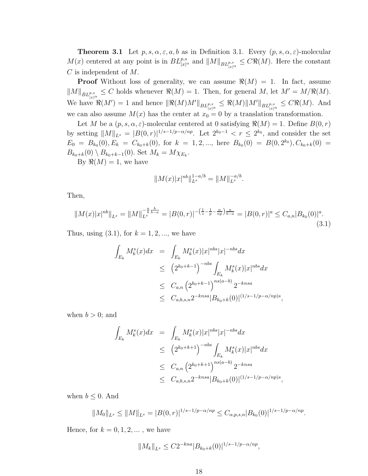**Theorem 3.1** Let  $p, s, \alpha, \varepsilon, a, b$  as in Definition 3.1. Every  $(p, s, \alpha, \varepsilon)$ -molecular  $M(x)$  centered at any point is in  $BL^{p,s}_{|x|^\alpha}$  and  $||M||_{BL^{p,s}_{|x|^\alpha}} \leq C\Re(M)$ . Here the constant C is independent of M.

**Proof** Without loss of generality, we can assume  $\Re(M) = 1$ . In fact, assume  $||M||_{\dot{B}L^{p,s}_{|x|^{\alpha}}}\leq C$  holds whenever  $\Re(M)=1$ . Then, for general M, let  $M'=M/\Re(M)$ . We have  $\Re(M') = 1$  and hence  $\|\Re(M)M'\|_{BL^{p,s}_{\lfloor x\rfloor^\alpha}} \leq \Re(M)\|M'\|_{BL^{p,s}_{\lfloor x\rfloor^\alpha}} \leq C\Re(M)$ . And we can also assume  $M(x)$  has the center at  $x_0 = 0$  by a translation transformation.

Let M be a  $(p, s, \alpha, \varepsilon)$ -molecular centered at 0 satisfying  $\Re(M) = 1$ . Define  $B(0, r)$ by setting  $||M||_{L^s} = |B(0,r)|^{1/s-1/p-\alpha/np}$ . Let  $2^{k_0-1} < r \le 2^{k_0}$ , and consider the set  $E_0 = B_{k_0}(0), E_k = C_{k_0+k}(0)$ , for  $k = 1, 2, ...,$  here  $B_{k_0}(0) = B(0, 2^{k_0})$ ,  $C_{k_0+k}(0) =$  $B_{k_0+k}(0) \setminus B_{k_0+k-1}(0)$ . Set  $M_k = M \chi_{E_k}$ .

By  $\Re(M) = 1$ , we have

$$
||M(x)|x|^{nb}||_{L^s}^{1-a/b} = ||M||_{L^s}^{-a/b}.
$$

Then,

$$
||M(x)|x|^{nb}||_{L^{s}} = ||M||_{L^{s}}^{-\frac{a}{b}\frac{b}{b-a}} = |B(0,r)|^{-\left(\frac{1}{s}-\frac{1}{p}-\frac{\alpha}{np}\right)\frac{a}{b-a}} = |B(0,r)|^{a} \le C_{a,n}|B_{k_{0}}(0)|^{a}.
$$
\n(3.1)

Thus, using  $(3.1)$ , for  $k = 1, 2, ...$ , we have

$$
\int_{E_k} M_k^s(x)dx = \int_{E_k} M_k^s(x)|x|^{nbs}|x|^{-nbs}dx
$$
  
\n
$$
\leq (2^{k_0+k-1})^{-nbs} \int_{E_k} M_k^s(x)|x|^{nbs}dx
$$
  
\n
$$
\leq C_{a,n} (2^{k_0+k-1})^{ns(a-b)} 2^{-knsa}
$$
  
\n
$$
\leq C_{a,b,s,n} 2^{-knsa} |B_{k_0+k}(0)|^{(1/s-1/p-\alpha/np)s},
$$

when  $b > 0$ ; and

$$
\int_{E_k} M_k^s(x)dx = \int_{E_k} M_k^s(x)|x|^{nbs}|x|^{-nbs}dx
$$
  
\n
$$
\leq (2^{k_0+k+1})^{-nbs} \int_{E_k} M_k^s(x)|x|^{nbs}dx
$$
  
\n
$$
\leq C_{a,n} (2^{k_0+k+1})^{ns(a-b)} 2^{-knsa}
$$
  
\n
$$
\leq C_{a,b,s,n} 2^{-knsa} |B_{k_0+k}(0)|^{(1/s-1/p-\alpha/np)s}
$$

,

when  $b \leq 0$ . And

$$
||M_0||_{L^s} \le ||M||_{L^s} = |B(0,r)|^{1/s-1/p-\alpha/np} \le C_{\alpha,p,s,n} |B_{k_0}(0)|^{1/s-1/p-\alpha/np}.
$$

Hence, for  $k = 0, 1, 2, \dots$ , we have

$$
||M_k||_{L^s} \le C2^{-kna} |B_{k_0+k}(0)|^{1/s-1/p-\alpha/np},
$$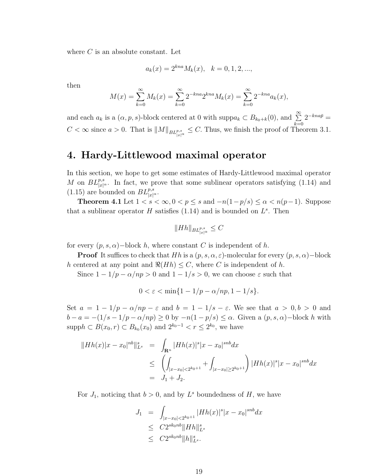where  $C$  is an absolute constant. Let

$$
a_k(x) = 2^{kna} M_k(x), \quad k = 0, 1, 2, \dots,
$$

then

$$
M(x) = \sum_{k=0}^{\infty} M_k(x) = \sum_{k=0}^{\infty} 2^{-kna} 2^{kna} M_k(x) = \sum_{k=0}^{\infty} 2^{-kna} a_k(x),
$$

and each  $a_k$  is a  $(\alpha, p, s)$ -block centered at 0 with supp $a_k \subset B_{k_0+k}(0)$ , and  $\sum_{k=0}^{\infty}$  $2^{-kna\bar{p}} =$  $C < \infty$  since  $a > 0$ . That is  $||M||_{BL^{p,s}_{|x|^{\alpha}}} \leq C$ . Thus, we finish the proof of Theorem 3.1.

# 4. Hardy-Littlewood maximal operator

In this section, we hope to get some estimates of Hardy-Littlewood maximal operator M on  $BL^{p,s}_{|x|^{\alpha}}$ . In fact, we prove that some sublinear operators satisfying (1.14) and (1.15) are bounded on  $BL^{p,s}_{|x|^{\alpha}}$ .

**Theorem 4.1** Let  $1 < s < \infty$ ,  $0 < p \le s$  and  $-n(1-p/s) \le \alpha < n(p-1)$ . Suppose that a sublinear operator H satisfies  $(1.14)$  and is bounded on  $L^s$ . Then

$$
||Hh||_{BL_{|x|^{\alpha}}^{p,s}} \leq C
$$

for every  $(p, s, \alpha)$  – block h, where constant C is independent of h.

**Proof** It suffices to check that Hh is a  $(p, s, \alpha, \varepsilon)$ -molecular for every  $(p, s, \alpha)$ -block h centered at any point and  $\Re(Hh) \leq C$ , where C is independent of h.

Since  $1 - 1/p - \alpha/np > 0$  and  $1 - 1/s > 0$ , we can choose  $\varepsilon$  such that

$$
0 < \varepsilon < \min\{1 - 1/p - \alpha/np, 1 - 1/s\}.
$$

Set  $a = 1 - 1/p - \alpha/np - \varepsilon$  and  $b = 1 - 1/s - \varepsilon$ . We see that  $a > 0, b > 0$  and  $b - a = -(1/s - 1/p - \alpha/np) \ge 0$  by  $-n(1 - p/s) \le \alpha$ . Given a  $(p, s, \alpha)$ -block h with supp $h \subset B(x_0, r) \subset B_{k_0}(x_0)$  and  $2^{k_0 - 1} < r \le 2^{k_0}$ , we have

$$
||Hh(x)|x - x_0|^{nb}||_{L^s}^s = \int_{\mathbf{R}^n} |Hh(x)|^s |x - x_0|^{snb} dx
$$
  
\n
$$
\leq \left( \int_{|x - x_0| < 2^{k_0 + 1}} + \int_{|x - x_0| \ge 2^{k_0 + 1}} \right) |Hh(x)|^s |x - x_0|^{snb} dx
$$
  
\n
$$
= J_1 + J_2.
$$

For  $J_1$ , noticing that  $b > 0$ , and by  $L^s$  boundedness of H, we have

$$
J_1 = \int_{|x-x_0| < 2^{k_0+1}} |Hh(x)|^s |x-x_0|^{snb} dx
$$
  
\n
$$
\leq C 2^{sk_0nb} \|Hh\|_{L^s}^s
$$
  
\n
$$
\leq C 2^{sk_0nb} \|h\|_{L^s}^s.
$$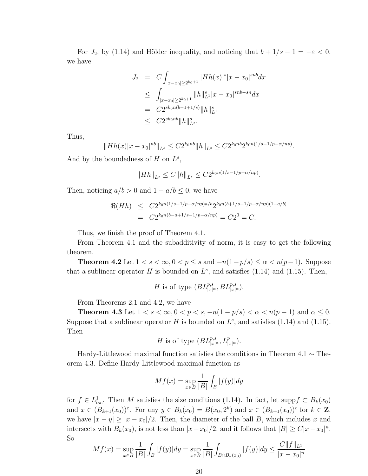For  $J_2$ , by (1.14) and Hölder inequality, and noticing that  $b + 1/s - 1 = -\varepsilon < 0$ , we have

$$
J_2 = C \int_{|x-x_0| \ge 2^{k_0+1}} |Hh(x)|^s |x-x_0|^{snb} dx
$$
  
\n
$$
\le \int_{|x-x_0| \ge 2^{k_0+1}} ||h||_{L^1}^s |x-x_0|^{snb - sn} dx
$$
  
\n
$$
= C2^{sk_0n(b-1+1/s)} ||h||_{L^1}^s
$$
  
\n
$$
\le C2^{sk_0nb} ||h||_{L^s}^s.
$$

Thus,

$$
||Hh(x)|x - x_0|^{nb}||_{L^s} \leq C2^{k_0nb}||h||_{L^s} \leq C2^{k_0nb}2^{k_0n(1/s - 1/p - \alpha/np)}.
$$

And by the boundedness of  $H$  on  $L^s$ ,

$$
||Hh||_{L^{s}} \leq C||h||_{L^{s}} \leq C2^{k_0 n(1/s - 1/p - \alpha/np)}.
$$

Then, noticing  $a/b > 0$  and  $1 - a/b \leq 0$ , we have

$$
\Re(Hh) \le C2^{k_0 n(1/s - 1/p - \alpha/np)a/b} 2^{k_0 n(b+1/s - 1/p - \alpha/np)(1 - a/b)}
$$
  
=  $C2^{k_0 n(b-a+1/s - 1/p - \alpha/np)} = C2^0 = C.$ 

Thus, we finish the proof of Theorem 4.1.

From Theorem 4.1 and the subadditivity of norm, it is easy to get the following theorem.

**Theorem 4.2** Let  $1 < s < \infty$ ,  $0 < p \le s$  and  $-n(1-p/s) \le \alpha < n(p-1)$ . Suppose that a sublinear operator H is bounded on  $L^s$ , and satisfies (1.14) and (1.15). Then,

H is of type 
$$
(BL_{|x|^{\alpha}}^{p,s}, BL_{|x|^{\alpha}}^{p,s}).
$$

From Theorems 2.1 and 4.2, we have

**Theorem 4.3** Let  $1 < s < \infty, 0 < p < s, -n(1-p/s) < \alpha < n(p-1)$  and  $\alpha \leq 0$ . Suppose that a sublinear operator H is bounded on  $L^s$ , and satisfies (1.14) and (1.15). Then

$$
H \text{ is of type } (BL_{|x|^{\alpha}}^{p,s}, L_{|x|^{\alpha}}^p).
$$

Hardy-Littlewood maximal function satisfies the conditions in Theorem 4.1 ∼ Theorem 4.3. Define Hardy-Littlewood maximal function as

$$
Mf(x) = \sup_{x \in B} \frac{1}{|B|} \int_B |f(y)| dy
$$

for  $f \in L^1_{loc}$ . Then M satisfies the size conditions (1.14). In fact, let supp $f \subset B_k(x_0)$ and  $x \in (B_{k+1}(x_0))^c$ . For any  $y \in B_k(x_0) = B(x_0, 2^k)$  and  $x \in (B_{k+1}(x_0))^c$  for  $k \in \mathbb{Z}$ , we have  $|x - y| \ge |x - x_0|/2$ . Then, the diameter of the ball B, which includes x and intersects with  $B_k(x_0)$ , is not less than  $|x-x_0|/2$ , and it follows that  $|B| \ge C|x-x_0|^n$ . So

$$
Mf(x) = \sup_{x \in B} \frac{1}{|B|} \int_B |f(y)| dy = \sup_{x \in B} \frac{1}{|B|} \int_{B \cap B_k(x_0)} |f(y)| dy \le \frac{C ||f||_{L^1}}{|x - x_0|^n}
$$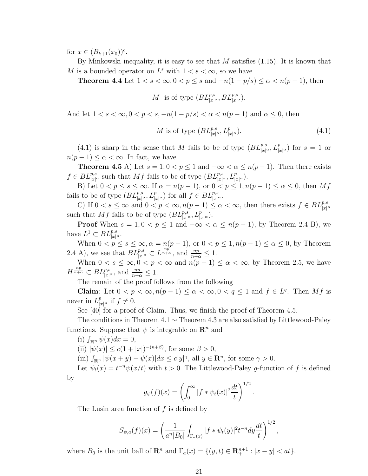for  $x \in (B_{k+1}(x_0))^c$ .

By Minkowski inequality, it is easy to see that  $M$  satisfies (1.15). It is known that M is a bounded operator on  $L^s$  with  $1 < s < \infty$ , so we have

**Theorem 4.4** Let  $1 < s < \infty$ ,  $0 < p \le s$  and  $-n(1-p/s) \le \alpha < n(p-1)$ , then

M is of type 
$$
(BL_{|x|^{\alpha}}^{p,s}, BL_{|x|^{\alpha}}^{p,s}).
$$

And let  $1 < s < \infty$ ,  $0 < p < s$ ,  $-n(1-p/s) < \alpha < n(p-1)$  and  $\alpha \leq 0$ , then

$$
M \text{ is of type } (BL_{|x|^{\alpha}}^{p,s}, L_{|x|^{\alpha}}^p). \tag{4.1}
$$

(4.1) is sharp in the sense that M fails to be of type  $(BL_{|x|^\alpha}^{p,s}, L_{|x|^\alpha}^p)$  for  $s=1$  or  $n(p-1) \leq \alpha < \infty$ . In fact, we have

**Theorem 4.5** A) Let  $s = 1, 0 < p \le 1$  and  $-\infty < \alpha \le n(p-1)$ . Then there exists  $f \in BL_{|x|^{\alpha}}^{p,s}$  such that  $Mf$  fails to be of type  $(BL_{|x|^{\alpha}}^{p,s}, L_{|x|^{\alpha}}^{p}).$ 

B) Let  $0 < p \le s \le \infty$ . If  $\alpha = n(p-1)$ , or  $0 < p \le 1, n(p-1) \le \alpha \le 0$ , then  $Mf$ fails to be of type  $(BL_{|x|^{\alpha}}^{p,s}, L_{|x|^{\alpha}}^p)$  for all  $f \in BL_{|x|^{\alpha}}^{p,s}$ .

C) If  $0 < s \leq \infty$  and  $0 < p < \infty$ ,  $n(p-1) \leq \alpha < \infty$ , then there exists  $f \in BL_{|x|^{\alpha}}^{p,s}$ such that Mf fails to be of type  $(BL^{p,s}_{|x|^\alpha}, L^p_{|x|^\alpha}).$ 

**Proof** When  $s = 1, 0 < p \le 1$  and  $-\infty < \alpha \le n(p-1)$ , by Theorem 2.4 B), we have  $L^1 \subset BL_{|x|^{\alpha}}^{p,s}.$ 

When  $0 < p \leq s \leq \infty, \alpha = n(p-1)$ , or  $0 < p \leq 1, n(p-1) \leq \alpha \leq 0$ , by Theorem 2.4 A), we see that  $BL^{p,s}_{|x|^{\alpha}} \subset L^{\frac{np}{n+\alpha}}$ , and  $\frac{np}{n+\alpha} \leq 1$ .

When  $0 < s \leq \infty, 0 < p < \infty$  and  $n(p-1) \leq \alpha < \infty$ , by Theorem 2.5, we have  $H^{\frac{np}{n+\alpha}} \subset BL^{p,s}_{|x|^\alpha}$ , and  $\frac{np}{n+\alpha} \leq 1$ .

The remain of the proof follows from the following

**Claim**: Let  $0 < p < \infty, n(p-1) \le \alpha < \infty, 0 < q \le 1$  and  $f \in L^q$ . Then Mf is never in  $L_{|x|^{\alpha}}^p$  if  $f \neq 0$ .

See [40] for a proof of Claim. Thus, we finish the proof of Theorem 4.5.

The conditions in Theorem 4.1  $\sim$  Theorem 4.3 are also satisfied by Littlewood-Paley functions. Suppose that  $\psi$  is integrable on  $\mathbb{R}^n$  and

(i)  $\int_{\mathbf{R}^n} \psi(x) dx = 0$ ,

(ii)  $|\psi(x)| \le c(1+|x|)^{-(n+\beta)}$ , for some  $\beta > 0$ ,

(iii)  $\int_{\mathbf{R}^n} |\psi(x+y) - \psi(x)| dx \leq c |y|^\gamma$ , all  $y \in \mathbf{R}^n$ , for some  $\gamma > 0$ .

Let  $\psi_t(x) = t^{-n} \psi(x/t)$  with  $t > 0$ . The Littlewood-Paley g-function of f is defined

by

$$
g_{\psi}(f)(x) = \left(\int_0^{\infty} |f * \psi_t(x)|^2 \frac{dt}{t}\right)^{1/2}
$$

.

The Lusin area function of  $f$  is defined by

$$
S_{\psi,a}(f)(x) = \left(\frac{1}{a^n|B_0|}\int_{\Gamma_a(x)}|f*\psi_t(y)|^2t^{-n}dy\frac{dt}{t}\right)^{1/2},\,
$$

where  $B_0$  is the unit ball of  $\mathbf{R}^n$  and  $\Gamma_a(x) = \{(y, t) \in \mathbf{R}^{n+1}_+ : |x - y| < at\}.$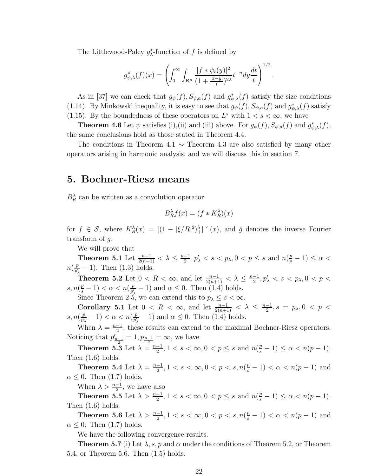The Littlewood-Paley  $g_{\lambda}^*$ -function of f is defined by

$$
g_{\psi,\lambda}^*(f)(x) = \left( \int_0^\infty \int_{\mathbf{R}^n} \frac{|f * \psi_t(y)|^2}{(1 + \frac{|x-y|}{t})^{2\lambda}} t^{-n} dy \frac{dt}{t} \right)^{1/2}.
$$

As in [37] we can check that  $g_{\psi}(f), S_{\psi,a}(f)$  and  $g_{\psi,\lambda}^*(f)$  satisfy the size conditions (1.14). By Minkowski inequality, it is easy to see that  $g_{\psi}(f)$ ,  $S_{\psi,a}(f)$  and  $g_{\psi,\lambda}^*(f)$  satisfy (1.15). By the boundedness of these operators on  $L^s$  with  $1 < s < \infty$ , we have

**Theorem 4.6** Let  $\psi$  satisfies (i),(ii) and (iii) above. For  $g_{\psi}(f)$ ,  $S_{\psi,a}(f)$  and  $g_{\psi,\lambda}^*(f)$ , the same conclusions hold as those stated in Theorem 4.4.

The conditions in Theorem 4.1  $\sim$  Theorem 4.3 are also satisfied by many other operators arising in harmonic analysis, and we will discuss this in section 7.

## 5. Bochner-Riesz means

 $B_R^{\lambda}$  can be written as a convolution operator

$$
B_R^{\lambda} f(x) = (f * K_R^{\lambda})(x)
$$

for  $f \in \mathcal{S}$ , where  $K_R^{\lambda}(x) = [(1 - |\xi/R|^2)^{\lambda}]^{\circ}(x)$ , and  $\check{g}$  denotes the inverse Fourier transform of g.

We will prove that

Theorem 5.1 Let  $\frac{n-1}{2(n+1)} < \lambda \leq \frac{n-1}{2}$  $\frac{-1}{2}, p'_{\lambda} < s < p_{\lambda}, 0 < p \leq s$  and  $n(\frac{p}{s}-1) \leq \alpha <$  $n(\frac{p}{n'})$  $\frac{p}{p'_\lambda} - 1$ . Then  $(1.3)$  holds.

Theorem 5.2 Let  $0 < R < \infty$ , and let  $\frac{n-1}{2(n+1)} < \lambda \leq \frac{n-1}{2}$  $\frac{-1}{2}, p'_{\lambda} < s < p_{\lambda}, 0 < p <$  $s, n(\frac{p}{s}-1) < \alpha < n(\frac{p}{p})$  $\frac{p}{p'_\lambda}-1$  and  $\alpha \leq 0$ . Then (1.4) holds.

Since Theorem 2.5, we can extend this to  $p_{\lambda} \leq s < \infty$ .

Corollary 5.1 Let  $0 \leq R \leq \infty$ , and let  $\frac{n-1}{2(n+1)} \leq \lambda \leq \frac{n-1}{2}$  $\frac{-1}{2}, s = p_{\lambda}, 0 \le p \le$  $s, n(\frac{p}{n})$  $\frac{p}{p_{\lambda}}-1$ ) <  $\alpha$  <  $n(\frac{p}{p'_{\lambda}})$  $\frac{p}{p'_\lambda}-1$  and  $\alpha \leq 0$ . Then (1.4) holds.

When  $\lambda = \frac{n-1}{2}$  $\frac{-1}{2}$ , these results can extend to the maximal Bochner-Riesz operators. Noticing that  $p'_{\frac{n-1}{2}} = 1, p_{\frac{n-1}{2}} = \infty$ , we have

**Theorem 5.3** Let  $\lambda = \frac{n-1}{2}$  $\frac{-1}{2}, 1 < s < \infty, 0 < p \leq s \text{ and } n(\frac{p}{s} - 1) \leq \alpha < n(p - 1).$ Then (1.6) holds.

**Theorem 5.4** Let  $\lambda = \frac{n-1}{2}$  $\frac{-1}{2}$ ,  $1 < s < \infty$ ,  $0 < p < s$ ,  $n(\frac{p}{s} - 1) < \alpha < n(p - 1)$  and  $\alpha \leq 0$ . Then (1.7) holds.

When  $\lambda > \frac{n-1}{2}$ , we have also

**Theorem 5.5** Let  $\lambda > \frac{n-1}{2}$ ,  $1 < s < \infty$ ,  $0 < p \le s$  and  $n(\frac{p}{s} - 1) \le \alpha < n(p - 1)$ . Then (1.6) holds.

Theorem 5.6 Let  $\lambda > \frac{n-1}{2}$ ,  $1 < s < \infty$ ,  $0 < p < s$ ,  $n(\frac{p}{s} - 1) < \alpha < n(p - 1)$  and  $\alpha \leq 0$ . Then (1.7) holds.

We have the following convergence results.

**Theorem 5.7** (i) Let  $\lambda$ , s, p and  $\alpha$  under the conditions of Theorem 5.2, or Theorem 5.4, or Theorem 5.6. Then (1.5) holds.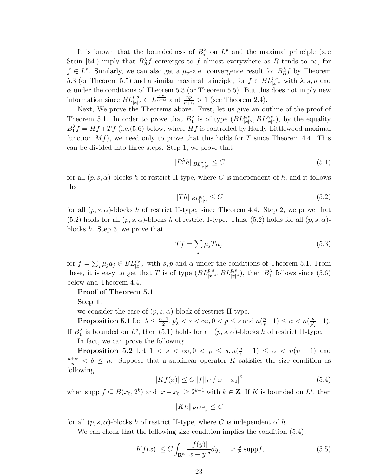It is known that the boundedness of  $B_*^{\lambda}$  on  $L^p$  and the maximal principle (see Stein [64]) imply that  $B_R^{\lambda} f$  converges to f almost everywhere as R tends to  $\infty$ , for  $f \in L^p$ . Similarly, we can also get a  $\mu_{\alpha}$ -a.e. convergence result for  $B_R^{\lambda} f$  by Theorem 5.3 (or Theorem 5.5) and a similar maximal principle, for  $f \in BL_{|x|^{\alpha}}^{p,s}$  with  $\lambda, s, p$  and  $\alpha$  under the conditions of Theorem 5.3 (or Theorem 5.5). But this does not imply new information since  $BL_{|x|^\alpha}^{p,s} \subset L^{\frac{np}{n+\alpha}}$  and  $\frac{np}{n+\alpha} > 1$  (see Theorem 2.4).

Next, We prove the Theorems above. First, let us give an outline of the proof of Theorem 5.1. In order to prove that  $B_1^{\lambda}$  is of type  $(BL_{|x|^{\alpha}}^{p,s}, BL_{|x|^{\alpha}}^{p,s})$ , by the equality  $B_1^{\lambda} f = Hf + Tf$  (i.e.(5.6) below, where  $Hf$  is controlled by Hardy-Littlewood maximal function  $Mf$ ), we need only to prove that this holds for T since Theorem 4.4. This can be divided into three steps. Step 1, we prove that

$$
||B_1^{\lambda}h||_{BL_{|x|^{\alpha}}^{p,s}} \le C \tag{5.1}
$$

for all  $(p, s, \alpha)$ -blocks h of restrict II-type, where C is independent of h, and it follows that

$$
||Th||_{BL_{|x|^{\alpha}}^{p,s}} \leq C \tag{5.2}
$$

for all  $(p, s, \alpha)$ -blocks h of restrict II-type, since Theorem 4.4. Step 2, we prove that  $(5.2)$  holds for all  $(p, s, \alpha)$ -blocks h of restrict I-type. Thus,  $(5.2)$  holds for all  $(p, s, \alpha)$ blocks h. Step 3, we prove that

$$
Tf = \sum_{j} \mu_j T a_j \tag{5.3}
$$

for  $f = \sum_j \mu_j a_j \in BL_{|x|^{\alpha}}^{p,s}$  with s, p and  $\alpha$  under the conditions of Theorem 5.1. From these, it is easy to get that T is of type  $(BL_{|x|^\alpha}^{p,s}, BL_{|x|^\alpha}^{p,s})$ , then  $B_1^\lambda$  follows since (5.6) below and Theorem 4.4.

#### Proof of Theorem 5.1

Step 1.

we consider the case of  $(p, s, \alpha)$ -block of restrict II-type.

**Proposition 5.1** Let  $\lambda \leq \frac{n-1}{2}$  $\frac{-1}{2}, p'_{\lambda} < s < \infty, 0 < p \leq s$  and  $n(\frac{p}{s}-1) \leq \alpha < n(\frac{p}{p'_{\lambda}})$  $\frac{p}{p'_\lambda}-1$ ). If  $B_1^{\lambda}$  is bounded on  $L^s$ , then (5.1) holds for all  $(p, s, \alpha)$ -blocks h of restrict II-type.

In fact, we can prove the following

**Proposition 5.2** Let  $1 < s < \infty, 0 < p \le s, n(\frac{p}{s} - 1) \le \alpha < n(p - 1)$  and  $n+\alpha$  $\frac{+\alpha}{p} < \delta \leq n$ . Suppose that a sublinear operator K satisfies the size condition as following

$$
|Kf(x)| \le C||f||_{L^{1}}/|x - x_{0}|^{\delta}
$$
\n(5.4)

when supp  $f \subseteq B(x_0, 2^k)$  and  $|x - x_0| \geq 2^{k+1}$  with  $k \in \mathbb{Z}$ . If K is bounded on  $L^s$ , then

$$
\|Kh\|_{BL^{p,s}_{|x|^\alpha}}\leq C
$$

for all  $(p, s, \alpha)$ -blocks h of restrict II-type, where C is independent of h.

We can check that the following size condition implies the condition  $(5.4)$ :

$$
|Kf(x)| \le C \int_{\mathbf{R}^n} \frac{|f(y)|}{|x - y|^{\delta}} dy, \quad x \notin \text{supp} f,
$$
 (5.5)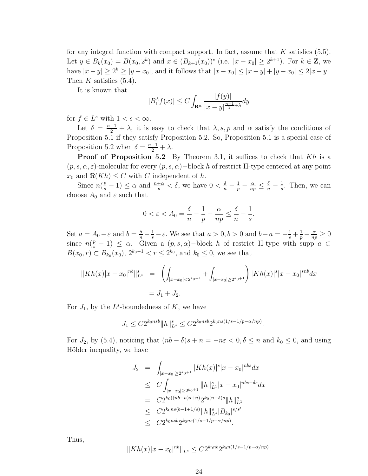for any integral function with compact support. In fact, assume that  $K$  satisfies (5.5). Let  $y \in B_k(x_0) = B(x_0, 2^k)$  and  $x \in (B_{k+1}(x_0))^c$  (i.e.  $|x - x_0| \geq 2^{k+1}$ ). For  $k \in \mathbb{Z}$ , we have  $|x - y| \ge 2^k \ge |y - x_0|$ , and it follows that  $|x - x_0| \le |x - y| + |y - x_0| \le 2|x - y|$ . Then K satisfies  $(5.4)$ .

It is known that

$$
|B_1^{\lambda} f(x)| \le C \int_{\mathbf{R}^n} \frac{|f(y)|}{|x - y|^{\frac{n+1}{2} + \lambda}} dy
$$

for  $f \in L^s$  with  $1 < s < \infty$ .

Let  $\delta = \frac{n+1}{2} + \lambda$ , it is easy to check that  $\lambda$ , s, p and  $\alpha$  satisfy the conditions of Proposition 5.1 if they satisfy Proposition 5.2. So, Proposition 5.1 is a special case of Proposition 5.2 when  $\delta = \frac{n+1}{2} + \lambda$ .

**Proof of Proposition 5.2** By Theorem 3.1, it suffices to check that  $Kh$  is a  $(p, s, \alpha, \varepsilon)$ -molecular for every  $(p, s, \alpha)$ -block h of restrict II-type centered at any point  $x_0$  and  $\Re(Kh) \leq C$  with C independent of h.

Since  $n(\frac{p}{s}-1) \leq \alpha$  and  $\frac{n+\alpha}{p} < \delta$ , we have  $0 < \frac{\delta}{n} - \frac{1}{p} - \frac{\alpha}{np} \leq \frac{\delta}{n} - \frac{1}{s}$  $\frac{1}{s}$ . Then, we can choose  $A_0$  and  $\varepsilon$  such that

$$
0 < \varepsilon < A_0 = \frac{\delta}{n} - \frac{1}{p} - \frac{\alpha}{np} \le \frac{\delta}{n} - \frac{1}{s}.
$$

Set  $a = A_0 - \varepsilon$  and  $b = \frac{\delta}{n} - \frac{1}{s} - \varepsilon$ . We see that  $a > 0, b > 0$  and  $b - a = -\frac{1}{s} + \frac{1}{p} + \frac{\alpha}{np} \ge 0$ since  $n(\frac{p}{s}-1) \leq \alpha$ . Given a  $(p, s, \alpha)$ -block h of restrict II-type with supp  $a \subset$  $B(x_0, r) \subset B_{k_0}(x_0), 2^{k_0-1} < r \le 2^{k_0}$ , and  $k_0 \le 0$ , we see that

$$
||Kh(x)|x - x_0|^{nb}||_{L^s}^s = \left(\int_{|x - x_0| < 2^{k_0 + 1}} + \int_{|x - x_0| \ge 2^{k_0 + 1}}\right) |Kh(x)|^s |x - x_0|^{snb} dx
$$
  
=  $J_1 + J_2$ .

For  $J_1$ , by the  $L^s$ -boundedness of  $K$ , we have

$$
J_1 \le C2^{k_0 n s b} \|h\|_{L^s}^s \le C2^{k_0 n s b} 2^{k_0 n s (1/s - 1/p - \alpha/n p)}.
$$

For  $J_2$ , by (5.4), noticing that  $(nb - \delta)s + n = -n\varepsilon < 0, \delta \le n$  and  $k_0 \le 0$ , and using Hölder inequality, we have

$$
J_2 = \int_{|x-x_0| \ge 2^{k_0+1}} |Kh(x)|^s |x-x_0|^{nbs} dx
$$
  
\n
$$
\le C \int_{|x-x_0| \ge 2^{k_0+1}} ||h||_{L^1}^s |x-x_0|^{nbs-\delta s} dx
$$
  
\n
$$
= C 2^{k_0((nb-n)s+n)} 2^{k_0(n-\delta)s} ||h||_{L^1}^s
$$
  
\n
$$
\le C 2^{k_0ns(b-1+1/s)} ||h||_{L^s}^s |B_{k_0}|^{s/s'}
$$
  
\n
$$
\le C 2^{k_0nsb} 2^{k_0ns(1/s-1/p-\alpha/np)}.
$$

Thus,

$$
||Kh(x)|x - x_0|^{nb}||_{L^s} \le C2^{k_0nb}2^{k_0n(1/s - 1/p - \alpha/np)}.
$$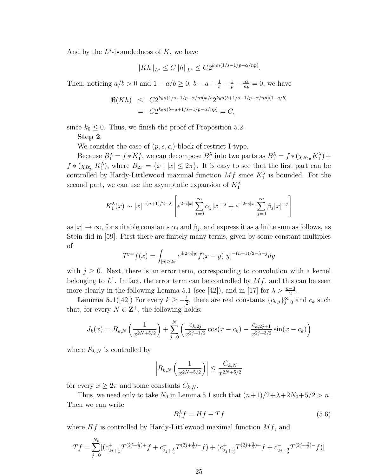And by the  $L^s$ -boundedness of  $K$ , we have

$$
||Kh||_{L^{s}} \leq C||h||_{L^{s}} \leq C2^{k_0n(1/s-1/p-\alpha/np)}.
$$

Then, noticing  $a/b > 0$  and  $1 - a/b \ge 0$ ,  $b - a + \frac{1}{s} - \frac{1}{p} - \frac{\alpha}{nq}$  $\frac{\alpha}{np} = 0$ , we have

$$
\mathfrak{R}(Kh) \leq C2^{k_0 n(1/s - 1/p - \alpha/np)a/b} 2^{k_0 n(b+1/s - 1/p - \alpha/np)(1 - a/b)} \n= C2^{k_0 n(b-a+1/s - 1/p - \alpha/np)} = C,
$$

since  $k_0 \leq 0$ . Thus, we finish the proof of Proposition 5.2.

#### Step 2.

We consider the case of  $(p, s, \alpha)$ -block of restrict I-type.

Because  $B_1^{\lambda} = f * K_1^{\lambda}$ , we can decompose  $B_1^{\lambda}$  into two parts as  $B_1^{\lambda} = f * (\chi_{B_{2\pi}} K_1^{\lambda}) +$  $f * (\chi_{B_{2\pi}^c} K_1^{\lambda})$ , where  $B_{2\pi} = \{x : |x| \leq 2\pi\}$ . It is easy to see that the first part can be controlled by Hardy-Littlewood maximal function  $Mf$  since  $K_1^{\lambda}$  is bounded. For the second part, we can use the asymptotic expansion of  $K_1^{\lambda}$ 

$$
K_1^{\lambda}(x) \sim |x|^{-(n+1)/2-\lambda} \left[ e^{2\pi i|x|} \sum_{j=0}^{\infty} \alpha_j |x|^{-j} + e^{-2\pi i|x|} \sum_{j=0}^{\infty} \beta_j |x|^{-j} \right]
$$

as  $|x| \to \infty$ , for suitable constants  $\alpha_j$  and  $\beta_j$ , and express it as a finite sum as follows, as Stein did in [59]. First there are finitely many terms, given by some constant multiples of

$$
T^{j\pm}f(x) = \int_{|y| \ge 2\pi} e^{\pm 2\pi i|y|} f(x - y)|y|^{-(n+1)/2 - \lambda - j} dy
$$

with  $j \geq 0$ . Next, there is an error term, corresponding to convolution with a kernel belonging to  $L^1$ . In fact, the error term can be controlled by  $Mf$ , and this can be seen more clearly in the following Lemma 5.1 (see [42]), and in [17] for  $\lambda > \frac{n-3}{2}$ .

**Lemma 5.1**([42]) For every  $k \ge -\frac{1}{2}$ , there are real constants  ${c_{k,j}}_{j=0}^{\infty}$  and  $c_k$  such that, for every  $N \in \mathbb{Z}^+$ , the following holds:

$$
J_k(x) = R_{k,N} \left( \frac{1}{x^{2N+5/2}} \right) + \sum_{j=0}^{N} \left( \frac{c_{k,2j}}{x^{2j+1/2}} \cos(x - c_k) - \frac{c_{k,2j+1}}{x^{2j+3/2}} \sin(x - c_k) \right)
$$

where  $R_{k,N}$  is controlled by

$$
\left| R_{k,N} \left( \frac{1}{x^{2N+5/2}} \right) \right| \le \frac{C_{k,N}}{x^{2N+5/2}}
$$

for every  $x \geq 2\pi$  and some constants  $C_{k,N}$ .

Thus, we need only to take  $N_0$  in Lemma 5.1 such that  $(n+1)/2+\lambda+2N_0+5/2 > n$ . Then we can write

$$
B_1^{\lambda} f = Hf + Tf \tag{5.6}
$$

where  $Hf$  is controlled by Hardy-Littlewood maximal function  $Mf$ , and

$$
Tf = \sum_{j=0}^{N_0} [(c_{2j+\frac{1}{2}}^+T^{(2j+\frac{1}{2})+} + c_{2j+\frac{1}{2}}^-T^{(2j+\frac{1}{2})-}f) + (c_{2j+\frac{3}{2}}^+T^{(2j+\frac{3}{2})+}f + c_{2j+\frac{3}{2}}^-T^{(2j+\frac{3}{2})-}f)]
$$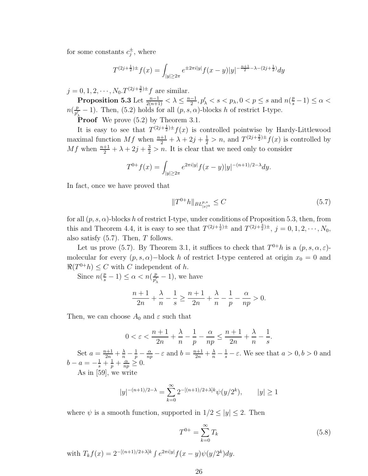for some constants  $c_j^{\pm}$ , where

$$
T^{(2j+\frac{1}{2})\pm}f(x) = \int_{|y|\geq 2\pi} e^{\pm 2\pi i|y|} f(x-y)|y|^{-\frac{n+1}{2}-\lambda - (2j+\frac{1}{2})} dy
$$

 $j = 0, 1, 2, \dots, N_0 \cdot T^{(2j + \frac{3}{2}) \pm} f$  are similar.

Proposition 5.3 Let  $\frac{n-1}{2(n+1)} < \lambda \leq \frac{n-1}{2}$  $\frac{-1}{2}, p'_{\lambda} < s < p_{\lambda}, 0 < p \leq s$  and  $n(\frac{p}{s}-1) \leq \alpha <$  $n(\frac{p}{n'})$  $\frac{p}{p'_\lambda}$  – 1). Then, (5.2) holds for all  $(p, s, \alpha)$ -blocks h of restrict I-type.

**Proof** We prove  $(5.2)$  by Theorem 3.1.

It is easy to see that  $T^{(2j+\frac{1}{2})\pm}f(x)$  is controlled pointwise by Hardy-Littlewood maximal function Mf when  $\frac{n+1}{2} + \lambda + 2j + \frac{1}{2} > n$ , and  $T^{(2j+\frac{3}{2})\pm}f(x)$  is controlled by Mf when  $\frac{n+1}{2} + \lambda + 2j + \frac{3}{2} > n$ . It is clear that we need only to consider

$$
T^{0+}f(x) = \int_{|y| \ge 2\pi} e^{2\pi i|y|} f(x-y)|y|^{-(n+1)/2-\lambda} dy.
$$

In fact, once we have proved that

$$
||T^{0+}h||_{BL^{p,s}_{|x|^\alpha}} \le C \tag{5.7}
$$

for all  $(p, s, \alpha)$ -blocks h of restrict I-type, under conditions of Proposition 5.3, then, from this and Theorem 4.4, it is easy to see that  $T^{(2j+\frac{1}{2})\pm}$  and  $T^{(2j+\frac{3}{2})\pm}$ ,  $j=0,1,2,\cdots,N_0$ , also satisfy  $(5.7)$ . Then,  $T$  follows.

Let us prove (5.7). By Theorem 3.1, it suffices to check that  $T^{0+}h$  is a  $(p, s, \alpha, \varepsilon)$ molecular for every  $(p, s, \alpha)$  – block h of restrict I-type centered at origin  $x_0 = 0$  and  $\Re(T^{0+}h) \leq C$  with C independent of h.

Since  $n(\frac{p}{s}-1) \leq \alpha < n(\frac{p}{p})$  $\frac{p}{p'_{\lambda}}-1$ , we have

$$
\frac{n+1}{2n}+\frac{\lambda}{n}-\frac{1}{s}\geq \frac{n+1}{2n}+\frac{\lambda}{n}-\frac{1}{p}-\frac{\alpha}{np}>0.
$$

Then, we can choose  $A_0$  and  $\varepsilon$  such that

$$
0 < \varepsilon < \frac{n+1}{2n} + \frac{\lambda}{n} - \frac{1}{p} - \frac{\alpha}{np} \le \frac{n+1}{2n} + \frac{\lambda}{n} - \frac{1}{s}.
$$

Set  $a = \frac{n+1}{2n} + \frac{\lambda}{n} - \frac{1}{p} - \frac{\alpha}{np} - \varepsilon$  and  $b = \frac{n+1}{2n} + \frac{\lambda}{n} - \frac{1}{s} - \varepsilon$ . We see that  $a > 0, b > 0$  and  $b - a = -\frac{1}{s} + \frac{1}{p} + \frac{\alpha}{np} \ge 0.$ 

As in [59], we write

$$
|y|^{-(n+1)/2-\lambda} = \sum_{k=0}^{\infty} 2^{-[(n+1)/2+\lambda]k} \psi(y/2^k), \qquad |y| \ge 1
$$

where  $\psi$  is a smooth function, supported in  $1/2 \le |y| \le 2$ . Then

$$
T^{0+} = \sum_{k=0}^{\infty} T_k
$$
\n(5.8)

with  $T_k f(x) = 2^{-[(n+1)/2 + \lambda]k} \int e^{2\pi i |y|} f(x - y) \psi(y/2^k) dy.$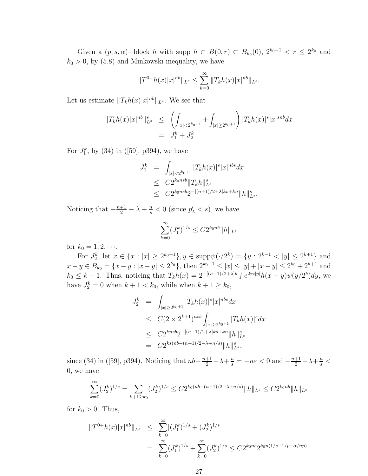Given a  $(p, s, \alpha)$ -block h with supp  $h \subset B(0,r) \subset B_{k_0}(0), 2^{k_0-1} < r \leq 2^{k_0}$  and  $k_0 > 0$ , by (5.8) and Minkowski inequality, we have

$$
||T^{0+}h(x)|x|^{nb}||_{L^{s}} \leq \sum_{k=0}^{\infty} ||T_{k}h(x)|x|^{nb}||_{L^{s}}.
$$

Let us estimate  $||T_k h(x)|x|^{nb}||_{L^s}$ . We see that

$$
||T_kh(x)|x|^{nb}||_{L^s}^s \leq \left(\int_{|x| < 2^{k_0+1}} + \int_{|x| \geq 2^{k_0+1}}\right) |T_kh(x)|^s |x|^{snb} dx
$$
  
=  $J_1^k + J_2^k$ .

For  $J_1^k$ , by (34) in ([59], p394), we have

$$
J_1^k = \int_{|x| < 2^{k_0+1}} |T_k h(x)|^s |x|^{nbs} dx
$$
  
\n
$$
\leq C 2^{k_0 nsb} \|T_k h\|_{L^s}^s
$$
  
\n
$$
\leq C 2^{k_0 nsb} 2^{-[(n+1)/2+\lambda]ks + kn} \|h\|_{L^s}^s.
$$

Noticing that  $-\frac{n+1}{2} - \lambda + \frac{n}{s} < 0$  (since  $p'_{\lambda} < s$ ), we have

$$
\sum_{k=0}^{\infty} (J_1^k)^{1/s} \le C2^{k_0nb} ||h||_{L^s}
$$

for  $k_0 = 1, 2, \cdots$ .

For  $J_2^k$ , let  $x \in \{x : |x| \ge 2^{k_0+1}\}, y \in \text{supp}\psi(\cdot/2^k) = \{y : 2^{k-1} < |y| \le 2^{k+1}\}$  and  $x - y \in B_{k_0} = \{x - y : |x - y| \leq 2^{k_0}\},\$  then  $2^{k_0+1} \leq |x| \leq |y| + |x - y| \leq 2^{k_0} + 2^{k+1}$  and  $k_0 \leq k+1$ . Thus, noticing that  $T_k h(x) = 2^{-[(n+1)/2+\lambda]k} \int e^{2\pi i |y|} h(x-y) \psi(y/2^k) dy$ , we have  $J_2^k = 0$  when  $k + 1 < k_0$ , while when  $k + 1 \ge k_0$ ,

$$
J_2^k = \int_{|x| \ge 2^{k_0+1}} |T_k h(x)|^s |x|^{nbs} dx
$$
  
\n
$$
\le C(2 \times 2^{k+1})^{nsb} \int_{|x| \ge 2^{k_0+1}} |T_k h(x)|^s dx
$$
  
\n
$$
\le C2^{knsb} 2^{-[(n+1)/2+\lambda]ks + kn} ||h||_{L^s}^s
$$
  
\n
$$
= C2^{ks(nb-(n+1)/2-\lambda+n/s)} ||h||_{L^s}^s,
$$

since (34) in ([59], p394). Noticing that  $nb - \frac{n+1}{2} - \lambda + \frac{n}{s} = -n\varepsilon < 0$  and  $-\frac{n+1}{2} - \lambda + \frac{n}{s} <$ 0, we have

$$
\sum_{k=0}^{\infty} (J_2^k)^{1/s} = \sum_{k+1 \ge k_0} (J_2^k)^{1/s} \le C2^{k_0(nb-(n+1)/2 - \lambda + n/s)} \|h\|_{L^s} \le C2^{k_0nb} \|h\|_{L^s}
$$

for  $k_0 > 0$ . Thus,

$$
||T^{0+}h(x)|x|^{nb}||_{L^{s}} \leq \sum_{k=0}^{\infty} [(J_1^k)^{1/s} + (J_2^k)^{1/s}]
$$
  
= 
$$
\sum_{k=0}^{\infty} (J_1^k)^{1/s} + \sum_{k=0}^{\infty} (J_2^k)^{1/s} \leq C2^{k_0nb} 2^{k_0 n (1/s - 1/p - \alpha/np)}.
$$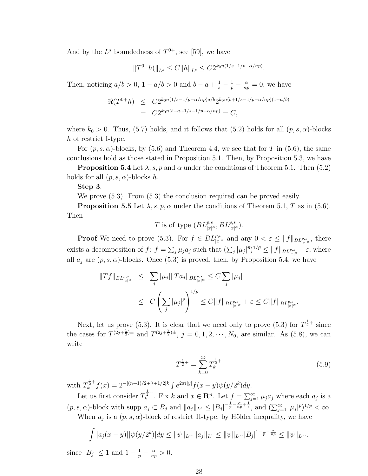And by the  $L^s$  boundedness of  $T^{0+}$ , see [59], we have

$$
||T^{0+}h(||_{L^s} \leq C||h||_{L^s} \leq C2^{k_0n(1/s-1/p-\alpha/np)}.
$$

Then, noticing  $a/b > 0$ ,  $1 - a/b > 0$  and  $b - a + \frac{1}{s} - \frac{1}{p} - \frac{\alpha}{nq}$  $\frac{\alpha}{np} = 0$ , we have

$$
\Re(T^{0+}h) \le C2^{k_0n(1/s-1/p-\alpha/np)a/b}2^{k_0n(b+1/s-1/p-\alpha/np)(1-a/b)}
$$
  
=  $C2^{k_0n(b-a+1/s-1/p-\alpha/np)} = C$ ,

where  $k_0 > 0$ . Thus, (5.7) holds, and it follows that (5.2) holds for all  $(p, s, \alpha)$ -blocks h of restrict I-type.

For  $(p, s, \alpha)$ -blocks, by (5.6) and Theorem 4.4, we see that for T in (5.6), the same conclusions hold as those stated in Proposition 5.1. Then, by Proposition 5.3, we have

**Proposition 5.4** Let  $\lambda$ , s, p and  $\alpha$  under the conditions of Theorem 5.1. Then (5.2) holds for all  $(p, s, \alpha)$ -blocks h.

#### Step 3.

We prove (5.3). From (5.3) the conclusion required can be proved easily.

**Proposition 5.5** Let  $\lambda$ , s, p,  $\alpha$  under the conditions of Theorem 5.1, T as in (5.6). Then

T is of type 
$$
(BL_{|x|^{\alpha}}^{p,s}, BL_{|x|^{\alpha}}^{p,s}).
$$

**Proof** We need to prove (5.3). For  $f \in BL_{|x|^{\alpha}}^{p,s}$  and any  $0 < \varepsilon \leq ||f||_{BL_{|x|^{\alpha}}^{p,s}}$ , there exists a decomposition of  $f: f = \sum_j \mu_j a_j$  such that  $(\sum_j |\mu_j|^{\bar{p}})^{1/\bar{p}} \le ||f||_{BL^{p,s}_{|x|^{\alpha}}} + \varepsilon$ , where all  $a_j$  are  $(p, s, \alpha)$ -blocks. Once (5.3) is proved, then, by Proposition 5.4, we have

$$
||Tf||_{BL_{|x|^{\alpha}}^{p,s}} \leq \sum_{j} |\mu_j| ||Ta_j||_{BL_{|x|^{\alpha}}^{p,s}} \leq C \sum_{j} |\mu_j|
$$
  
 
$$
\leq C \left( \sum_{j} |\mu_j|^{\bar{p}} \right)^{1/\bar{p}} \leq C ||f||_{BL_{|x|^{\alpha}}^{p,s}} + \varepsilon \leq C ||f||_{BL_{|x|^{\alpha}}^{p,s}}.
$$

Next, let us prove (5.3). It is clear that we need only to prove (5.3) for  $T^{\frac{1}{2}+}$  since the cases for  $T^{(2j+\frac{1}{2})\pm}$  and  $T^{(2j+\frac{3}{2})\pm}$ ,  $j = 0, 1, 2, \dots, N_0$ , are similar. As (5.8), we can write

$$
T^{\frac{1}{2}+} = \sum_{k=0}^{\infty} T_k^{\frac{1}{2}+} \tag{5.9}
$$

with  $T_k^{\frac{1}{2}+} f(x) = 2^{-[(n+1)/2 + \lambda + 1/2]k} \int e^{2\pi i |y|} f(x - y) \psi(y/2^k) dy.$ 

Let us first consider  $T_k^{\frac{1}{2}+}$ . Fix k and  $x \in \mathbb{R}^n$ . Let  $f = \sum_{j=1}^{\infty} \mu_j a_j$  where each  $a_j$  is a  $(p, s, \alpha)$ -block with supp  $a_j \subset B_j$  and  $||a_j||_{L^s} \leq |B_j|^{-\frac{1}{p} - \frac{\alpha}{np} + \frac{1}{s}}$ , and  $(\sum_{j=1}^{\infty} |\mu_j|^{p})^{1/p} < \infty$ . When  $a_j$  is a  $(p, s, \alpha)$ -block of restrict II-type, by Hölder inequality, we have

$$
\int |a_j(x-y)||\psi(y/2^k)|dy \le ||\psi||_{L^{\infty}}||a_j||_{L^1} \le ||\psi||_{L^{\infty}}|B_j|^{1-\frac{1}{p}-\frac{\alpha}{np}} \le ||\psi||_{L^{\infty}},
$$

since  $|B_j| \leq 1$  and  $1 - \frac{1}{p} - \frac{\alpha}{nq}$  $\frac{\alpha}{np} > 0.$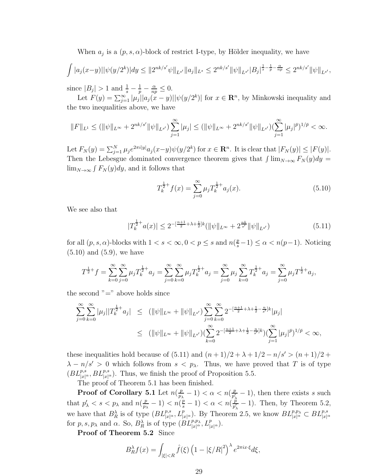When  $a_j$  is a  $(p, s, \alpha)$ -block of restrict I-type, by Hölder inequality, we have

$$
\int |a_j(x-y)||\psi(y/2^k)|dy \leq ||2^{nk/s'}\psi||_{L^{s'}}||a_j||_{L^{s}} \leq 2^{nk/s'}||\psi||_{L^{s'}}|B_j|^{\frac{1}{s}-\frac{1}{p}-\frac{\alpha}{np}} \leq 2^{nk/s'}||\psi||_{L^{s'}},
$$

since  $|B_j| > 1$  and  $\frac{1}{s} - \frac{1}{p} - \frac{\alpha}{np} \leq 0$ .

Let  $F(y) = \sum_{j=1}^{\infty} |\mu_j||a_j(x-y)||\psi(y/2^k)|$  for  $x \in \mathbb{R}^n$ , by Minkowski inequality and the two inequalities above, we have

$$
||F||_{L^{1}} \leq (||\psi||_{L^{\infty}} + 2^{nk/s'} ||\psi||_{L^{s'}}) \sum_{j=1}^{\infty} |\mu_{j}| \leq (||\psi||_{L^{\infty}} + 2^{nk/s'} ||\psi||_{L^{s'}}) (\sum_{j=1}^{\infty} |\mu_{j}|^{\bar{p}})^{1/\bar{p}} < \infty.
$$

Let  $F_N(y) = \sum_{j=1}^N \mu_j e^{2\pi i |y|} a_j(x-y) \psi(y/2^k)$  for  $x \in \mathbb{R}^n$ . It is clear that  $|F_N(y)| \leq |F(y)|$ . Then the Lebesgue dominated convergence theorem gives that  $\int \lim_{N\to\infty} F_N(y) dy =$  $\lim_{N\to\infty} \int F_N(y) dy$ , and it follows that

$$
T_k^{\frac{1}{2}+}f(x) = \sum_{j=0}^{\infty} \mu_j T_k^{\frac{1}{2}+} a_j(x).
$$
 (5.10)

We see also that

$$
|T_k^{\frac{1}{2}+}a(x)| \le 2^{-\left[\frac{n+1}{2} + \lambda + \frac{1}{2}\right]k} (\|\psi\|_{L^\infty} + 2^{\frac{nk}{s'}} \|\psi\|_{L^{s'}}) \tag{5.11}
$$

for all  $(p, s, \alpha)$ -blocks with  $1 < s < \infty$ ,  $0 < p \le s$  and  $n(\frac{p}{s}-1) \le \alpha < n(p-1)$ . Noticing  $(5.10)$  and  $(5.9)$ , we have

$$
T^{\frac{1}{2}+}f = \sum_{k=0}^{\infty} \sum_{j=0}^{\infty} \mu_j T_k^{\frac{1}{2}+} a_j = \sum_{j=0}^{\infty} \sum_{k=0}^{\infty} \mu_j T_k^{\frac{1}{2}+} a_j = \sum_{j=0}^{\infty} \mu_j \sum_{k=0}^{\infty} T_k^{\frac{1}{2}+} a_j = \sum_{j=0}^{\infty} \mu_j T^{\frac{1}{2}+} a_j,
$$

the second  $"="$  above holds since

$$
\sum_{j=0}^{\infty} \sum_{k=0}^{\infty} |\mu_j| |T_k^{\frac{1}{2}+} a_j| \le (||\psi||_{L^{\infty}} + ||\psi||_{L^{s'}}) \sum_{j=0}^{\infty} \sum_{k=0}^{\infty} 2^{-\left[\frac{n+1}{2} + \lambda + \frac{1}{2} - \frac{n}{s'}\right]k} |\mu_j|
$$
  

$$
\le (||\psi||_{L^{\infty}} + ||\psi||_{L^{s'}}) \left(\sum_{k=0}^{\infty} 2^{-\left[\frac{n+1}{2} + \lambda + \frac{1}{2} - \frac{n}{s'}\right]k}\right) \left(\sum_{j=1}^{\infty} |\mu_j|^{p}\right)^{1/p} < \infty,
$$

these inequalities hold because of (5.11) and  $(n+1)/2 + \lambda + 1/2 - n/s' > (n+1)/2 +$  $\lambda - n/s' > 0$  which follows from  $s < p_\lambda$ . Thus, we have proved that T is of type  $(BL^{p,s}_{|x|^\alpha}, BL^{p,s}_{|x|^\alpha})$ . Thus, we finish the proof of Proposition 5.5.

The proof of Theorem 5.1 has been finished.

**Proof of Corollary 5.1** Let  $n(\frac{p}{n})$  $\frac{p}{p_{\lambda}}-1$ ) <  $\alpha$  <  $n(\frac{p}{p'_{\lambda}})$  $\frac{p}{p'_\lambda}-1$ , then there exists s such that  $p'_{\lambda} < s < p_{\lambda}$  and  $n(\frac{p}{p_{\lambda}}-1) < n(\frac{p}{s}-1) < \alpha < n(\frac{p}{p'_{\lambda}})$  $\frac{p}{p_{\lambda}}-1$ )  $\lt n(\frac{p}{s}-1)$   $\lt \alpha \lt n(\frac{\hat{p}}{p_{\lambda}'}$  $\frac{p}{p'_\lambda}-1$ ). Then, by Theorem 5.2, we have that  $B_R^{\lambda}$  is of type  $(BL_{|x|^{\alpha}}^{p,s}, L_{|x|^{\alpha}}^p)$ . By Theorem 2.5, we know  $BL_{|x|^{\alpha}}^{p,p_{\lambda}} \subset BL_{|x|^{\alpha}}^{p,s}$ for p, s,  $p_{\lambda}$  and  $\alpha$ . So,  $B_R^{\lambda}$  is of type  $(BL_{|x|^{\alpha}}^{p,p_{\lambda}}, L_{|x|^{\alpha}}^{p})$ .

Proof of Theorem 5.2 Since

$$
B_R^{\lambda} f(x) = \int_{|\xi| < R} \hat{f}(\xi) \left(1 - |\xi/R|^2\right)^{\lambda} e^{2\pi i x \cdot \xi} d\xi,
$$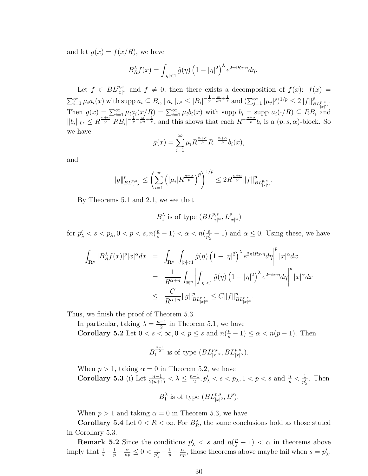and let  $g(x) = f(x/R)$ , we have

$$
B_R^{\lambda} f(x) = \int_{|\eta| < 1} \hat{g}(\eta) \left(1 - |\eta|^2\right)^{\lambda} e^{2\pi i R x \cdot \eta} d\eta.
$$

Let  $f \in BL^{p,s}_{|x|^{\alpha}}$  and  $f \neq 0$ , then there exists a decomposition of  $f(x)$ :  $f(x)$  =  $\sum_{i=1}^{\infty} \mu_i a_i(x)$  with supp  $a_i \subseteq B_i$ ,  $||a_i||_{L^s} \leq |B_i|^{-\frac{1}{p} - \frac{\alpha}{pn} + \frac{1}{s}}$  and  $(\sum_{j=1}^{\infty} |\mu_j|^{\bar{p}})^{1/\bar{p}} \leq 2||f||_{BL^{p,s}_{|x|^{\alpha}}}^p$ . Then  $g(x) = \sum_{i=1}^{\infty} \mu_i a_i(x/R) = \sum_{i=1}^{\infty} \mu_i b_i(x)$  with supp  $b_i = \text{supp } a_i(\cdot/R) \subseteq RB_i$  and  $||b_i||_{L^s} \leq R^{\frac{n+\alpha}{p}} |RB_i|^{-\frac{1}{p} - \frac{\alpha}{pn} + \frac{1}{s}}$ , and this shows that each  $R^{-\frac{n+\alpha}{p}}b_i$  is a  $(p, s, \alpha)$ -block. So we have

$$
g(x) = \sum_{i=1}^{\infty} \mu_i R^{\frac{n+\alpha}{p}} R^{-\frac{n+\alpha}{p}} b_i(x),
$$

and

$$
\|g\|_{BL^{p,s}_{|x|^{\alpha}}}^p \le \left(\sum_{i=1}^{\infty} \left(|\mu_i| R^{\frac{n+\alpha}{p}}\right)^{\bar{p}}\right)^{1/\bar{p}} \le 2R^{\frac{n+\alpha}{p}} \|f\|_{BL^{p,s}_{|x|^{\alpha}}}^p.
$$

By Theorems 5.1 and 2.1, we see that

 $B_1^{\lambda}$  is of type  $(BL_{|x|^{\alpha}}^{p,s}, L_{|x|^{\alpha}}^p)$ 

for  $p'_{\lambda} < s < p_{\lambda}, 0 < p < s, n(\frac{p}{s} - 1) < \alpha < n(\frac{p}{p'_{\lambda}})$  $\frac{p}{p'_\lambda} - 1$  and  $\alpha \leq 0$ . Using these, we have

$$
\int_{\mathbf{R}^n} |B_R^{\lambda} f(x)|^p |x|^{\alpha} dx = \int_{\mathbf{R}^n} \left| \int_{|\eta| < 1} \hat{g}(\eta) \left( 1 - |\eta|^2 \right)^{\lambda} e^{2\pi iRx \cdot \eta} d\eta \right|^p |x|^{\alpha} dx
$$
  
\n
$$
= \frac{1}{R^{\alpha+n}} \int_{\mathbf{R}^n} \left| \int_{|\eta| < 1} \hat{g}(\eta) \left( 1 - |\eta|^2 \right)^{\lambda} e^{2\pi i x \cdot \eta} d\eta \right|^p |x|^{\alpha} dx
$$
  
\n
$$
\leq \frac{C}{R^{\alpha+n}} \|g\|_{BL^{p,s}_{|x|^{\alpha}}}^p \leq C \|f\|_{BL^{p,s}_{|x|^{\alpha}}}^p.
$$

Thus, we finish the proof of Theorem 5.3.

In particular, taking  $\lambda = \frac{n-1}{2}$  $\frac{-1}{2}$  in Theorem 5.1, we have **Corollary 5.2** Let  $0 < s < \infty, 0 < p \le s$  and  $n(\frac{p}{s} - 1) \le \alpha < n(p - 1)$ . Then

$$
B_1^{\frac{n-1}{2}}
$$
 is of type  $(BL_{|x|^{\alpha}}^{p,s}, BL_{|x|^{\alpha}}^{p,s}).$ 

When  $p > 1$ , taking  $\alpha = 0$  in Theorem 5.2, we have Corollary 5.3 (i) Let  $\frac{n-1}{2(n+1)} < \lambda \leq \frac{n-1}{2}$  $\frac{-1}{2}, p'_{\lambda} < s < p_{\lambda}, 1 < p < s$  and  $\frac{n}{p} < \frac{1}{p'_{\lambda}}$  $\frac{1}{p'_\lambda}$ . Then

$$
B_1^{\lambda}
$$
 is of type  $(BL_{|x|^0}^{p,s}, L^p)$ .

When  $p > 1$  and taking  $\alpha = 0$  in Theorem 5.3, we have

**Corollary 5.4** Let  $0 < R < \infty$ . For  $B_R^{\lambda}$ , the same conclusions hold as those stated in Corollary 5.3.

**Remark 5.2** Since the conditions  $p'_{\lambda} < s$  and  $n(\frac{p}{s} - 1) < \alpha$  in theorems above imply that  $\frac{1}{s} - \frac{1}{p} - \frac{\alpha}{np} \leq 0 < \frac{1}{p'_2}$  $\frac{1}{p'_\lambda}-\frac{1}{p}-\frac{\alpha}{n p}$  $\frac{\alpha}{np}$ , those theorems above maybe fail when  $s = p'_{\lambda}$ .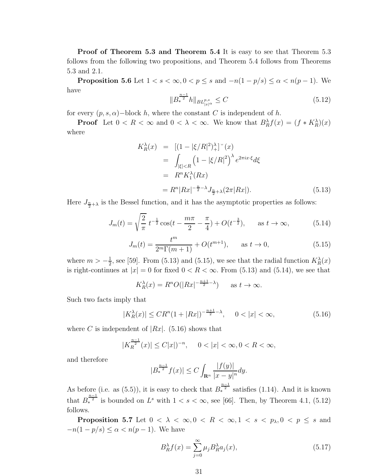Proof of Theorem 5.3 and Theorem 5.4 It is easy to see that Theorem 5.3 follows from the following two propositions, and Theorem 5.4 follows from Theorems 5.3 and 2.1.

**Proposition 5.6** Let  $1 < s < \infty, 0 < p \le s$  and  $-n(1-p/s) \le \alpha < n(p-1)$ . We have

$$
||B_*^{\frac{n-1}{2}}h||_{BL^{p,s}_{|x|^\alpha}} \leq C \tag{5.12}
$$

for every  $(p, s, \alpha)$  – block h, where the constant C is independent of h.

**Proof** Let  $0 < R < \infty$  and  $0 < \lambda < \infty$ . We know that  $B_R^{\lambda} f(x) = (f * K_R^{\lambda})(x)$ where

$$
K_R^{\lambda}(x) = [(1 - |\xi/R|^2)^{\lambda}_{+}]^{\circ}(x)
$$
  
= 
$$
\int_{|\xi| < R} (1 - |\xi/R|^2)^{\lambda} e^{2\pi i x \cdot \xi} d\xi
$$
  
= 
$$
R^{n} K_1^{\lambda}(Rx)
$$
  
= 
$$
R^{n} |Rx|^{-\frac{n}{2} - \lambda} J_{\frac{n}{2} + \lambda}(2\pi |Rx|).
$$
 (5.13)

Here  $J_{\frac{n}{2}+\lambda}$  is the Bessel function, and it has the asymptotic properties as follows:

$$
J_m(t) = \sqrt{\frac{2}{\pi}} \ t^{-\frac{1}{2}} \cos(t - \frac{m\pi}{2} - \frac{\pi}{4}) + O(t^{-\frac{3}{2}}), \quad \text{as } t \to \infty,
$$
 (5.14)

$$
J_m(t) = \frac{t^m}{2^m \Gamma(m+1)} + O(t^{m+1}), \quad \text{as } t \to 0,
$$
 (5.15)

where  $m > -\frac{1}{2}$  $\frac{1}{2}$ , see [59]. From (5.13) and (5.15), we see that the radial function  $K_R^{\lambda}(x)$ is right-continues at  $|x| = 0$  for fixed  $0 < R < \infty$ . From (5.13) and (5.14), we see that

$$
K_R^{\lambda}(x) = R^n O(|Rx|^{-\frac{n+1}{2}-\lambda}) \quad \text{as } t \to \infty.
$$

Such two facts imply that

$$
|K_R^{\lambda}(x)| \leq CR^n (1+|Rx|)^{-\frac{n+1}{2}-\lambda}, \quad 0<|x|<\infty,
$$
\n(5.16)

where C is independent of  $|Rx|$ . (5.16) shows that

$$
|K_R^{\frac{n-1}{2}}(x)| \le C|x|^{-n}, \quad 0 < |x| < \infty, 0 < R < \infty,
$$

and therefore

$$
|B_*^{\frac{n-1}{2}}f(x)| \le C \int_{\mathbf{R}^n} \frac{|f(y)|}{|x-y|^n} dy.
$$

As before (i.e. as (5.5)), it is easy to check that  $B_*^{\frac{n-1}{2}}$  satisfies (1.14). And it is known that  $B_*^{\frac{n-1}{2}}$  is bounded on  $L^s$  with  $1 < s < \infty$ , see [66]. Then, by Theorem 4.1, (5.12) follows.

**Proposition 5.7** Let  $0 < \lambda < \infty, 0 < R < \infty, 1 < s < p_\lambda, 0 < p \le s$  and  $-n(1-p/s) \leq \alpha < n(p-1)$ . We have

$$
B_R^{\lambda} f(x) = \sum_{j=0}^{\infty} \mu_j B_R^{\lambda} a_j(x), \qquad (5.17)
$$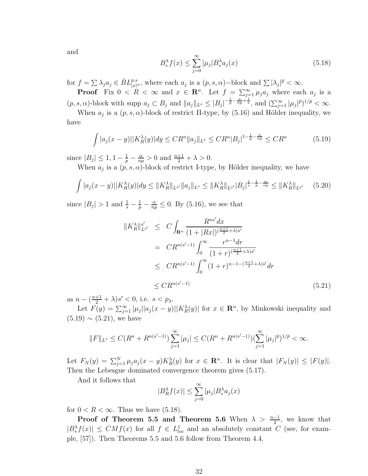and

$$
B^{\lambda}_{*} f(x) \leq \sum_{j=0}^{\infty} |\mu_j| B^{\lambda}_{*} a_j(x) \tag{5.18}
$$

for  $f = \sum \lambda_j a_j \in \dot{B}L^{p,s}_{|x|^{\alpha}}$ , where each  $a_j$  is a  $(p, s, \alpha)$ -block and  $\sum |\lambda_j|^{\bar{p}} < \infty$ .

**Proof** Fix  $0 < R < \infty$  and  $x \in \mathbb{R}^n$ . Let  $f = \sum_{j=1}^{\infty} \mu_j a_j$  where each  $a_j$  is a  $(p, s, \alpha)$ -block with supp  $a_j \subset B_j$  and  $||a_j||_{L^s} \leq |B_j|^{-\frac{1}{p} - \frac{\alpha}{np} + \frac{1}{s}}$ , and  $(\sum_{j=1}^{\infty} |\mu_j|^{p})^{1/p} < \infty$ .

When  $a_j$  is a  $(p, s, \alpha)$ -block of restrict II-type, by (5.16) and Hölder inequality, we have

$$
\int |a_j(x - y)| |K_R^{\lambda}(y)| dy \le C R^n \|a_j\|_{L^1} \le C R^n |B_j|^{1 - \frac{1}{p} - \frac{\alpha}{np}} \le C R^n \tag{5.19}
$$

since  $|B_j| \leq 1, 1 - \frac{1}{p} - \frac{\alpha}{nq}$  $\frac{\alpha}{np} > 0$  and  $\frac{n+1}{2} + \lambda > 0$ .

When  $a_j$  is a  $(p, s, \alpha)$ -block of restrict I-type, by Hölder inequality, we have

$$
\int |a_j(x - y)| |K_R^{\lambda}(y)| dy \le ||K_R^{\lambda}||_{L^{s'}} ||a_j||_{L^s} \le ||K_R^{\lambda}||_{L^{s'}} |B_j|^{\frac{1}{s} - \frac{1}{p} - \frac{\alpha}{np}} \le ||K_R^{\lambda}||_{L^{s'}} \tag{5.20}
$$

since  $|B_j| > 1$  and  $\frac{1}{s} - \frac{1}{p} - \frac{\alpha}{np} \leq 0$ . By (5.16), we see that

$$
||K_R^{\lambda}||_{L^{s'}}^{s'} \leq C \int_{\mathbf{R}^n} \frac{R^{ns'} dx}{(1+|Rx|)^{(\frac{n+1}{2}+\lambda)s'}} \\
= CR^{n(s'-1)} \int_0^{\infty} \frac{r^{n-1} dr}{(1+r)^{(\frac{n+1}{2}+\lambda)s'}} \\
\leq CR^{n(s'-1)} \int_0^{\infty} (1+r)^{n-1-(\frac{n+1}{2}+\lambda)s'} dr \\
\leq CR^{n(s'-1)} \tag{5.21}
$$

as  $n - \left(\frac{n+1}{2} + \lambda\right)s' < 0$ , i.e.  $s < p_{\lambda}$ .

Let  $F(y) = \sum_{j=1}^{\infty} |\mu_j||a_j(x-y)||K_R^{\lambda}(y)$  for  $x \in \mathbb{R}^n$ , by Minkowski inequality and  $(5.19) \sim (5.21)$ , we have

$$
||F||_{L^{1}} \leq C(R^{n} + R^{n(s'-1)}) \sum_{j=1}^{\infty} |\mu_{j}| \leq C(R^{n} + R^{n(s'-1)}) (\sum_{j=1}^{\infty} |\mu_{j}|^{\bar{p}})^{1/\bar{p}} < \infty.
$$

Let  $F_N(y) = \sum_{j=1}^N \mu_j a_j (x-y) K_R^{\lambda}(y)$  for  $x \in \mathbb{R}^n$ . It is clear that  $|F_N(y)| \leq |F(y)|$ . Then the Lebesgue dominated convergence theorem gives (5.17).

And it follows that

$$
|B_R^{\lambda} f(x)| \le \sum_{j=0}^{\infty} |\mu_j| B_{*}^{\lambda} a_j(x)
$$

for  $0 < R < \infty$ . Thus we have  $(5.18)$ .

**Proof of Theorem 5.5 and Theorem 5.6** When  $\lambda > \frac{n-1}{2}$ , we know that  $|B^{\lambda}_{*}f(x)| \le CMf(x)$  for all  $f \in L^{1}_{loc}$  and an absolutely constant C (see, for example, [57]). Then Theorems 5.5 and 5.6 follow from Theorem 4.4.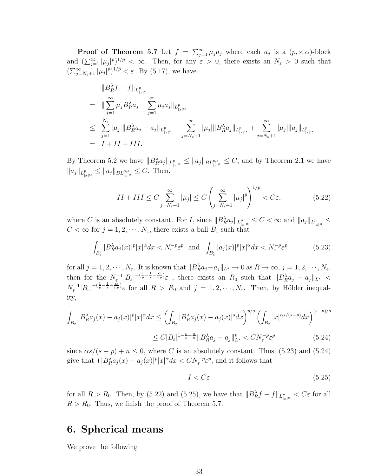**Proof of Theorem 5.7** Let  $f = \sum_{j=1}^{\infty} \mu_j a_j$  where each  $a_j$  is a  $(p, s, \alpha)$ -block and  $(\sum_{j=1}^{\infty}|\mu_j|^{\bar{p}})^{1/\bar{p}} < \infty$ . Then, for any  $\varepsilon > 0$ , there exists an  $N_{\varepsilon} > 0$  such that  $(\sum_{j=N_{\varepsilon}+1}^{\infty}|\mu_j|^{\bar{p}})^{1/\bar{p}} < \varepsilon$ . By (5.17), we have

$$
\|B_R^{\lambda} f - f\|_{L_{|x|\alpha}^p}
$$
\n
$$
= \|\sum_{j=1}^{\infty} \mu_j B_R^{\lambda} a_j - \sum_{j=1}^{\infty} \mu_j a_j \|_{L_{|x|\alpha}^p}
$$
\n
$$
\leq \sum_{j=1}^{N_{\varepsilon}} |\mu_j| \|B_R^{\lambda} a_j - a_j \|_{L_{|x|\alpha}^p} + \sum_{j=N_{\varepsilon}+1}^{\infty} |\mu_j| \|B_R^{\lambda} a_j \|_{L_{|x|\alpha}^p} + \sum_{j=N_{\varepsilon}+1}^{\infty} |\mu_j| \|a_j\|_{L_{|x|\alpha}^p}
$$
\n
$$
= I + II + III.
$$

By Theorem 5.2 we have  $||B_R^{\lambda}a_j||_{L_{|x|^{\alpha}}^p} \leq ||a_j||_{BL_{|x|^{\alpha}}^{p,s}} \leq C$ , and by Theorem 2.1 we have  $||a_j||_{L_{|x|^{\alpha}}^p} \leq ||a_j||_{BL_{|x|^{\alpha}}^{p,s}} \leq C.$  Then,

$$
II + III \le C \sum_{j=N_{\varepsilon}+1}^{\infty} |\mu_j| \le C \left( \sum_{j=N_{\varepsilon}+1}^{\infty} |\mu_j|^{\bar{p}} \right)^{1/\bar{p}} < C \varepsilon,
$$
 (5.22)

where C is an absolutely constant. For I, since  $||B_R^{\lambda}a_j||_{L_{|x|^{\alpha}}^p} \leq C < \infty$  and  $||a_j||_{L_{|x|^{\alpha}}^p} \leq$  $C < \infty$  for  $j = 1, 2, \dots, N_{\varepsilon}$ , there exists a ball  $B_{\varepsilon}$  such that

$$
\int_{B_{\varepsilon}^{c}} |B_{R}^{\lambda} a_j(x)|^p |x|^{\alpha} dx < N_{\varepsilon}^{-p} \varepsilon^p \quad \text{and} \quad \int_{B_{\varepsilon}^{c}} |a_j(x)|^p |x|^{\alpha} dx < N_{\varepsilon}^{-p} \varepsilon^p \tag{5.23}
$$

for all  $j = 1, 2, \dots, N_{\varepsilon}$ . It is known that  $||B_R^{\lambda}a_j - a_j||_{L^s} \to 0$  as  $R \to \infty$ ,  $j = 1, 2, \dots, N_{\varepsilon}$ , then for the  $N_{\varepsilon}^{-1}|B_{\varepsilon}|^{-(\frac{1}{p}-\frac{1}{s}-\frac{\alpha}{np})}\varepsilon$ , there exists an  $R_0$  such that  $||B_R^{\lambda}a_j - a_j||_{L^s}$  $N_{\varepsilon}^{-1}|B_{\varepsilon}|^{-(\frac{1}{p}-\frac{1}{s}-\frac{\alpha}{np})}\varepsilon$  for all  $R > R_0$  and  $j = 1, 2, \cdots, N_{\varepsilon}$ . Then, by Hölder inequality,

$$
\int_{B_{\varepsilon}} |B_{R}^{\lambda} a_j(x) - a_j(x)|^p |x|^{\alpha} dx \le \left( \int_{B_{\varepsilon}} |B_{R}^{\lambda} a_j(x) - a_j(x)|^s dx \right)^{p/s} \left( \int_{B_{\varepsilon}} |x|^{\alpha s/(s-p)} dx \right)^{(s-p)/s}
$$
  

$$
\le C |B_{\varepsilon}|^{1 - \frac{p}{s} - \frac{\alpha}{n}} ||B_{R}^{\lambda} a_j - a_j||_{L^s}^p < C N_{\varepsilon}^{-p} \varepsilon^p
$$
(5.24)

since  $\alpha s/(s-p) + n \leq 0$ , where C is an absolutely constant. Thus, (5.23) and (5.24) give that  $\int |B_R^{\lambda} a_j(x) - a_j(x)|^p |x|^{\alpha} dx < CN_{\varepsilon}^{-p} \varepsilon^p$ , and it follows that

$$
I < C\varepsilon \tag{5.25}
$$

for all  $R > R_0$ . Then, by (5.22) and (5.25), we have that  $||B_R^{\lambda}f - f||_{L_{|x|^{\alpha}}^p} < C\varepsilon$  for all  $R > R_0$ . Thus, we finish the proof of Theorem 5.7.

# 6. Spherical means

We prove the following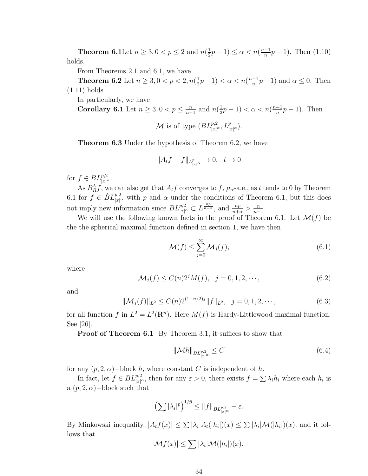**Theorem 6.1** Let  $n \geq 3, 0 < p \leq 2$  and  $n(\frac{1}{2})$  $(\frac{1}{2}p-1) \leq \alpha < n(\frac{n-1}{n})$  $\frac{-1}{n}p-1$ ). Then  $(1.10)$ holds.

From Theorems 2.1 and 6.1, we have

**Theorem 6.2** Let  $n \geq 3, 0 < p < 2, n(\frac{1}{2})$  $(\frac{1}{2}p-1) < \alpha < n(\frac{n-1}{n})$  $\frac{-1}{n}p-1$ ) and  $\alpha \leq 0$ . Then (1.11) holds.

In particularly, we have

Corollary 6.1 Let 
$$
n \ge 3, 0 < p \le \frac{n}{n-1}
$$
 and  $n(\frac{1}{2}p - 1) < \alpha < n(\frac{n-1}{n}p - 1)$ . Then  

$$
\mathcal{M} \text{ is of type } (BL_{|x|^{\alpha}}^{p,2}, L_{|x|^{\alpha}}^p).
$$

Theorem 6.3 Under the hypothesis of Theorem 6.2, we have

$$
||A_t f - f||_{L^p_{|x|^\alpha}} \to 0, \quad t \to 0
$$

for  $f \in BL_{|x|^{\alpha}}^{p,2}$ .

As  $B_R^{\lambda} f$ , we can also get that  $A_t f$  converges to  $f$ ,  $\mu_{\alpha}$ -a.e., as t tends to 0 by Theorem 6.1 for  $f \in \dot{B}L^{p,2}_{|x|^{\alpha}}$  with p and  $\alpha$  under the conditions of Theorem 6.1, but this does not imply new information since  $BL^{p,2}_{|x|^{\alpha}} \subset L^{\frac{np}{n+\alpha}}$ , and  $\frac{np}{n+\alpha} > \frac{n}{n-\alpha}$  $\frac{n}{n-1}$ .

We will use the following known facts in the proof of Theorem 6.1. Let  $\mathcal{M}(f)$  be the the spherical maximal function defined in section 1, we have then

$$
\mathcal{M}(f) \le \sum_{j=0}^{\infty} \mathcal{M}_j(f),\tag{6.1}
$$

where

$$
\mathcal{M}_j(f) \le C(n)2^j M(f), \quad j = 0, 1, 2, \cdots,
$$
\n(6.2)

and

$$
\|\mathcal{M}_j(f)\|_{L^2} \le C(n)2^{(1-n/2)j} \|f\|_{L^2}, \quad j = 0, 1, 2, \cdots,
$$
\n(6.3)

for all function f in  $L^2 = L^2(\mathbf{R}^n)$ . Here  $M(f)$  is Hardy-Littlewood maximal function. See [26].

Proof of Theorem 6.1 By Theorem 3.1, it suffices to show that

$$
\|\mathcal{M}h\|_{BL_{|x|^{\alpha}}^{p,2}} \le C \tag{6.4}
$$

for any  $(p, 2, \alpha)$  – block h, where constant C is independent of h.

In fact, let  $f \in BL^{p,2}_{|x|^{\alpha}}$ , then for any  $\varepsilon > 0$ , there exists  $f = \sum_{i} \lambda_i h_i$  where each  $h_i$  is a  $(p, 2, \alpha)$  – block such that

$$
\left(\sum |\lambda_i|^{\bar{p}}\right)^{1/\bar{p}} \leq \|f\|_{BL^{p,2}_{|x|^\alpha}} + \varepsilon.
$$

By Minkowski inequality,  $|A_t f(x)| \leq \sum |\lambda_i| A_t(|h_i|)(x) \leq \sum |\lambda_i| M(|h_i|)(x)$ , and it follows that

$$
\mathcal{M}f(x)| \leq \sum |\lambda_i| \mathcal{M}(|h_i|)(x).
$$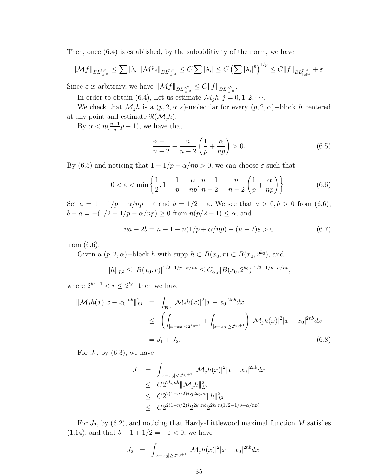Then, once (6.4) is established, by the subadditivity of the norm, we have

$$
\|\mathcal{M}f\|_{BL^{p,2}_{|x|^{\alpha}}} \leq \sum |\lambda_i| \|\mathcal{M}h_i\|_{BL^{p,2}_{|x|^{\alpha}}} \leq C \sum |\lambda_i| \leq C \left(\sum |\lambda_i|^{\bar{p}}\right)^{1/\bar{p}} \leq C \|f\|_{BL^{p,2}_{|x|^{\alpha}}} + \varepsilon.
$$

Since  $\varepsilon$  is arbitrary, we have  $||\mathcal{M}f||_{BL^{p,2}_{|x|^\alpha}} \leq C||f||_{BL^{p,2}_{|x|^\alpha}}$ .

In order to obtain (6.4), Let us estimate  $\mathcal{M}_j h, j = 0, 1, 2, \cdots$ .

We check that  $\mathcal{M}_i h$  is a  $(p, 2, \alpha, \varepsilon)$ -molecular for every  $(p, 2, \alpha)$ -block h centered at any point and estimate  $\Re(M_jh)$ .

By  $\alpha < n(\frac{n-1}{n})$  $\frac{-1}{n}p-1$ , we have that

$$
\frac{n-1}{n-2} - \frac{n}{n-2} \left( \frac{1}{p} + \frac{\alpha}{np} \right) > 0.
$$
 (6.5)

By (6.5) and noticing that  $1 - 1/p - \alpha/np > 0$ , we can choose  $\varepsilon$  such that

$$
0 < \varepsilon < \min\left\{\frac{1}{2}, 1 - \frac{1}{p} - \frac{\alpha}{np}, \frac{n-1}{n-2} - \frac{n}{n-2}\left(\frac{1}{p} + \frac{\alpha}{np}\right)\right\}.\tag{6.6}
$$

Set  $a = 1 - 1/p - \alpha/np - \varepsilon$  and  $b = 1/2 - \varepsilon$ . We see that  $a > 0, b > 0$  from (6.6),  $b - a = -(1/2 - 1/p - \alpha/np) \ge 0$  from  $n(p/2 - 1) \le \alpha$ , and

$$
na - 2b = n - 1 - n(1/p + \alpha/np) - (n - 2)\varepsilon > 0
$$
\n(6.7)

from (6.6).

Given a  $(p, 2, \alpha)$  – block h with supp  $h \subset B(x_0, r) \subset B(x_0, 2^{k_0})$ , and

$$
||h||_{L^2} \le |B(x_0, r)|^{1/2 - 1/p - \alpha/np} \le C_{\alpha, p} |B(x_0, 2^{k_0})|^{1/2 - 1/p - \alpha/np},
$$

where  $2^{k_0-1} < r \le 2^{k_0}$ , then we have

$$
\|\mathcal{M}_j h(x)|x - x_0|^{nb}\|_{L^2}^2 = \int_{\mathbf{R}^n} |\mathcal{M}_j h(x)|^2 |x - x_0|^{2nb} dx
$$
  
\n
$$
\leq \left( \int_{|x - x_0| < 2^{k_0 + 1}} + \int_{|x - x_0| \ge 2^{k_0 + 1}} \right) |\mathcal{M}_j h(x)|^2 |x - x_0|^{2nb} dx
$$
  
\n
$$
= J_1 + J_2. \tag{6.8}
$$

For  $J_1$ , by  $(6.3)$ , we have

$$
J_1 = \int_{|x-x_0| < 2^{k_0+1}} |\mathcal{M}_j h(x)|^2 |x-x_0|^{2nb} dx
$$
  
\n
$$
\leq C 2^{2k_0nb} ||\mathcal{M}_j h||_{L^2}^2
$$
  
\n
$$
\leq C 2^{2(1-n/2)j} 2^{2k_0nb} ||h||_{L^2}^2
$$
  
\n
$$
\leq C 2^{2(1-n/2)j} 2^{2k_0nb} 2^{2k_0n(1/2-1/p-\alpha/np)}
$$

For  $J_2$ , by (6.2), and noticing that Hardy-Littlewood maximal function M satisfies (1.14), and that  $b - 1 + 1/2 = -\varepsilon < 0$ , we have

$$
J_2 = \int_{|x-x_0| \ge 2^{k_0+1}} |\mathcal{M}_j h(x)|^2 |x-x_0|^{2nb} dx
$$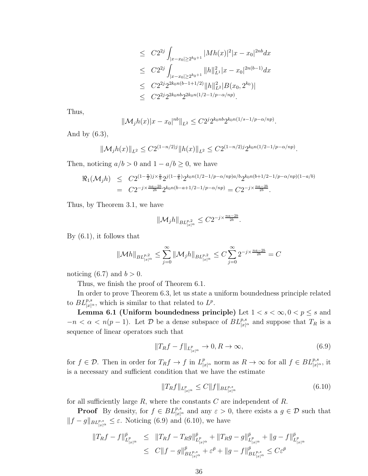$$
\leq C2^{2j} \int_{|x-x_0| \geq 2^{k_0+1}} |Mh(x)|^2 |x-x_0|^{2nb} dx
$$
  
\n
$$
\leq C2^{2j} \int_{|x-x_0| \geq 2^{k_0+1}} ||h||_{L^1}^2 |x-x_0|^{2n(b-1)} dx
$$
  
\n
$$
\leq C2^{2j} 2^{2k_0n(b-1+1/2)} ||h||_{L^2}^2 |B(x_0, 2^{k_0})|
$$
  
\n
$$
\leq C2^{2j} 2^{2k_0nb} 2^{2k_0n(1/2-1/p-\alpha/np)}.
$$

Thus,

$$
\|\mathcal{M}_j h(x)|x-x_0|^{nb}\|_{L^2} \leq C2^j 2^{k_0nb} 2^{k_0n(1/s-1/p-\alpha/np)}.
$$

And by  $(6.3)$ ,

$$
\|\mathcal{M}_j h(x)\|_{L^2} \le C2^{(1-n/2)j} \|h(x)\|_{L^2} \le C2^{(1-n/2)j} 2^{k_0 n (1/2 - 1/p - \alpha/np)}.
$$

Then, noticing  $a/b > 0$  and  $1 - a/b \ge 0$ , we have

$$
\mathcal{R}_1(\mathcal{M}_j h) \leq C 2^{(1-\frac{n}{2})j \times \frac{a}{b}} 2^{j(1-\frac{a}{b})} 2^{k_0 n (1/2 - 1/p - \alpha/np) a/b} 2^{k_0 n (b+1/2 - 1/p - \alpha/np)(1-a/b)}
$$
  
= 
$$
C 2^{-j \times \frac{na-2b}{2b}} 2^{k_0 n (b-a+1/2 - 1/p - \alpha/np)} = C 2^{-j \times \frac{na-2b}{2b}}.
$$

Thus, by Theorem 3.1, we have

$$
\|\mathcal{M}_jh\|_{BL^{p,2}_{|x|^\alpha}}\leq C2^{-j\times\frac{na-2b}{2b}}.
$$

By (6.1), it follows that

$$
\|\mathcal{M}h\|_{BL^{p,2}_{|x|^\alpha}} \leq \sum_{j=0}^\infty \|\mathcal{M}_jh\|_{BL^{p,2}_{|x|^\alpha}} \leq C \sum_{j=0}^\infty 2^{-j\times \frac{na-2b}{2b}} = C
$$

noticing (6.7) and  $b > 0$ .

Thus, we finish the proof of Theorem 6.1.

In order to prove Theorem 6.3, let us state a uniform boundedness principle related to  $BL^{p,s}_{|x|^{\alpha}}$ , which is similar to that related to  $L^p$ .

**Lemma 6.1 (Uniform boundedness principle)** Let  $1 < s < \infty, 0 < p \le s$  and  $-n < \alpha < n(p-1)$ . Let  $\mathcal{D}$  be a dense subspace of  $BL^{p,s}_{|x|^{\alpha}}$  and suppose that  $T_R$  is a sequence of linear operators such that

$$
||T_Rf - f||_{L^p_{|x|^\alpha}} \to 0, R \to \infty,
$$
\n(6.9)

for  $f \in \mathcal{D}$ . Then in order for  $T_R f \to f$  in  $L^p_{|x|^\alpha}$  norm as  $R \to \infty$  for all  $f \in BL^{p,s}_{|x|^\alpha}$ , it is a necessary and sufficient condition that we have the estimate

$$
||T_Rf||_{L^p_{|x|^\alpha}} \le C||f||_{BL^{p,s}_{|x|^\alpha}} \tag{6.10}
$$

for all sufficiently large  $R$ , where the constants  $C$  are independent of  $R$ .

**Proof** By density, for  $f \in BL_{|x|^{\alpha}}^{p,s}$  and any  $\varepsilon > 0$ , there exists a  $g \in \mathcal{D}$  such that  $||f-g||_{BL_{|x|^{\alpha}}^{p,s}} \leq \varepsilon$ . Noticing (6.9) and (6.10), we have

$$
\begin{array}{rcl}\n\|T_Rf-f\|_{L_{|x|^\alpha}^{\bar{p}}}^{\bar{p}} & \leq & \|T_Rf-T_Rg\|_{L_{|x|^\alpha}^{\bar{p}}}^{\bar{p}} + \|T_Rg-g\|_{L_{|x|^\alpha}^{\bar{p}}}^{\bar{p}} + \|g-f\|_{L_{|x|^\alpha}^{\bar{p}}}^{\bar{p}} \\
& \leq & C\|f-g\|_{BL_{|x|^\alpha}^{\bar{p},s}}^{\bar{p}} + \varepsilon^{\bar{p}} + \|g-f\|_{BL_{|x|^\alpha}^{\bar{p},s}}^{\bar{p}} \leq C\varepsilon^{\bar{p}}\n\end{array}
$$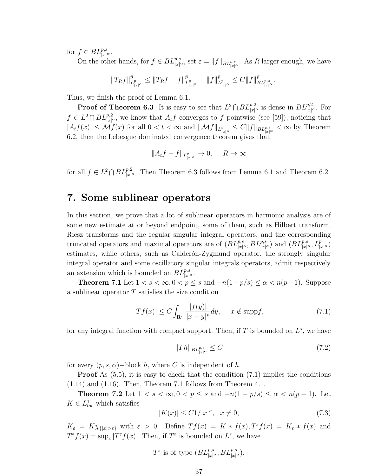for  $f \in BL_{|x|^{\alpha}}^{p,s}$ .

On the other hands, for  $f \in BL_{|x|^{\alpha}}^{p,s}$ , set  $\varepsilon = ||f||_{BL_{|x|^{\alpha}}^{p,s}}$ . As R larger enough, we have

$$
\|T_R f\|_{L^p_{|x|^\alpha}}^{\bar{p}}\leq \|T_R f-f\|_{L^p_{|x|^\alpha}}^{\bar{p}}+\|f\|_{L^p_{|x|^\alpha}}^{\bar{p}}\leq C\|f\|_{BL^{p,s}_{|x|^\alpha}}^{\bar{p}}.
$$

Thus, we finish the proof of Lemma 6.1.

**Proof of Theorem 6.3** It is easy to see that  $L^2 \cap BL^{p,2}_{|x|^{\alpha}}$  is dense in  $BL^{p,2}_{|x|^{\alpha}}$ . For  $f \in L^2 \cap BL^{p,2}_{|x|^{\alpha}}$ , we know that  $A_t f$  converges to f pointwise (see [59]), noticing that  $|A_t f(x)| \leq \mathcal{M} f(x)$  for all  $0 < t < \infty$  and  $\|\mathcal{M} f\|_{L^p_{|x|^{\alpha}}} \leq C \|f\|_{BL^{p,s}_{|x|^{\alpha}}} < \infty$  by Theorem 6.2, then the Lebesgue dominated convergence theorem gives that

$$
||A_t f - f||_{L^p_{|x|^\alpha}} \to 0, \quad R \to \infty
$$

for all  $f \in L^2 \cap BL^{p,2}_{|x|^{\alpha}}$ . Then Theorem 6.3 follows from Lemma 6.1 and Theorem 6.2.

# 7. Some sublinear operators

In this section, we prove that a lot of sublinear operators in harmonic analysis are of some new estimate at or beyond endpoint, some of them, such as Hilbert transform, Riesz transforms and the regular singular integral operators, and the corresponding truncated operators and maximal operators are of  $(BL_{|x|^{\alpha}}^{p,s}, BL_{|x|^{\alpha}}^{p,s})$  and  $(BL_{|x|^{\alpha}}^{p,s}, L_{|x|^{\alpha}}^{p})$ estimates, while others, such as Calderón-Zygmund operator, the strongly singular integral operator and some oscillatory singular integrals operators, admit respectively an extension which is bounded on  $BL^{p,s}_{|x|^{\alpha}}$ .

**Theorem 7.1** Let  $1 < s < \infty, 0 < p \le s$  and  $-n(1-p/s) \le \alpha < n(p-1)$ . Suppose a sublinear operator  $T$  satisfies the size condition

$$
|Tf(x)| \le C \int_{\mathbf{R}^n} \frac{|f(y)|}{|x - y|^n} dy, \quad x \notin \text{supp} f,
$$
 (7.1)

for any integral function with compact support. Then, if  $T$  is bounded on  $L^s$ , we have

$$
||Th||_{BL^{p,s}_{|x|^{\alpha}}} \le C \tag{7.2}
$$

for every  $(p, s, \alpha)$  – block h, where C is independent of h.

**Proof** As  $(5.5)$ , it is easy to check that the condition  $(7.1)$  implies the conditions (1.14) and (1.16). Then, Theorem 7.1 follows from Theorem 4.1.

Theorem 7.2 Let  $1 < s < \infty, 0 < p \le s$  and  $-n(1-p/s) \le \alpha < n(p-1)$ . Let  $K \in L^1_{loc}$  which satisfies

$$
|K(x)| \le C1/|x|^n, \quad x \ne 0,
$$
\n(7.3)

 $K_{\varepsilon} = K \chi_{\{|x| > \varepsilon\}}$  with  $\varepsilon > 0$ . Define  $T f(x) = K * f(x)$ ,  $T^{\varepsilon} f(x) = K_{\varepsilon} * f(x)$  and  $T^*f(x) = \sup_{\varepsilon} |T^{\varepsilon}f(x)|$ . Then, if  $T^{\varepsilon}$  is bounded on  $L^s$ , we have

$$
T^{\varepsilon}
$$
 is of type  $(BL_{|x|^{\alpha}}^{p,s}, BL_{|x|^{\alpha}}^{p,s}),$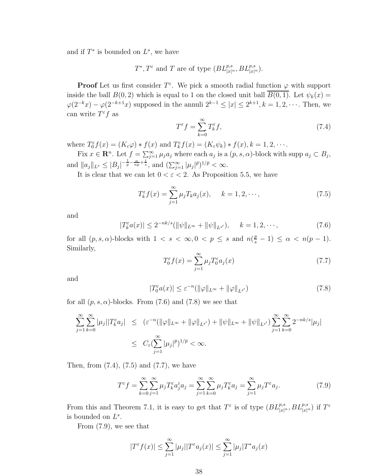and if  $T^*$  is bounded on  $L^s$ , we have

 $T^*, T^{\varepsilon}$  and T are of type  $(BL^{p,s}_{|x|^{\alpha}}, BL^{p,s}_{|x|^{\alpha}})$ .

**Proof** Let us first consider  $T^{\varepsilon}$ . We pick a smooth radial function  $\varphi$  with support inside the ball  $B(0, 2)$  which is equal to 1 on the closed unit ball  $\overline{B(0, 1)}$ . Let  $\psi_k(x) =$  $\varphi(2^{-k}x) - \varphi(2^{-k+1}x)$  supposed in the annuli  $2^{k-1} \leq |x| \leq 2^{k+1}, k = 1, 2, \cdots$ . Then, we can write  $T^{\varepsilon}f$  as

$$
T^{\varepsilon}f = \sum_{k=0}^{\infty} T_k^{\varepsilon} f,\tag{7.4}
$$

where  $T_0^{\varepsilon} f(x) = (K_{\varepsilon} \varphi) * f(x)$  and  $T_k^{\varepsilon} f(x) = (K_{\varepsilon} \psi_k) * f(x), k = 1, 2, \cdots$ .

Fix  $x \in \mathbb{R}^n$ . Let  $f = \sum_{j=1}^{\infty} \mu_j a_j$  where each  $a_j$  is a  $(p, s, \alpha)$ -block with supp  $a_j \subset B_j$ , and  $||a_j||_{L^s} \leq |B_j|^{-\frac{1}{p} - \frac{\alpha}{np} + \frac{1}{s}},$  and  $(\sum_{j=1}^{\infty} |\mu_j|^{p})^{1/p} < \infty$ .

It is clear that we can let  $0 < \varepsilon < 2$ . As Proposition 5.5, we have

$$
T_k^{\varepsilon} f(x) = \sum_{j=1}^{\infty} \mu_j T_k a_j(x), \quad k = 1, 2, \cdots,
$$
 (7.5)

and

$$
|T_k^{\varepsilon} a(x)| \le 2^{-nk/s} (||\psi||_{L^{\infty}} + ||\psi||_{L^{s'}}), \quad k = 1, 2, \cdots,
$$
 (7.6)

for all  $(p, s, \alpha)$ -blocks with  $1 < s < \infty$ ,  $0 < p \le s$  and  $n(\frac{p}{s} - 1) \le \alpha < n(p - 1)$ . Similarly,

$$
T_0^{\varepsilon} f(x) = \sum_{j=1}^{\infty} \mu_j T_0^{\varepsilon} a_j(x)
$$
\n(7.7)

and

$$
|T_0^{\varepsilon} a(x)| \leq \varepsilon^{-n} (||\varphi||_{L^{\infty}} + ||\varphi||_{L^{s'}})
$$
\n(7.8)

for all  $(p, s, \alpha)$ -blocks. From (7.6) and (7.8) we see that

$$
\sum_{j=1}^{\infty} \sum_{k=0}^{\infty} |\mu_j| |T_k^{\varepsilon} a_j| \leq (\varepsilon^{-n} (||\varphi||_{L^{\infty}} + ||\varphi||_{L^{s'}}) + ||\psi||_{L^{\infty}} + ||\psi||_{L^{s'}}) \sum_{j=1}^{\infty} \sum_{k=0}^{\infty} 2^{-nk/s} |\mu_j| \leq C_{\varepsilon} (\sum_{j=1}^{\infty} |\mu_j|^{\bar{p}})^{1/\bar{p}} < \infty.
$$

Then, from (7.4), (7.5) and (7.7), we have

$$
T^{\varepsilon}f = \sum_{k=0}^{\infty} \sum_{j=1}^{\infty} \mu_j T_k^{\varepsilon} a_j^{\varepsilon} a_j = \sum_{j=1}^{\infty} \sum_{k=0}^{\infty} \mu_j T_k^{\varepsilon} a_j = \sum_{j=1}^{\infty} \mu_j T^{\varepsilon} a_j.
$$
 (7.9)

From this and Theorem 7.1, it is easy to get that  $T^{\varepsilon}$  is of type  $(BL^{p,s}_{|x|^{\alpha}}, BL^{p,s}_{|x|^{\alpha}})$  if  $T^{\varepsilon}$ is bounded on  $L^s$ .

From (7.9), we see that

$$
|T^{\varepsilon}f(x)| \leq \sum_{j=1}^{\infty} |\mu_j||T^{\varepsilon}a_j(x)| \leq \sum_{j=1}^{\infty} |\mu_j|T^*a_j(x)
$$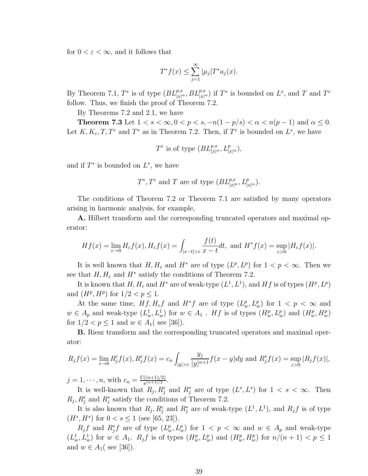for  $0 < \varepsilon < \infty$ , and it follows that

$$
T^*f(x) \le \sum_{j=1}^{\infty} |\mu_j| T^* a_j(x).
$$

By Theorem 7.1,  $T^*$  is of type  $(BL_{|x|^\alpha}^{p,s}, BL_{|x|^\alpha}^{p,s})$  if  $T^*$  is bounded on  $L^s$ , and  $T$  and  $T^{\varepsilon}$ follow. Thus, we finish the proof of Theorem 7.2.

By Theorems 7.2 and 2.1, we have

**Theorem 7.3** Let  $1 < s < \infty$ ,  $0 < p < s$ ,  $-n(1-p/s) < \alpha < n(p-1)$  and  $\alpha \leq 0$ . Let  $K, K_{\varepsilon}, T, T^{\varepsilon}$  and  $T^*$  as in Theorem 7.2. Then, if  $T^{\varepsilon}$  is bounded on  $L^s$ , we have

$$
T^{\varepsilon} \text{ is of type } (BL_{|x|^{\alpha}}^{p,s}, L_{|x|^{\alpha}}^{p}),
$$

and if  $T^*$  is bounded on  $L^s$ , we have

$$
T^*
$$
,  $T^{\varepsilon}$  and T are of type  $(BL^{p,s}_{|x|^{\alpha}}, L^p_{|x|^{\alpha}})$ .

The conditions of Theorem 7.2 or Theorem 7.1 are satisfied by many operators arising in harmonic analysis, for example,

A. Hilbert transform and the corresponding truncated operators and maximal operator:

$$
Hf(x) = \lim_{\varepsilon \to 0} H_{\varepsilon}f(x), H_{\varepsilon}f(x) = \int_{|x-t| > \varepsilon} \frac{f(t)}{x - t} dt, \text{ and } H^*f(x) = \sup_{\varepsilon > 0} |H_{\varepsilon}f(x)|.
$$

It is well known that  $H, H_{\varepsilon}$  and  $H^*$  are of type  $(L^p, L^p)$  for  $1 < p < \infty$ . Then we see that  $H, H_{\varepsilon}$  and  $H^*$  satisfy the conditions of Theorem 7.2.

It is known that  $H, H_{\varepsilon}$  and  $H^*$  are of weak-type  $(L^1, L^1)$ , and  $Hf$  is of types  $(H^p, L^p)$ and  $(H^p, H^p)$  for  $1/2 < p \le 1$ .

At the same time,  $Hf, H_\varepsilon f$  and  $H^*f$  are of type  $(L_w^p, L_w^p)$  for  $1 < p < \infty$  and  $w \in A_p$  and weak-type  $(L_w^1, L_w^1)$  for  $w \in A_1$ . Hf is of types  $(H_w^p, L_w^p)$  and  $(H_w^p, H_w^p)$ for  $1/2 < p \le 1$  and  $w \in A_1$  (see [36]).

B. Riesz transform and the corresponding truncated operators and maximal operator:

$$
R_j f(x) = \lim_{\varepsilon \to 0} R_j^{\varepsilon} f(x), R_j^{\varepsilon} f(x) = c_n \int_{|y| > \varepsilon} \frac{y_j}{|y|^{n+1}} f(x - y) dy
$$
 and 
$$
R_j^* f(x) = \sup_{\varepsilon > 0} |R_j f(x)|,
$$

 $j = 1, \dots, n$ , with  $c_n = \frac{\Gamma((n+1)/2)}{\pi^{(n+1)/2}}$  $\frac{((n+1)/2)}{\pi^{(n+1)/2}}$ .

It is well-known that  $R_j, R_j^{\varepsilon}$  and  $R_j^*$  are of type  $(L^s, L^s)$  for  $1 < s < \infty$ . Then  $R_j, R_j^{\varepsilon}$  and  $R_j^*$  satisfy the conditions of Theorem 7.2.

It is also known that  $R_j, R_j^{\varepsilon}$  and  $R_j^*$  are of weak-type  $(L^1, L^1)$ , and  $R_j f$  is of type  $(H^s, H^s)$  for  $0 < s \le 1$  (see [65, 23]).

 $R_j f$  and  $R_j^* f$  are of type  $(L_w^p, L_w^p)$  for  $1 < p < \infty$  and  $w \in A_p$  and weak-type  $(L_w^1, L_w^1)$  for  $w \in A_1$ .  $R_j f$  is of types  $(H_w^p, L_w^p)$  and  $(H_w^p, H_w^p)$  for  $n/(n+1) < p \le 1$ and  $w \in A_1$  (see [36]).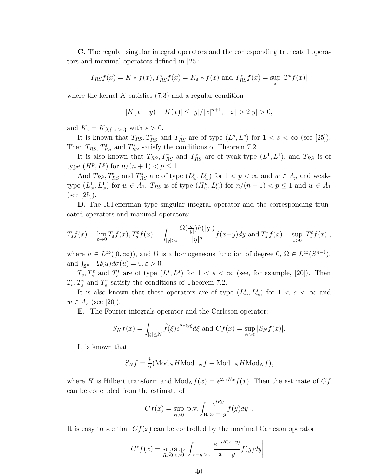C. The regular singular integral operators and the corresponding truncated operators and maximal operators defined in [25]:

$$
T_{RS}f(x) = K * f(x), T_{RS}^{\varepsilon}f(x) = K_{\varepsilon} * f(x) \text{ and } T_{RS}^{\ast}f(x) = \sup_{\varepsilon} |T^{\varepsilon}f(x)|
$$

where the kernel  $K$  satisfies  $(7.3)$  and a regular condition

$$
|K(x - y) - K(x)| \le |y|/|x|^{n+1}, \quad |x| > 2|y| > 0,
$$

and  $K_{\varepsilon} = K \chi_{\{|x| > \varepsilon\}}$  with  $\varepsilon > 0$ .

It is known that  $T_{RS}, T_{RS}^{\epsilon}$  and  $T_{RS}^*$  are of type  $(L^s, L^s)$  for  $1 < s < \infty$  (see [25]). Then  $T_{RS}, T_{RS}^{\varepsilon}$  and  $T_{RS}^*$  satisfy the conditions of Theorem 7.2.

It is also known that  $T_{RS}, T_{RS}^{\varepsilon}$  and  $T_{RS}^*$  are of weak-type  $(L^1, L^1)$ , and  $T_{RS}$  is of type  $(H^p, L^p)$  for  $n/(n+1) < p \le 1$ .

And  $T_{RS}, T_{RS}^{\varepsilon}$  and  $T_{RS}^*$  are of type  $(L_w^p, L_w^p)$  for  $1 < p < \infty$  and  $w \in A_p$  and weaktype  $(L_w^1, L_w^1)$  for  $w \in A_1$ .  $T_{RS}$  is of type  $(H_w^p, L_w^p)$  for  $n/(n+1) < p \le 1$  and  $w \in A_1$ (see [25]).

D. The R.Fefferman type singular integral operator and the corresponding truncated operators and maximal operators:

$$
T_s f(x) = \lim_{\varepsilon \to 0} T_{\varepsilon} f(x), T_s^{\varepsilon} f(x) = \int_{|y| > \varepsilon} \frac{\Omega(\frac{y}{|y|}) h(|y|)}{|y|^n} f(x - y) dy \text{ and } T_s^* f(x) = \sup_{\varepsilon > 0} |T_s^{\varepsilon} f(x)|,
$$

where  $h \in L^{\infty}([0,\infty))$ , and  $\Omega$  is a homogeneous function of degree  $0, \Omega \in L^{\infty}(S^{n-1}),$ and  $\int_{\mathbf{S}^{n-1}} \Omega(u) d\sigma(u) = 0, \varepsilon > 0.$ 

 $T_s, T_s^{\varepsilon}$  and  $T_s^*$  are of type  $(L^s, L^s)$  for  $1 < s < \infty$  (see, for example, [20]). Then  $T_s$ ,  $T_s^{\varepsilon}$  and  $T_s^*$  satisfy the conditions of Theorem 7.2.

It is also known that these operators are of type  $(L_w^s, L_w^s)$  for  $1 < s < \infty$  and  $w \in A_s$  (see [20]).

E. The Fourier integrals operator and the Carleson operator:

$$
S_N f(x) = \int_{|\xi| \le N} \hat{f}(\xi) e^{2\pi i x \xi} d\xi \text{ and } Cf(x) = \sup_{N > 0} |S_N f(x)|.
$$

It is known that

$$
S_N f = \frac{i}{2} (\text{Mod}_N H \text{Mod}_{-N} f - \text{Mod}_{-N} H \text{Mod}_N f),
$$

where H is Hilbert transform and  $Mod_N f(x) = e^{2\pi i Nx} f(x)$ . Then the estimate of  $Cf$ can be concluded from the estimate of

$$
\overline{C}f(x) = \sup_{R>0} \left| \text{p.v.} \int_{\mathbf{R}} \frac{e^{iRy}}{x - y} f(y) dy \right|.
$$

It is easy to see that  $\bar{C}f(x)$  can be controlled by the maximal Carleson operator

$$
C^* f(x) = \sup_{R>0} \sup_{\varepsilon>0} \left| \int_{|x-y|>\varepsilon} \frac{e^{-iR(x-y)}}{x-y} f(y) dy \right|.
$$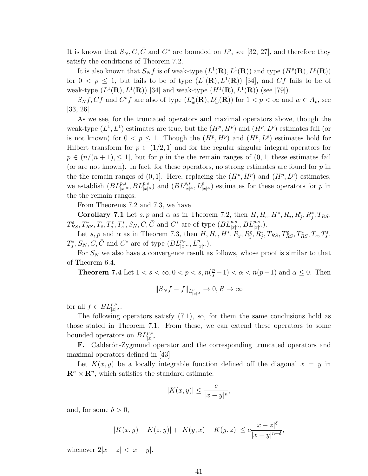It is known that  $S_N, C, \bar{C}$  and  $C^*$  are bounded on  $L^p$ , see [32, 27], and therefore they satisfy the conditions of Theorem 7.2.

It is also known that  $S_N f$  is of weak-type  $(L^1(\mathbf{R}), L^1(\mathbf{R}))$  and type  $(H^p(\mathbf{R}), L^p(\mathbf{R}))$ for  $0 < p \le 1$ , but fails to be of type  $(L^1(\mathbf{R}), L^1(\mathbf{R}))$  [34], and Cf fails to be of weak-type  $(L^1(\mathbf{R}), L^1(\mathbf{R}))$  [34] and weak-type  $(H^1(\mathbf{R}), L^1(\mathbf{R}))$  (see [79]).

 $S_N f, C f$  and  $C^* f$  are also of type  $(L_w^p(\mathbf{R}), L_w^p(\mathbf{R}))$  for  $1 < p < \infty$  and  $w \in A_p$ , see [33, 26].

As we see, for the truncated operators and maximal operators above, though the weak-type  $(L^1, L^1)$  estimates are true, but the  $(H^p, H^p)$  and  $(H^p, L^p)$  estimates fail (or is not known) for  $0 < p \le 1$ . Though the  $(H^p, H^p)$  and  $(H^p, L^p)$  estimates hold for Hilbert transform for  $p \in (1/2, 1]$  and for the regular singular integral operators for  $p \in (n/(n+1), \leq 1]$ , but for p in the the remain ranges of  $(0, 1]$  these estimates fail (or are not known). In fact, for these operators, no strong estimates are found for  $p$  in the the remain ranges of  $(0, 1]$ . Here, replacing the  $(H^p, H^p)$  and  $(H^p, L^p)$  estimates, we establish  $(BL^{p,s}_{|x|^\alpha}, BL^{p,s}_{|x|^\alpha})$  and  $(BL^{p,s}_{|x|^\alpha}, L^p_{|x|^\alpha})$  estimates for these operators for p in the the remain ranges.

From Theorems 7.2 and 7.3, we have

**Corollary 7.1** Let s, p and  $\alpha$  as in Theorem 7.2, then  $H, H_{\varepsilon}, H^*, R_j, R_j^{\varepsilon}, R_j^*, T_{RS},$  $T_{RS}^{\varepsilon}, T_{RS}^*, T_s, T_s^{\varepsilon}, T_s^*, S_N, C, \bar{C} \text{ and } C^* \text{ are of type } (BL_{|x|^{\alpha}}^{p,s}, BL_{|x|^{\alpha}}^{p,s}).$ 

Let s, p and  $\alpha$  as in Theorem 7.3, then  $H, H_{\varepsilon}, H^*, R_j, R_j^{\varepsilon}, R_j^*, T_{RS}, T_{RS}^{\varepsilon}, T_{RS}^*, T_s, T_s^{\varepsilon}$ ,  $T_s^*, S_N, C, \bar{C}$  and  $C^*$  are of type  $(BL_{|x|^\alpha}^{p,s}, L_{|x|^\alpha}^p)$ .

For  $S_N$  we also have a convergence result as follows, whose proof is similar to that of Theorem 6.4.

**Theorem 7.4** Let  $1 < s < \infty, 0 < p < s, n(\frac{p}{s}-1) < \alpha < n(p-1)$  and  $\alpha \leq 0$ . Then

$$
||S_N f - f||_{L^p_{|x|^\alpha}} \to 0, R \to \infty
$$

for all  $f \in BL_{|x|^{\alpha}}^{p,s}$ .

The following operators satisfy (7.1), so, for them the same conclusions hold as those stated in Theorem 7.1. From these, we can extend these operators to some bounded operators on  $BL_{|x|^\alpha}^{p,s}$ .

F. Calderón-Zygmund operator and the corresponding truncated operators and maximal operators defined in [43].

Let  $K(x, y)$  be a locally integrable function defined off the diagonal  $x = y$  in  $\mathbf{R}^n \times \mathbf{R}^n$ , which satisfies the standard estimate:

$$
|K(x,y)| \le \frac{c}{|x-y|^n},
$$

and, for some  $\delta > 0$ ,

$$
|K(x,y) - K(z,y)| + |K(y,x) - K(y,z)| \leq c \frac{|x-z|^{\delta}}{|x-y|^{n+\delta}},
$$

whenever  $2|x-z| < |x-y|$ .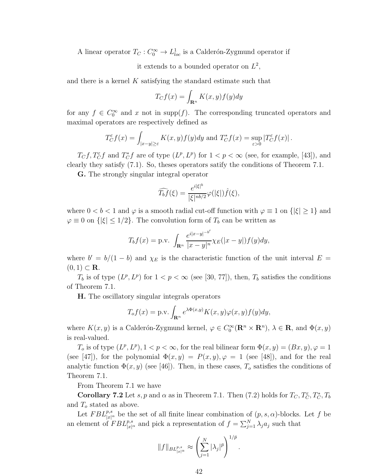A linear operator  $T_C: C_0^{\infty} \to L_{loc}^1$  is a Calderón-Zygmund operator if

it extends to a bounded operator on  $L^2$ ,

and there is a kernel  $K$  satisfying the standard estimate such that

$$
T_C f(x) = \int_{\mathbf{R}^n} K(x, y) f(y) dy
$$

for any  $f \in C_0^{\infty}$  and x not in supp(f). The corresponding truncated operators and maximal operators are respectively defined as

$$
T_C^{\varepsilon} f(x) = \int_{|x-y| \ge \varepsilon} K(x, y) f(y) dy
$$
 and 
$$
T_C^* f(x) = \sup_{\varepsilon > 0} |T_C^{\varepsilon} f(x)|.
$$

 $T_C f, T_C^{\varepsilon} f$  and  $T_C^* f$  are of type  $(L^p, L^p)$  for  $1 < p < \infty$  (see, for example, [43]), and clearly they satisfy (7.1). So, theses operators satify the conditions of Theorem 7.1.

G. The strongly singular integral operator

$$
\widehat{T_b f}(\xi) = \frac{e^{i|\xi|^b}}{|\xi|^{nb/2}} \varphi(|\xi|) \widehat{f}(\xi),
$$

where  $0 < b < 1$  and  $\varphi$  is a smooth radial cut-off function with  $\varphi \equiv 1$  on  $\{|\xi| \geq 1\}$  and  $\varphi \equiv 0$  on  $\{|\xi| \leq 1/2\}$ . The convolution form of  $T_b$  can be written as

$$
T_b f(x) = \text{p.v.} \int_{\mathbf{R}^n} \frac{e^{i|x-y|^{-b'}}}{|x-y|^n} \chi_E(|x-y|) f(y) dy,
$$

where  $b' = b/(1 - b)$  and  $\chi_E$  is the characteristic function of the unit interval  $E =$  $(0, 1) \subset \mathbf{R}$ .

 $T_b$  is of type  $(L^p, L^p)$  for  $1 < p < \infty$  (see [30, 77]), then,  $T_b$  satisfies the conditions of Theorem 7.1.

H. The oscillatory singular integrals operators

$$
T_o f(x) = \text{p.v.} \int_{\mathbf{R}^n} e^{\lambda \Phi(x,y)} K(x,y) \varphi(x,y) f(y) dy,
$$

where  $K(x, y)$  is a Calderón-Zygmund kernel,  $\varphi \in C_0^{\infty}(\mathbb{R}^n \times \mathbb{R}^n)$ ,  $\lambda \in \mathbb{R}$ , and  $\Phi(x, y)$ is real-valued.

 $T_o$  is of type  $(L^p, L^p)$ ,  $1 < p < \infty$ , for the real bilinear form  $\Phi(x, y) = (Bx, y), \varphi = 1$ (see [47]), for the polynomial  $\Phi(x, y) = P(x, y), \varphi = 1$  (see [48]), and for the real analytic function  $\Phi(x, y)$  (see [46]). Then, in these cases,  $T<sub>o</sub>$  satisfies the conditions of Theorem 7.1.

From Theorem 7.1 we have

**Corollary 7.2** Let s, p and  $\alpha$  as in Theorem 7.1. Then (7.2) holds for  $T_C, T_C^{\varepsilon}, T_C^*, T_D^*$ and  $T<sub>o</sub>$  stated as above.

Let  $FBL^{p,s}_{|x|^{\alpha}}$  be the set of all finite linear combination of  $(p, s, \alpha)$ -blocks. Let f be an element of  $FBL^{p,s}_{|x|^{\alpha}}$  and pick a representation of  $f = \sum_{j=1}^{N} \lambda_j a_j$  such that

$$
\|f\|_{BL^{p,s}_{|x|^\alpha}}\approx \left(\sum_{j=1}^N|\lambda_j|^{\bar p}\right)^{1/\bar p}.
$$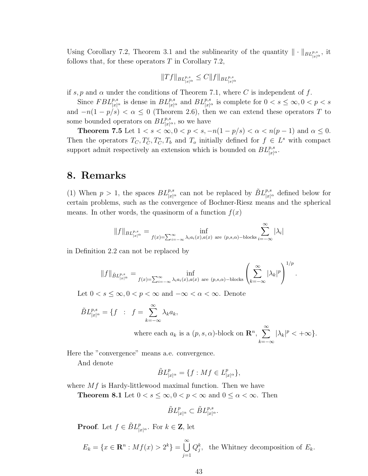Using Corollary 7.2, Theorem 3.1 and the sublinearity of the quantity  $\|\cdot\|_{BL_{|x|^{\alpha}}^{p,s}}$ , it follows that, for these operators  $T$  in Corollary 7.2,

$$
||Tf||_{BL_{|x|^{\alpha}}^{p,s}} \leq C||f||_{BL_{|x|^{\alpha}}^{p,s}}
$$

if s, p and  $\alpha$  under the conditions of Theorem 7.1, where C is independent of f.

Since  $FBL^{p,s}_{|x|^{\alpha}}$  is dense in  $BL^{p,s}_{|x|^{\alpha}}$  and  $BL^{p,s}_{|x|^{\alpha}}$  is complete for  $0 < s \leq \infty, 0 < p < s$ and  $-n(1-p/s) < \alpha \leq 0$  (Theorem 2.6), then we can extend these operators T to some bounded operators on  $BL^{p,s}_{|x|^\alpha}$ , so we have

**Theorem 7.5** Let  $1 < s < \infty, 0 < p < s, -n(1-p/s) < \alpha < n(p-1)$  and  $\alpha \leq 0$ . Then the operators  $T_C, T_C^{\varepsilon}, T_C^*, T_b$  and  $T_o$  initially defined for  $f \in L^s$  with compact support admit respectively an extension which is bounded on  $BL^{p,s}_{|x|^{\alpha}}$ .

### 8. Remarks

(1) When  $p > 1$ , the spaces  $BL^{p,s}_{|x|^{\alpha}}$  can not be replaced by  $\tilde{B}L^{p,s}_{|x|^{\alpha}}$  defined below for certain problems, such as the convergence of Bochner-Riesz means and the spherical means. In other words, the quasinorm of a function  $f(x)$ 

$$
||f||_{BL^{p,s}_{|x|^{\alpha}}} = \inf_{f(x) = \sum_{i=-\infty}^{\infty} \lambda_i a_i(x), a(x) \text{ are } (p,s,\alpha)\text{-blocks}} \sum_{i=-\infty}^{\infty} |\lambda_i|
$$

in Definition 2.2 can not be replaced by

$$
||f||_{\tilde{B}L^{p,s}_{|x|^{\alpha}}} = \inf_{f(x)=\sum_{i=-\infty}^{\infty}\lambda_i a_i(x), a(x) \text{ are } (p,s,\alpha)\text{-blocks} \left(\sum_{k=-\infty}^{\infty} |\lambda_k|^p\right)^{1/p}.
$$

Let  $0 < s \leq \infty, 0 < p < \infty$  and  $-\infty < \alpha < \infty$ . Denote

$$
\tilde{B}L_{|x|^{\alpha}}^{p,s} = \{f : f = \sum_{k=-\infty}^{\infty} \lambda_k a_k,
$$
  
where each  $a_k$  is a  $(p, s, \alpha)$ -block on  $\mathbb{R}^n$ ,  $\sum_{k=-\infty}^{\infty} |\lambda_k|^p < +\infty\}.$ 

Here the "convergence" means a.e. convergence.

And denote

$$
\tilde{B}L_{|x|^{\alpha}}^p = \{ f : Mf \in L_{|x|^{\alpha}}^p \},
$$

where  $Mf$  is Hardy-littlewood maximal function. Then we have

**Theorem 8.1** Let  $0 < s \leq \infty, 0 < p < \infty$  and  $0 \leq \alpha < \infty$ . Then

$$
\tilde{B}L^p_{|x|^\alpha}\subset \tilde{B}L^{p,s}_{|x|^\alpha}.
$$

**Proof.** Let  $f \in \tilde{B}L^p_{|x|^{\alpha}}$ . For  $k \in \mathbb{Z}$ , let

$$
E_k = \{x \in \mathbf{R}^n : Mf(x) > 2^k\} = \bigcup_{j=1}^{\infty} Q_j^k
$$
, the Whitney decomposition of  $E_k$ .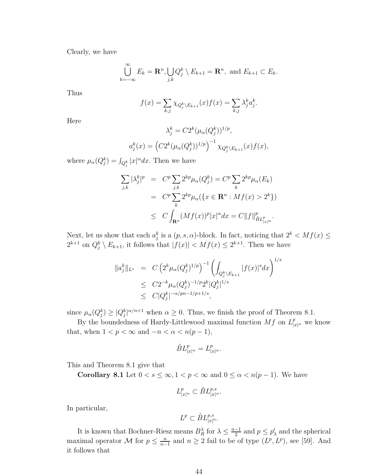Clearly, we have

$$
\bigcup_{k=-\infty}^{\infty} E_k = \mathbf{R}^n, \bigcup_{j,k} Q_j^k \setminus E_{k+1} = \mathbf{R}^n, \text{ and } E_{k+1} \subset E_k.
$$

Thus

$$
f(x) = \sum_{k,j} \chi_{Q_j^k \setminus E_{k+1}}(x) f(x) = \sum_{k,j} \lambda_j^k a_j^k.
$$

Here

$$
\lambda_j^k = C2^k (\mu_\alpha(Q_j^k))^{1/p},
$$
  

$$
a_j^k(x) = (C2^k (\mu_\alpha(Q_j^k))^{1/p})^{-1} \chi_{Q_j^k \setminus E_{k+1}}(x) f(x),
$$

where  $\mu_{\alpha}(Q_j^k) = \int_{Q_j^k} |x|^{\alpha} dx$ . Then we have

$$
\sum_{j,k} |\lambda_j^k|^p = C^p \sum_{j,k} 2^{kp} \mu_\alpha(Q_j^k) = C^p \sum_k 2^{kp} \mu_\alpha(E_k)
$$
  

$$
= C^p \sum_k 2^{kp} \mu_\alpha(\{x \in \mathbf{R}^n : Mf(x) > 2^k\})
$$
  

$$
\leq C \int_{\mathbf{R}^n} (Mf(x))^p |x|^\alpha dx = C ||f||_{\tilde{B}L_{|x|}^p}^p.
$$

Next, let us show that each  $a_j^k$  is a  $(p, s, \alpha)$ -block. In fact, noticing that  $2^k < Mf(x) \leq$  $2^{k+1}$  on  $Q_j^k \setminus E_{k+1}$ , it follows that  $|f(x)| < M f(x) \leq 2^{k+1}$ . Then we have

$$
\|a_j^k\|_{L^s} = C \left(2^k \mu_\alpha (Q_j^k)^{1/p}\right)^{-1} \left(\int_{Q_j^k \setminus E_{k+1}} |f(x)|^s dx\right)^{1/s}
$$
  
\n
$$
\leq C 2^{-k} \mu_\alpha (Q_j^k)^{-1/p} 2^k |Q_j^k|^{1/s}
$$
  
\n
$$
\leq C |Q_j^k|^{-\alpha/pn - 1/p + 1/s},
$$

since  $\mu_{\alpha}(Q_j^k) \geq |Q_j^k|^{\alpha/n+1}$  when  $\alpha \geq 0$ . Thus, we finish the proof of Theorem 8.1.

By the boundedness of Hardy-Littlewood maximal function  $Mf$  on  $L_{|x|^{\alpha}}^p$  we know that, when  $1 < p < \infty$  and  $-n < \alpha < n(p-1)$ ,

$$
\tilde{B}L^{p}_{|x|^{\alpha}} = L^{p}_{|x|^{\alpha}}.
$$

This and Theorem 8.1 give that

Corollary 8.1 Let  $0 < s \le \infty$ ,  $1 < p < \infty$  and  $0 \le \alpha < n(p-1)$ . We have

$$
L^p_{|x|^{\alpha}} \subset \tilde{B}L^{p,s}_{|x|^{\alpha}}.
$$

In particular,

$$
L^p \subset \tilde{B}L^{p,s}_{|x|^0}.
$$

It is known that Bochner-Riesz means  $B_R^{\lambda}$  for  $\lambda \leq \frac{n-1}{2}$  $\frac{-1}{2}$  and  $p \leq p'_{\lambda}$  and the spherical maximal operator M for  $p \leq \frac{n}{n-1}$  $\frac{n}{n-1}$  and  $n \ge 2$  fail to be of type  $(L^p, L^p)$ , see [59]. And it follows that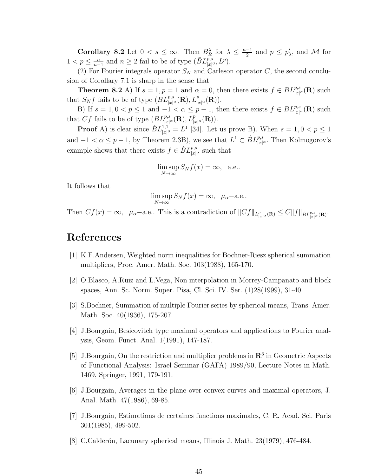**Corollary 8.2** Let  $0 < s \leq \infty$ . Then  $B_R^{\lambda}$  for  $\lambda \leq \frac{n-1}{2}$  $\frac{-1}{2}$  and  $p \leq p'_{\lambda}$ , and M for  $1 < p \leq \frac{n}{n}$  $\frac{n}{n-1}$  and  $n \ge 2$  fail to be of type  $(\tilde{B}L^{p,s}_{|x|^0}, L^p)$ .

(2) For Fourier integrals operator  $S_N$  and Carleson operator C, the second conclusion of Corollary 7.1 is sharp in the sense that

**Theorem 8.2** A) If  $s = 1, p = 1$  and  $\alpha = 0$ , then there exists  $f \in BL_{|x|^{\alpha}}^{p,s}(\mathbf{R})$  such that  $S_N f$  fails to be of type  $(BL_{|x|^\alpha}^{p,s}(\mathbf{R}), L_{|x|^\alpha}^p(\mathbf{R})).$ 

B) If  $s = 1, 0 < p \le 1$  and  $-1 < \alpha \le p-1$ , then there exists  $f \in BL_{|x|^{\alpha}}^{p,s}(\mathbf{R})$  such that Cf fails to be of type  $(BL_{|x|^\alpha}^{p,s}(\mathbf{R}), L_{|x|^\alpha}^p(\mathbf{R})).$ 

**Proof** A) is clear since  $BL_{x|t}^{1,1}$  $\chi^{1,1}_{|x|^0} = L^1$  [34]. Let us prove B). When  $s = 1, 0 < p \le 1$ and  $-1 < \alpha \leq p-1$ , by Theorem 2.3B), we see that  $L^1 \subset \dot{B}L^{p,s}_{|x|^{\alpha}}$ . Then Kolmogorov's example shows that there exists  $f \in \dot{B}L^{p,s}_{|x|^{\alpha}}$  such that

$$
\limsup_{N \to \infty} S_N f(x) = \infty, \quad \text{a.e.}.
$$

It follows that

$$
\limsup_{N \to \infty} S_N f(x) = \infty, \ \mu_\alpha
$$
-a.e..

Then  $Cf(x) = \infty$ ,  $\mu_{\alpha}$ -a.e.. This is a contradiction of  $||Cf||_{L^p_{|x|^{\alpha}}(\mathbf{R})} \leq C||f||_{\dot{B}L^{p,s}_{|x|^{\alpha}}(\mathbf{R})}$ .

# References

- [1] K.F.Andersen, Weighted norm inequalities for Bochner-Riesz spherical summation multipliers, Proc. Amer. Math. Soc. 103(1988), 165-170.
- [2] O.Blasco, A.Ruiz and L.Vega, Non interpolation in Morrey-Campanato and block spaces, Ann. Sc. Norm. Super. Pisa, Cl. Sci. IV. Ser. (1)28(1999), 31-40.
- [3] S.Bochner, Summation of multiple Fourier series by spherical means, Trans. Amer. Math. Soc. 40(1936), 175-207.
- [4] J.Bourgain, Besicovitch type maximal operators and applications to Fourier analysis, Geom. Funct. Anal. 1(1991), 147-187.
- [5] J.Bourgain, On the restriction and multiplier problems in  $\mathbb{R}^3$  in Geometric Aspects of Functional Analysis: Israel Seminar (GAFA) 1989/90, Lecture Notes in Math. 1469, Springer, 1991, 179-191.
- [6] J.Bourgain, Averages in the plane over convex curves and maximal operators, J. Anal. Math. 47(1986), 69-85.
- [7] J.Bourgain, Estimations de certaines functions maximales, C. R. Acad. Sci. Paris 301(1985), 499-502.
- [8] C.Calder´on, Lacunary spherical means, Illinois J. Math. 23(1979), 476-484.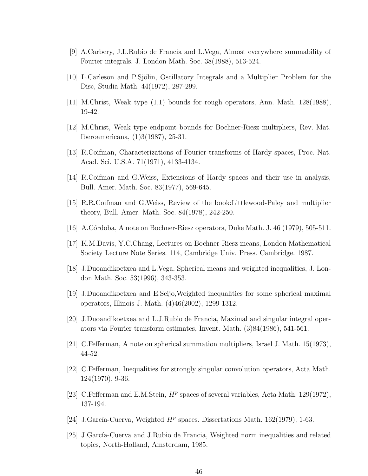- [9] A.Carbery, J.L.Rubio de Francia and L.Vega, Almost everywhere summability of Fourier integrals. J. London Math. Soc. 38(1988), 513-524.
- [10] L.Carleson and P.Sjölin, Oscillatory Integrals and a Multiplier Problem for the Disc, Studia Math. 44(1972), 287-299.
- [11] M.Christ, Weak type (1,1) bounds for rough operators, Ann. Math. 128(1988), 19-42.
- [12] M.Christ, Weak type endpoint bounds for Bochner-Riesz multipliers, Rev. Mat. Iberoamericana, (1)3(1987), 25-31.
- [13] R.Coifman, Characterizations of Fourier transforms of Hardy spaces, Proc. Nat. Acad. Sci. U.S.A. 71(1971), 4133-4134.
- [14] R.Coifman and G.Weiss, Extensions of Hardy spaces and their use in analysis, Bull. Amer. Math. Soc. 83(1977), 569-645.
- [15] R.R.Coifman and G.Weiss, Review of the book:Littlewood-Paley and multiplier theory, Bull. Amer. Math. Soc. 84(1978), 242-250.
- [16] A.C´ordoba, A note on Bochner-Riesz operators, Duke Math. J. 46 (1979), 505-511.
- [17] K.M.Davis, Y.C.Chang, Lectures on Bochner-Riesz means, London Mathematical Society Lecture Note Series. 114, Cambridge Univ. Press. Cambridge. 1987.
- [18] J.Duoandikoetxea and L.Vega, Spherical means and weighted inequalities, J. London Math. Soc. 53(1996), 343-353.
- [19] J.Duoandikoetxea and E.Seijo,Weighted inequalities for some spherical maximal operators, Illinois J. Math. (4)46(2002), 1299-1312.
- [20] J.Duoandikoetxea and L.J.Rubio de Francia, Maximal and singular integral operators via Fourier transform estimates, Invent. Math. (3)84(1986), 541-561.
- [21] C.Fefferman, A note on spherical summation multipliers, Israel J. Math. 15(1973), 44-52.
- [22] C.Fefferman, Inequalities for strongly singular convolution operators, Acta Math. 124(1970), 9-36.
- [23] C.Fefferman and E.M.Stein,  $H^p$  spaces of several variables, Acta Math. 129(1972), 137-194.
- [24] J.García-Cuerva, Weighted  $H^p$  spaces. Dissertations Math. 162(1979), 1-63.
- [25] J.Garc´ıa-Cuerva and J.Rubio de Francia, Weighted norm inequalities and related topics, North-Holland, Amsterdam, 1985.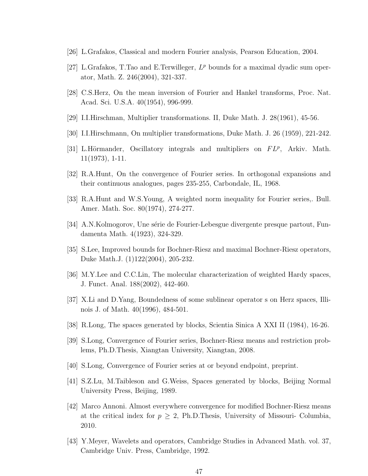- [26] L.Grafakos, Classical and modern Fourier analysis, Pearson Education, 2004.
- [27] L.Grafakos, T.Tao and E.Terwilleger,  $L^p$  bounds for a maximal dyadic sum operator, Math. Z. 246(2004), 321-337.
- [28] C.S.Herz, On the mean inversion of Fourier and Hankel transforms, Proc. Nat. Acad. Sci. U.S.A. 40(1954), 996-999.
- [29] I.I.Hirschman, Multiplier transformations. II, Duke Math. J. 28(1961), 45-56.
- [30] I.I.Hirschmann, On multiplier transformations, Duke Math. J. 26 (1959), 221-242.
- [31] L.Hörmander, Oscillatory integrals and multipliers on  $FL^p$ , Arkiv. Math. 11(1973), 1-11.
- [32] R.A.Hunt, On the convergence of Fourier series. In orthogonal expansions and their continuous analogues, pages 235-255, Carbondale, IL, 1968.
- [33] R.A.Hunt and W.S.Young, A weighted norm inequality for Fourier series,. Bull. Amer. Math. Soc. 80(1974), 274-277.
- [34] A.N.Kolmogorov, Une série de Fourier-Lebesgue divergente presque partout, Fundamenta Math. 4(1923), 324-329.
- [35] S.Lee, Improved bounds for Bochner-Riesz and maximal Bochner-Riesz operators, Duke Math.J. (1)122(2004), 205-232.
- [36] M.Y.Lee and C.C.Lin, The molecular characterization of weighted Hardy spaces, J. Funct. Anal. 188(2002), 442-460.
- [37] X.Li and D.Yang, Boundedness of some sublinear operator s on Herz spaces, Illinois J. of Math. 40(1996), 484-501.
- [38] R.Long, The spaces generated by blocks, Scientia Sinica A XXI II (1984), 16-26.
- [39] S.Long, Convergence of Fourier series, Bochner-Riesz means and restriction problems, Ph.D.Thesis, Xiangtan University, Xiangtan, 2008.
- [40] S.Long, Convergence of Fourier series at or beyond endpoint, preprint.
- [41] S.Z.Lu, M.Taibleson and G.Weiss, Spaces generated by blocks, Beijing Normal University Press, Beijing, 1989.
- [42] Marco Annoni. Almost everywhere convergence for modified Bochner-Riesz means at the critical index for  $p \geq 2$ , Ph.D.Thesis, University of Missouri- Columbia, 2010.
- [43] Y.Meyer, Wavelets and operators, Cambridge Studies in Advanced Math. vol. 37, Cambridge Univ. Press, Cambridge, 1992.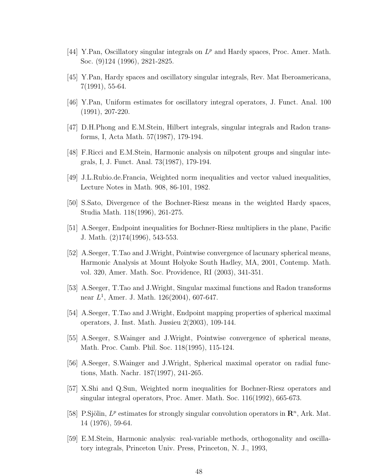- [44] Y.Pan, Oscillatory singular integrals on  $L^p$  and Hardy spaces, Proc. Amer. Math. Soc. (9)124 (1996), 2821-2825.
- [45] Y.Pan, Hardy spaces and oscillatory singular integrals, Rev. Mat Iberoamericana, 7(1991), 55-64.
- [46] Y.Pan, Uniform estimates for oscillatory integral operators, J. Funct. Anal. 100 (1991), 207-220.
- [47] D.H.Phong and E.M.Stein, Hilbert integrals, singular integrals and Radon transforms, I, Acta Math. 57(1987), 179-194.
- [48] F.Ricci and E.M.Stein, Harmonic analysis on nilpotent groups and singular integrals, I, J. Funct. Anal. 73(1987), 179-194.
- [49] J.L.Rubio.de.Francia, Weighted norm inequalities and vector valued inequalities, Lecture Notes in Math. 908, 86-101, 1982.
- [50] S.Sato, Divergence of the Bochner-Riesz means in the weighted Hardy spaces, Studia Math. 118(1996), 261-275.
- [51] A.Seeger, Endpoint inequalities for Bochner-Riesz multipliers in the plane, Pacific J. Math. (2)174(1996), 543-553.
- [52] A.Seeger, T.Tao and J.Wright, Pointwise convergence of lacunary spherical means, Harmonic Analysis at Mount Holyoke South Hadley, MA, 2001, Contemp. Math. vol. 320, Amer. Math. Soc. Providence, RI (2003), 341-351.
- [53] A.Seeger, T.Tao and J.Wright, Singular maximal functions and Radon transforms near  $L^1$ , Amer. J. Math. 126(2004), 607-647.
- [54] A.Seeger, T.Tao and J.Wright, Endpoint mapping properties of spherical maximal operators, J. Inst. Math. Jussieu 2(2003), 109-144.
- [55] A.Seeger, S.Wainger and J.Wright, Pointwise convergence of spherical means, Math. Proc. Camb. Phil. Soc. 118(1995), 115-124.
- [56] A.Seeger, S.Wainger and J.Wright, Spherical maximal operator on radial functions, Math. Nachr. 187(1997), 241-265.
- [57] X.Shi and Q.Sun, Weighted norm inequalities for Bochner-Riesz operators and singular integral operators, Proc. Amer. Math. Soc. 116(1992), 665-673.
- [58] P. Sjölin,  $L^p$  estimates for strongly singular convolution operators in  $\mathbb{R}^n$ , Ark. Mat. 14 (1976), 59-64.
- [59] E.M.Stein, Harmonic analysis: real-variable methods, orthogonality and oscillatory integrals, Princeton Univ. Press, Princeton, N. J., 1993,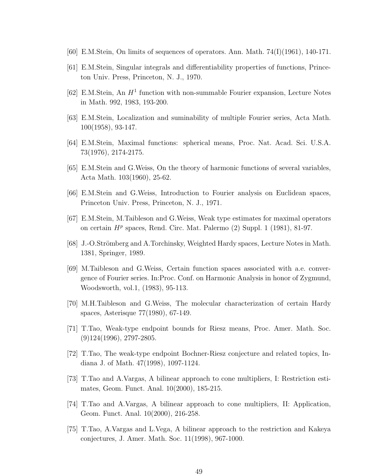- $[60]$  E.M.Stein, On limits of sequences of operators. Ann. Math. 74(I)(1961), 140-171.
- [61] E.M.Stein, Singular integrals and differentiability properties of functions, Princeton Univ. Press, Princeton, N. J., 1970.
- [62] E.M.Stein, An  $H<sup>1</sup>$  function with non-summable Fourier expansion, Lecture Notes in Math. 992, 1983, 193-200.
- [63] E.M.Stein, Localization and suminability of multiple Fourier series, Acta Math. 100(1958), 93-147.
- [64] E.M.Stein, Maximal functions: spherical means, Proc. Nat. Acad. Sci. U.S.A. 73(1976), 2174-2175.
- [65] E.M.Stein and G.Weiss, On the theory of harmonic functions of several variables, Acta Math. 103(1960), 25-62.
- [66] E.M.Stein and G.Weiss, Introduction to Fourier analysis on Euclidean spaces, Princeton Univ. Press, Princeton, N. J., 1971.
- [67] E.M.Stein, M.Taibleson and G.Weiss, Weak type estimates for maximal operators on certain  $H^p$  spaces, Rend. Circ. Mat. Palermo  $(2)$  Suppl. 1  $(1981)$ , 81-97.
- [68] J.-O.Strömberg and A.Torchinsky, Weighted Hardy spaces, Lecture Notes in Math. 1381, Springer, 1989.
- [69] M.Taibleson and G.Weiss, Certain function spaces associated with a.e. convergence of Fourier series. In:Proc. Conf. on Harmonic Analysis in honor of Zygmund, Woodsworth, vol.1, (1983), 95-113.
- [70] M.H.Taibleson and G.Weiss, The molecular characterization of certain Hardy spaces, Asterisque 77(1980), 67-149.
- [71] T.Tao, Weak-type endpoint bounds for Riesz means, Proc. Amer. Math. Soc.  $(9)124(1996), 2797-2805.$
- [72] T.Tao, The weak-type endpoint Bochner-Riesz conjecture and related topics, Indiana J. of Math. 47(1998), 1097-1124.
- [73] T.Tao and A.Vargas, A bilinear approach to cone multipliers, I: Restriction estimates, Geom. Funct. Anal. 10(2000), 185-215.
- [74] T.Tao and A.Vargas, A bilinear approach to cone multipliers, II: Application, Geom. Funct. Anal. 10(2000), 216-258.
- [75] T.Tao, A.Vargas and L.Vega, A bilinear approach to the restriction and Kakeya conjectures, J. Amer. Math. Soc. 11(1998), 967-1000.